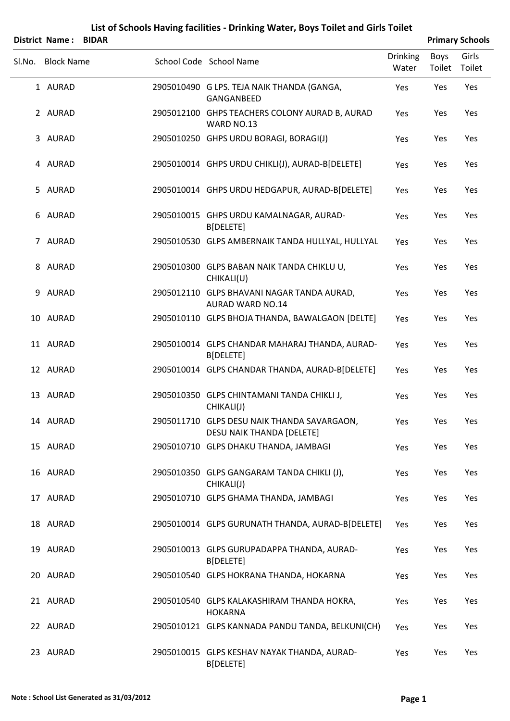|        | <b>District Name:</b><br><b>BIDAR</b> |                                                                                 |                          |                | <b>Primary Schools</b> |
|--------|---------------------------------------|---------------------------------------------------------------------------------|--------------------------|----------------|------------------------|
| Sl.No. | <b>Block Name</b>                     | School Code School Name                                                         | <b>Drinking</b><br>Water | Boys<br>Toilet | Girls<br>Toilet        |
|        | 1 AURAD                               | 2905010490 G LPS. TEJA NAIK THANDA (GANGA,<br>GANGANBEED                        | Yes                      | Yes            | Yes                    |
|        | 2 AURAD                               | 2905012100 GHPS TEACHERS COLONY AURAD B, AURAD<br>WARD NO.13                    | Yes                      | Yes            | Yes                    |
|        | 3 AURAD                               | 2905010250 GHPS URDU BORAGI, BORAGI(J)                                          | Yes                      | Yes            | Yes                    |
|        | 4 AURAD                               | 2905010014 GHPS URDU CHIKLI(J), AURAD-B[DELETE]                                 | Yes                      | Yes            | Yes                    |
|        | 5 AURAD                               | 2905010014 GHPS URDU HEDGAPUR, AURAD-B[DELETE]                                  | Yes                      | Yes            | Yes                    |
|        | 6 AURAD                               | 2905010015 GHPS URDU KAMALNAGAR, AURAD-<br>B[DELETE]                            | Yes                      | Yes            | Yes                    |
|        | 7 AURAD                               | 2905010530 GLPS AMBERNAIK TANDA HULLYAL, HULLYAL                                | Yes                      | Yes            | Yes                    |
|        | 8 AURAD                               | 2905010300 GLPS BABAN NAIK TANDA CHIKLU U,<br>CHIKALI(U)                        | Yes                      | Yes            | Yes                    |
| 9      | <b>AURAD</b>                          | 2905012110 GLPS BHAVANI NAGAR TANDA AURAD,<br><b>AURAD WARD NO.14</b>           | Yes                      | Yes            | Yes                    |
|        | 10 AURAD                              | 2905010110 GLPS BHOJA THANDA, BAWALGAON [DELTE]                                 | Yes                      | Yes            | Yes                    |
|        | 11 AURAD                              | 2905010014 GLPS CHANDAR MAHARAJ THANDA, AURAD-<br>B[DELETE]                     | Yes                      | Yes            | Yes                    |
|        | 12 AURAD                              | 2905010014 GLPS CHANDAR THANDA, AURAD-B[DELETE]                                 | Yes                      | Yes            | Yes                    |
|        | 13 AURAD                              | 2905010350 GLPS CHINTAMANI TANDA CHIKLI J,<br>CHIKALI(J)                        | Yes                      | Yes            | Yes                    |
|        | 14 AURAD                              | 2905011710 GLPS DESU NAIK THANDA SAVARGAON,<br><b>DESU NAIK THANDA [DELETE]</b> | Yes                      | Yes            | Yes                    |
|        | 15 AURAD                              | 2905010710 GLPS DHAKU THANDA, JAMBAGI                                           | Yes                      | Yes            | Yes                    |
|        | 16 AURAD                              | 2905010350 GLPS GANGARAM TANDA CHIKLI (J),<br>CHIKALI(J)                        | Yes                      | Yes            | Yes                    |
|        | 17 AURAD                              | 2905010710 GLPS GHAMA THANDA, JAMBAGI                                           | Yes                      | Yes            | Yes                    |
|        | 18 AURAD                              | 2905010014 GLPS GURUNATH THANDA, AURAD-B[DELETE]                                | Yes                      | Yes            | Yes                    |
|        | 19 AURAD                              | 2905010013 GLPS GURUPADAPPA THANDA, AURAD-<br>B[DELETE]                         | Yes                      | Yes            | Yes                    |
|        | 20 AURAD                              | 2905010540 GLPS HOKRANA THANDA, HOKARNA                                         | Yes                      | Yes            | Yes                    |
|        | 21 AURAD                              | 2905010540 GLPS KALAKASHIRAM THANDA HOKRA,<br><b>HOKARNA</b>                    | Yes                      | Yes            | Yes                    |
|        | 22 AURAD                              | 2905010121 GLPS KANNADA PANDU TANDA, BELKUNI(CH)                                | Yes                      | Yes            | Yes                    |
|        | 23 AURAD                              | 2905010015 GLPS KESHAV NAYAK THANDA, AURAD-<br>B[DELETE]                        | Yes                      | Yes            | Yes                    |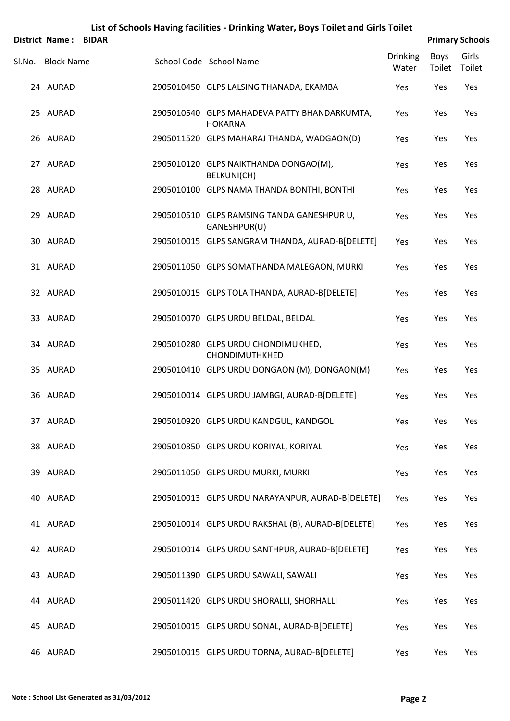| District Name:    | <b>BIDAR</b> |                                                                |                          |                       | <b>Primary Schools</b> |
|-------------------|--------------|----------------------------------------------------------------|--------------------------|-----------------------|------------------------|
| Sl.No. Block Name |              | School Code School Name                                        | <b>Drinking</b><br>Water | <b>Boys</b><br>Toilet | Girls<br>Toilet        |
| 24 AURAD          |              | 2905010450 GLPS LALSING THANADA, EKAMBA                        | Yes                      | Yes                   | Yes                    |
| 25 AURAD          |              | 2905010540 GLPS MAHADEVA PATTY BHANDARKUMTA,<br><b>HOKARNA</b> | Yes                      | Yes                   | Yes                    |
| 26 AURAD          |              | 2905011520 GLPS MAHARAJ THANDA, WADGAON(D)                     | Yes                      | Yes                   | Yes                    |
| 27 AURAD          |              | 2905010120 GLPS NAIKTHANDA DONGAO(M),<br>BELKUNI(CH)           | Yes                      | Yes                   | Yes                    |
| 28 AURAD          |              | 2905010100 GLPS NAMA THANDA BONTHI, BONTHI                     | Yes                      | Yes                   | Yes                    |
| 29 AURAD          |              | 2905010510 GLPS RAMSING TANDA GANESHPUR U,<br>GANESHPUR(U)     | Yes                      | Yes                   | Yes                    |
| 30 AURAD          |              | 2905010015 GLPS SANGRAM THANDA, AURAD-B[DELETE]                | Yes                      | Yes                   | Yes                    |
| 31 AURAD          |              | 2905011050 GLPS SOMATHANDA MALEGAON, MURKI                     | Yes                      | Yes                   | Yes                    |
| 32 AURAD          |              | 2905010015 GLPS TOLA THANDA, AURAD-B[DELETE]                   | Yes                      | Yes                   | Yes                    |
| 33 AURAD          |              | 2905010070 GLPS URDU BELDAL, BELDAL                            | Yes                      | Yes                   | Yes                    |
| 34 AURAD          |              | 2905010280 GLPS URDU CHONDIMUKHED,<br>CHONDIMUTHKHED           | Yes                      | Yes                   | Yes                    |
| 35 AURAD          |              | 2905010410 GLPS URDU DONGAON (M), DONGAON(M)                   | Yes                      | Yes                   | Yes                    |
| 36 AURAD          |              | 2905010014 GLPS URDU JAMBGI, AURAD-B[DELETE]                   | Yes                      | Yes                   | Yes                    |
| 37 AURAD          |              | 2905010920 GLPS URDU KANDGUL, KANDGOL                          | Yes                      | Yes                   | Yes                    |
| 38 AURAD          |              | 2905010850 GLPS URDU KORIYAL, KORIYAL                          | Yes                      | Yes                   | Yes                    |
| 39 AURAD          |              | 2905011050 GLPS URDU MURKI, MURKI                              | Yes                      | Yes                   | Yes                    |
| 40 AURAD          |              | 2905010013 GLPS URDU NARAYANPUR, AURAD-B[DELETE]               | Yes                      | Yes                   | Yes                    |
| 41 AURAD          |              | 2905010014 GLPS URDU RAKSHAL (B), AURAD-B[DELETE]              | Yes                      | Yes                   | Yes                    |
| 42 AURAD          |              | 2905010014 GLPS URDU SANTHPUR, AURAD-B[DELETE]                 | Yes                      | Yes                   | Yes                    |
| 43 AURAD          |              | 2905011390 GLPS URDU SAWALI, SAWALI                            | Yes                      | Yes                   | Yes                    |
| 44 AURAD          |              | 2905011420 GLPS URDU SHORALLI, SHORHALLI                       | Yes                      | Yes                   | Yes                    |
| 45 AURAD          |              | 2905010015 GLPS URDU SONAL, AURAD-B[DELETE]                    | Yes                      | Yes                   | Yes                    |
| 46 AURAD          |              | 2905010015 GLPS URDU TORNA, AURAD-B[DELETE]                    | Yes                      | Yes                   | Yes                    |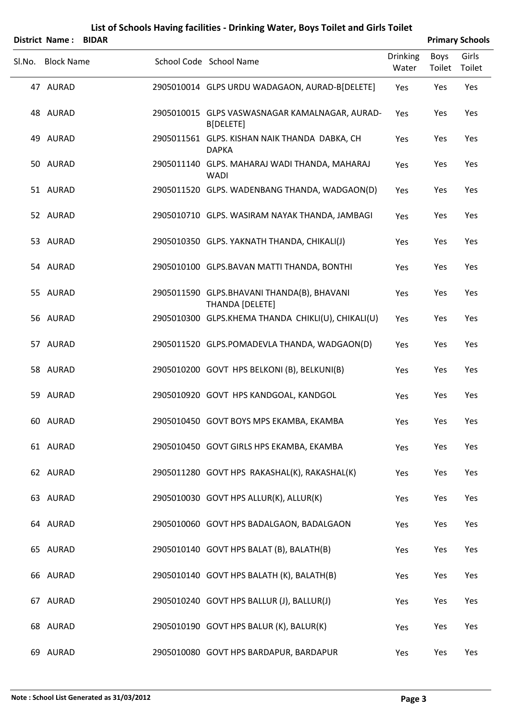|        | List of Schools Having facilities - Drinking Water, Boys Toilet and Girls Toilet |              |                                                               |                          |                |                        |  |  |  |  |  |  |
|--------|----------------------------------------------------------------------------------|--------------|---------------------------------------------------------------|--------------------------|----------------|------------------------|--|--|--|--|--|--|
|        | <b>District Name:</b>                                                            | <b>BIDAR</b> |                                                               |                          |                | <b>Primary Schools</b> |  |  |  |  |  |  |
| Sl.No. | <b>Block Name</b>                                                                |              | School Code School Name                                       | <b>Drinking</b><br>Water | Boys<br>Toilet | Girls<br>Toilet        |  |  |  |  |  |  |
|        | 47 AURAD                                                                         |              | 2905010014 GLPS URDU WADAGAON, AURAD-B[DELETE]                | Yes                      | Yes            | Yes                    |  |  |  |  |  |  |
|        | 48 AURAD                                                                         |              | 2905010015 GLPS VASWASNAGAR KAMALNAGAR, AURAD-<br>B[DELETE]   | Yes                      | Yes            | Yes                    |  |  |  |  |  |  |
|        | 49 AURAD                                                                         |              | 2905011561 GLPS. KISHAN NAIK THANDA DABKA, CH<br><b>DAPKA</b> | Yes                      | Yes            | Yes                    |  |  |  |  |  |  |
|        | 50 AURAD                                                                         |              | 2905011140 GLPS. MAHARAJ WADI THANDA, MAHARAJ<br><b>WADI</b>  | Yes                      | Yes            | Yes                    |  |  |  |  |  |  |
|        | 51 AURAD                                                                         |              | 2905011520 GLPS. WADENBANG THANDA, WADGAON(D)                 | Yes                      | Yes            | Yes                    |  |  |  |  |  |  |
|        | 52 AURAD                                                                         |              | 2905010710 GLPS. WASIRAM NAYAK THANDA, JAMBAGI                | Yes                      | Yes            | Yes                    |  |  |  |  |  |  |
|        | 53 AURAD                                                                         |              | 2905010350 GLPS. YAKNATH THANDA, CHIKALI(J)                   | Yes                      | Yes            | Yes                    |  |  |  |  |  |  |
|        | 54 AURAD                                                                         |              | 2905010100 GLPS.BAVAN MATTI THANDA, BONTHI                    | Yes                      | Yes            | Yes                    |  |  |  |  |  |  |
|        | 55 AURAD                                                                         |              | 2905011590 GLPS.BHAVANI THANDA(B), BHAVANI<br>THANDA [DELETE] | Yes                      | Yes            | Yes                    |  |  |  |  |  |  |
|        | 56 AURAD                                                                         |              | 2905010300 GLPS.KHEMA THANDA CHIKLI(U), CHIKALI(U)            | Yes                      | Yes            | Yes                    |  |  |  |  |  |  |
|        | 57 AURAD                                                                         |              | 2905011520 GLPS.POMADEVLA THANDA, WADGAON(D)                  | Yes                      | Yes            | Yes                    |  |  |  |  |  |  |
|        | 58 AURAD                                                                         |              | 2905010200 GOVT HPS BELKONI (B), BELKUNI(B)                   | Yes                      | Yes            | Yes                    |  |  |  |  |  |  |
|        | 59 AURAD                                                                         |              | 2905010920 GOVT HPS KANDGOAL, KANDGOL                         | Yes                      | Yes            | Yes                    |  |  |  |  |  |  |
|        | 60 AURAD                                                                         |              | 2905010450 GOVT BOYS MPS EKAMBA, EKAMBA                       | Yes                      | Yes            | Yes                    |  |  |  |  |  |  |
|        | 61 AURAD                                                                         |              | 2905010450 GOVT GIRLS HPS EKAMBA, EKAMBA                      | Yes                      | Yes            | Yes                    |  |  |  |  |  |  |
|        | 62 AURAD                                                                         |              | 2905011280 GOVT HPS RAKASHAL(K), RAKASHAL(K)                  | Yes                      | Yes            | Yes                    |  |  |  |  |  |  |
|        | 63 AURAD                                                                         |              | 2905010030 GOVT HPS ALLUR(K), ALLUR(K)                        | Yes                      | Yes            | Yes                    |  |  |  |  |  |  |
|        | 64 AURAD                                                                         |              | 2905010060 GOVT HPS BADALGAON, BADALGAON                      | Yes                      | Yes            | Yes                    |  |  |  |  |  |  |
|        | 65 AURAD                                                                         |              | 2905010140 GOVT HPS BALAT (B), BALATH(B)                      | Yes                      | Yes            | Yes                    |  |  |  |  |  |  |
|        | 66 AURAD                                                                         |              | 2905010140 GOVT HPS BALATH (K), BALATH(B)                     | Yes                      | Yes            | Yes                    |  |  |  |  |  |  |
|        | 67 AURAD                                                                         |              | 2905010240 GOVT HPS BALLUR (J), BALLUR(J)                     | Yes                      | Yes            | Yes                    |  |  |  |  |  |  |
|        | 68 AURAD                                                                         |              | 2905010190 GOVT HPS BALUR (K), BALUR(K)                       | Yes                      | Yes            | Yes                    |  |  |  |  |  |  |
|        | 69 AURAD                                                                         |              | 2905010080 GOVT HPS BARDAPUR, BARDAPUR                        | Yes                      | Yes            | Yes                    |  |  |  |  |  |  |

### **Note : School List Generated as 31/03/2012 Page 3**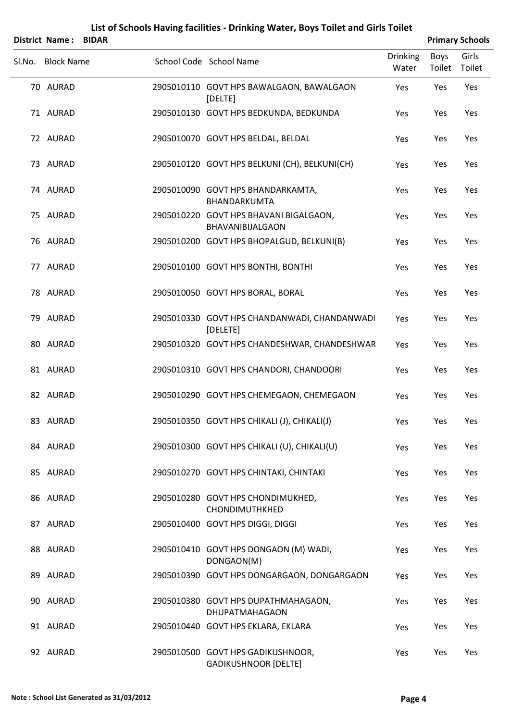| District Name:    | <b>BIDAR</b> |                                                                  |                          | <b>Primary Schools</b> |                 |
|-------------------|--------------|------------------------------------------------------------------|--------------------------|------------------------|-----------------|
| Sl.No. Block Name |              | School Code School Name                                          | <b>Drinking</b><br>Water | <b>Boys</b><br>Toilet  | Girls<br>Toilet |
| 70 AURAD          |              | 2905010110 GOVT HPS BAWALGAON, BAWALGAON<br>[DELTE]              | Yes                      | Yes                    | Yes             |
| 71 AURAD          |              | 2905010130 GOVT HPS BEDKUNDA, BEDKUNDA                           | Yes                      | Yes                    | Yes             |
| 72 AURAD          |              | 2905010070 GOVT HPS BELDAL, BELDAL                               | Yes                      | Yes                    | Yes             |
| 73 AURAD          |              | 2905010120 GOVT HPS BELKUNI (CH), BELKUNI(CH)                    | Yes                      | Yes                    | Yes             |
| 74 AURAD          |              | 2905010090 GOVT HPS BHANDARKAMTA,<br>BHANDARKUMTA                | Yes                      | Yes                    | Yes             |
| 75 AURAD          |              | 2905010220 GOVT HPS BHAVANI BIGALGAON,<br>BHAVANIBIJALGAON       | Yes                      | Yes                    | Yes             |
| 76 AURAD          |              | 2905010200 GOVT HPS BHOPALGUD, BELKUNI(B)                        | Yes                      | Yes                    | Yes             |
| 77 AURAD          |              | 2905010100 GOVT HPS BONTHI, BONTHI                               | Yes                      | Yes                    | Yes             |
| 78 AURAD          |              | 2905010050 GOVT HPS BORAL, BORAL                                 | Yes                      | Yes                    | Yes             |
| 79 AURAD          |              | 2905010330 GOVT HPS CHANDANWADI, CHANDANWADI<br>[DELETE]         | Yes                      | Yes                    | Yes             |
| 80 AURAD          |              | 2905010320 GOVT HPS CHANDESHWAR, CHANDESHWAR                     | Yes                      | Yes                    | Yes             |
| 81 AURAD          |              | 2905010310 GOVT HPS CHANDORI, CHANDOORI                          | Yes                      | Yes                    | Yes             |
| 82 AURAD          |              | 2905010290 GOVT HPS CHEMEGAON, CHEMEGAON                         | Yes                      | Yes                    | Yes             |
| 83 AURAD          |              | 2905010350 GOVT HPS CHIKALI (J), CHIKALI(J)                      | Yes                      | Yes                    | Yes             |
| 84 AURAD          |              | 2905010300 GOVT HPS CHIKALI (U), CHIKALI(U)                      | Yes                      | Yes                    | Yes             |
| 85 AURAD          |              | 2905010270 GOVT HPS CHINTAKI, CHINTAKI                           | Yes                      | Yes                    | Yes             |
| 86 AURAD          |              | 2905010280 GOVT HPS CHONDIMUKHED,<br>CHONDIMUTHKHED              | Yes                      | Yes                    | Yes             |
| 87 AURAD          |              | 2905010400 GOVT HPS DIGGI, DIGGI                                 | Yes                      | Yes                    | Yes             |
| 88 AURAD          |              | 2905010410 GOVT HPS DONGAON (M) WADI,<br>DONGAON(M)              | Yes                      | Yes                    | Yes             |
| 89 AURAD          |              | 2905010390 GOVT HPS DONGARGAON, DONGARGAON                       | Yes                      | Yes                    | Yes             |
| 90 AURAD          |              | 2905010380 GOVT HPS DUPATHMAHAGAON,<br><b>DHUPATMAHAGAON</b>     | Yes                      | Yes                    | Yes             |
| 91 AURAD          |              | 2905010440 GOVT HPS EKLARA, EKLARA                               | Yes                      | Yes                    | Yes             |
| 92 AURAD          |              | 2905010500 GOVT HPS GADIKUSHNOOR,<br><b>GADIKUSHNOOR [DELTE]</b> | Yes                      | Yes                    | Yes             |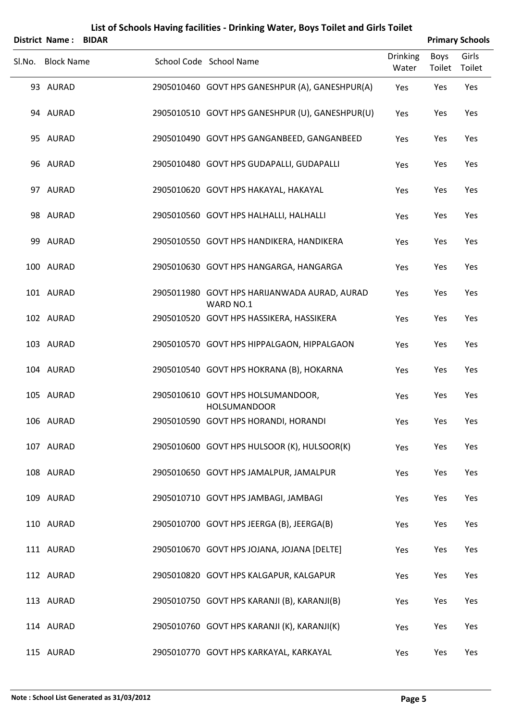| <b>District Name:</b> | <b>BIDAR</b> | List of Schools Having facilities - Drinking Water, Boys Toilet and Girls Toilet |                   |                       | <b>Primary Schools</b> |
|-----------------------|--------------|----------------------------------------------------------------------------------|-------------------|-----------------------|------------------------|
| Sl.No. Block Name     |              | School Code School Name                                                          | Drinking<br>Water | <b>Boys</b><br>Toilet | Girls<br>Toilet        |
| 93 AURAD              |              | 2905010460 GOVT HPS GANESHPUR (A), GANESHPUR(A)                                  | Yes               | Yes                   | Yes                    |
| 94 AURAD              |              | 2905010510 GOVT HPS GANESHPUR (U), GANESHPUR(U)                                  | Yes               | Yes                   | Yes                    |
| 95 AURAD              |              | 2905010490 GOVT HPS GANGANBEED, GANGANBEED                                       | Yes               | Yes                   | Yes                    |
| 96 AURAD              |              | 2905010480 GOVT HPS GUDAPALLI, GUDAPALLI                                         | Yes               | Yes                   | Yes                    |
| 97 AURAD              |              | 2905010620 GOVT HPS HAKAYAL, HAKAYAL                                             | Yes               | Yes                   | Yes                    |
| 98 AURAD              |              | 2905010560 GOVT HPS HALHALLI, HALHALLI                                           | Yes               | Yes                   | Yes                    |
| 99 AURAD              |              | 2905010550 GOVT HPS HANDIKERA, HANDIKERA                                         | Yes               | Yes                   | Yes                    |
| 100 AURAD             |              | 2905010630 GOVT HPS HANGARGA, HANGARGA                                           | Yes               | Yes                   | Yes                    |
| 101 AURAD             |              | 2905011980 GOVT HPS HARIJANWADA AURAD, AURAD<br>WARD NO.1                        | Yes               | Yes                   | Yes                    |
| 102 AURAD             |              | 2905010520 GOVT HPS HASSIKERA, HASSIKERA                                         | Yes               | Yes                   | Yes                    |
| 103 AURAD             |              | 2905010570 GOVT HPS HIPPALGAON, HIPPALGAON                                       | Yes               | Yes                   | Yes                    |
| 104 AURAD             |              | 2905010540 GOVT HPS HOKRANA (B), HOKARNA                                         | Yes               | Yes                   | Yes                    |
| 105 AURAD             |              | 2905010610 GOVT HPS HOLSUMANDOOR,<br><b>HOLSUMANDOOR</b>                         | Yes               | Yes                   | Yes                    |
| 106 AURAD             |              | 2905010590 GOVT HPS HORANDI, HORANDI                                             | Yes               | Yes                   | Yes                    |
| 107 AURAD             |              | 2905010600 GOVT HPS HULSOOR (K), HULSOOR(K)                                      | Yes               | Yes                   | Yes                    |
| 108 AURAD             |              | 2905010650 GOVT HPS JAMALPUR, JAMALPUR                                           | Yes               | Yes                   | Yes                    |
| 109 AURAD             |              | 2905010710 GOVT HPS JAMBAGI, JAMBAGI                                             | Yes               | Yes                   | Yes                    |
| 110 AURAD             |              | 2905010700 GOVT HPS JEERGA (B), JEERGA(B)                                        | Yes               | Yes                   | Yes                    |
| 111 AURAD             |              | 2905010670 GOVT HPS JOJANA, JOJANA [DELTE]                                       | Yes               | Yes                   | Yes                    |
| 112 AURAD             |              | 2905010820 GOVT HPS KALGAPUR, KALGAPUR                                           | Yes               | Yes                   | Yes                    |
| 113 AURAD             |              | 2905010750 GOVT HPS KARANJI (B), KARANJI(B)                                      | Yes               | Yes                   | Yes                    |
| 114 AURAD             |              | 2905010760 GOVT HPS KARANJI (K), KARANJI(K)                                      | Yes               | Yes                   | Yes                    |
| 115 AURAD             |              | 2905010770 GOVT HPS KARKAYAL, KARKAYAL                                           | Yes               | Yes                   | Yes                    |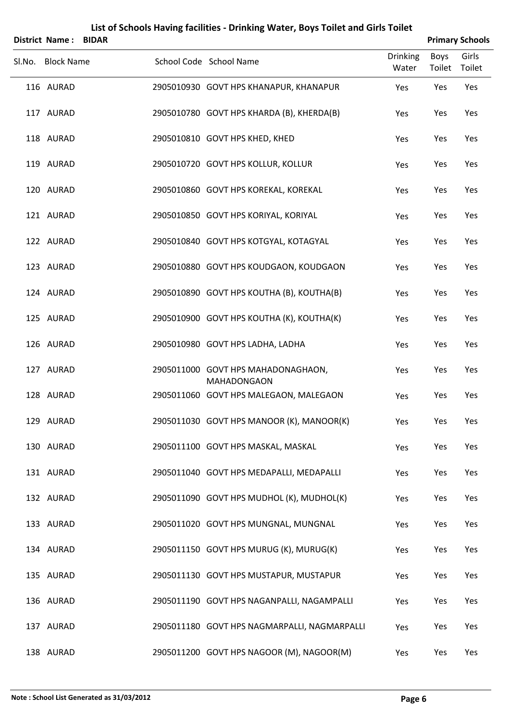| List of Schools Having facilities - Drinking Water, Boys Toilet and Girls Toilet |              |                                                          |                       |                        |  |  |  |  |
|----------------------------------------------------------------------------------|--------------|----------------------------------------------------------|-----------------------|------------------------|--|--|--|--|
| <b>District Name:</b>                                                            | <b>BIDAR</b> |                                                          |                       | <b>Primary Schools</b> |  |  |  |  |
| Sl.No. Block Name                                                                |              | <b>Drinking</b><br>School Code School Name<br>Water      | <b>Boys</b><br>Toilet | Girls<br>Toilet        |  |  |  |  |
| 116 AURAD                                                                        |              | 2905010930 GOVT HPS KHANAPUR, KHANAPUR<br>Yes            | Yes                   | Yes                    |  |  |  |  |
| 117 AURAD                                                                        |              | 2905010780 GOVT HPS KHARDA (B), KHERDA(B)<br>Yes         | Yes                   | Yes                    |  |  |  |  |
| 118 AURAD                                                                        |              | 2905010810 GOVT HPS KHED, KHED<br>Yes                    | Yes                   | Yes                    |  |  |  |  |
| 119 AURAD                                                                        |              | 2905010720 GOVT HPS KOLLUR, KOLLUR<br>Yes                | Yes                   | Yes                    |  |  |  |  |
| 120 AURAD                                                                        |              | 2905010860 GOVT HPS KOREKAL, KOREKAL<br>Yes              | Yes                   | Yes                    |  |  |  |  |
| 121 AURAD                                                                        |              | 2905010850 GOVT HPS KORIYAL, KORIYAL<br>Yes              | Yes                   | Yes                    |  |  |  |  |
| 122 AURAD                                                                        |              | 2905010840 GOVT HPS KOTGYAL, KOTAGYAL<br>Yes             | Yes                   | Yes                    |  |  |  |  |
| 123 AURAD                                                                        |              | 2905010880 GOVT HPS KOUDGAON, KOUDGAON<br>Yes            | Yes                   | Yes                    |  |  |  |  |
| 124 AURAD                                                                        |              | 2905010890 GOVT HPS KOUTHA (B), KOUTHA(B)<br>Yes         | Yes                   | Yes                    |  |  |  |  |
| 125 AURAD                                                                        |              | 2905010900 GOVT HPS KOUTHA (K), KOUTHA(K)<br>Yes         | Yes                   | Yes                    |  |  |  |  |
| 126 AURAD                                                                        |              | 2905010980 GOVT HPS LADHA, LADHA<br>Yes                  | Yes                   | Yes                    |  |  |  |  |
| 127 AURAD                                                                        |              | 2905011000 GOVT HPS MAHADONAGHAON,<br>Yes<br>MAHADONGAON | Yes                   | Yes                    |  |  |  |  |
| 128 AURAD                                                                        |              | 2905011060 GOVT HPS MALEGAON, MALEGAON<br>Yes            | Yes                   | Yes                    |  |  |  |  |
| 129 AURAD                                                                        |              | 2905011030 GOVT HPS MANOOR (K), MANOOR(K)<br>Yes         | Yes                   | Yes                    |  |  |  |  |
| 130 AURAD                                                                        |              | 2905011100 GOVT HPS MASKAL, MASKAL<br>Yes                | Yes                   | Yes                    |  |  |  |  |
| 131 AURAD                                                                        |              | 2905011040 GOVT HPS MEDAPALLI, MEDAPALLI<br>Yes          | Yes                   | Yes                    |  |  |  |  |
| 132 AURAD                                                                        |              | 2905011090 GOVT HPS MUDHOL (K), MUDHOL(K)<br>Yes         | Yes                   | Yes                    |  |  |  |  |
| 133 AURAD                                                                        |              | 2905011020 GOVT HPS MUNGNAL, MUNGNAL<br>Yes              | Yes                   | Yes                    |  |  |  |  |
| 134 AURAD                                                                        |              | 2905011150 GOVT HPS MURUG (K), MURUG(K)<br>Yes           | Yes                   | Yes                    |  |  |  |  |
| 135 AURAD                                                                        |              | 2905011130 GOVT HPS MUSTAPUR, MUSTAPUR<br>Yes            | Yes                   | Yes                    |  |  |  |  |
| 136 AURAD                                                                        |              | 2905011190 GOVT HPS NAGANPALLI, NAGAMPALLI<br>Yes        | Yes                   | Yes                    |  |  |  |  |
| 137 AURAD                                                                        |              | 2905011180 GOVT HPS NAGMARPALLI, NAGMARPALLI<br>Yes      | Yes                   | Yes                    |  |  |  |  |
| 138 AURAD                                                                        |              | 2905011200 GOVT HPS NAGOOR (M), NAGOOR(M)<br>Yes         | Yes                   | Yes                    |  |  |  |  |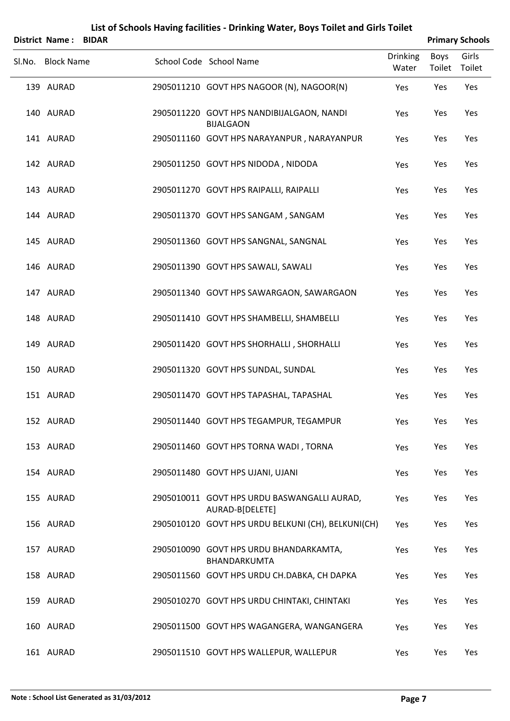| <b>District Name:</b> | <b>BIDAR</b> |                                                                |                          |                | <b>Primary Schools</b> |
|-----------------------|--------------|----------------------------------------------------------------|--------------------------|----------------|------------------------|
| Sl.No. Block Name     |              | School Code School Name                                        | <b>Drinking</b><br>Water | Boys<br>Toilet | Girls<br>Toilet        |
| 139 AURAD             |              | 2905011210 GOVT HPS NAGOOR (N), NAGOOR(N)                      | Yes                      | Yes            | Yes                    |
| 140 AURAD             |              | 2905011220 GOVT HPS NANDIBIJALGAON, NANDI<br><b>BIJALGAON</b>  | Yes                      | Yes            | Yes                    |
| 141 AURAD             |              | 2905011160 GOVT HPS NARAYANPUR, NARAYANPUR                     | Yes                      | Yes            | Yes                    |
| 142 AURAD             |              | 2905011250 GOVT HPS NIDODA, NIDODA                             | Yes                      | Yes            | Yes                    |
| 143 AURAD             |              | 2905011270 GOVT HPS RAIPALLI, RAIPALLI                         | Yes                      | Yes            | Yes                    |
| 144 AURAD             |              | 2905011370 GOVT HPS SANGAM, SANGAM                             | Yes                      | Yes            | Yes                    |
| 145 AURAD             |              | 2905011360 GOVT HPS SANGNAL, SANGNAL                           | Yes                      | Yes            | Yes                    |
| 146 AURAD             |              | 2905011390 GOVT HPS SAWALI, SAWALI                             | Yes                      | Yes            | Yes                    |
| 147 AURAD             |              | 2905011340 GOVT HPS SAWARGAON, SAWARGAON                       | Yes                      | Yes            | Yes                    |
| 148 AURAD             |              | 2905011410 GOVT HPS SHAMBELLI, SHAMBELLI                       | Yes                      | Yes            | Yes                    |
| 149 AURAD             |              | 2905011420 GOVT HPS SHORHALLI, SHORHALLI                       | Yes                      | Yes            | Yes                    |
| 150 AURAD             |              | 2905011320 GOVT HPS SUNDAL, SUNDAL                             | Yes                      | Yes            | Yes                    |
| 151 AURAD             |              | 2905011470 GOVT HPS TAPASHAL, TAPASHAL                         | Yes                      | Yes            | Yes                    |
| 152 AURAD             |              | 2905011440 GOVT HPS TEGAMPUR, TEGAMPUR                         | Yes                      | Yes            | Yes                    |
| 153 AURAD             |              | 2905011460 GOVT HPS TORNA WADI, TORNA                          | Yes                      | Yes            | Yes                    |
| 154 AURAD             |              | 2905011480 GOVT HPS UJANI, UJANI                               | Yes                      | Yes            | Yes                    |
| 155 AURAD             |              | 2905010011 GOVT HPS URDU BASWANGALLI AURAD,<br>AURAD-B[DELETE] | Yes                      | Yes            | Yes                    |
| 156 AURAD             |              | 2905010120 GOVT HPS URDU BELKUNI (CH), BELKUNI(CH)             | Yes                      | Yes            | Yes                    |
| 157 AURAD             |              | 2905010090 GOVT HPS URDU BHANDARKAMTA,<br>BHANDARKUMTA         | Yes                      | Yes            | Yes                    |
| 158 AURAD             |              | 2905011560 GOVT HPS URDU CH.DABKA, CH DAPKA                    | Yes                      | Yes            | Yes                    |
| 159 AURAD             |              | 2905010270 GOVT HPS URDU CHINTAKI, CHINTAKI                    | Yes                      | Yes            | Yes                    |
| 160 AURAD             |              | 2905011500 GOVT HPS WAGANGERA, WANGANGERA                      | Yes                      | Yes            | Yes                    |
| 161 AURAD             |              | 2905011510 GOVT HPS WALLEPUR, WALLEPUR                         | Yes                      | Yes            | Yes                    |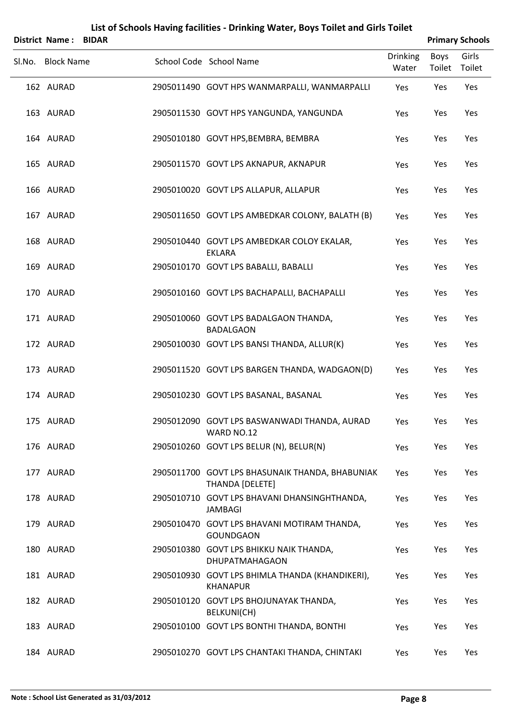|        | <b>District Name:</b> | <b>BIDAR</b> |                                                                    |                          |                              | <b>Primary Schools</b> |
|--------|-----------------------|--------------|--------------------------------------------------------------------|--------------------------|------------------------------|------------------------|
| Sl.No. | <b>Block Name</b>     |              | School Code School Name                                            | <b>Drinking</b><br>Water | <b>Boys</b><br>Toilet Toilet | Girls                  |
|        | 162 AURAD             |              | 2905011490 GOVT HPS WANMARPALLI, WANMARPALLI                       | Yes                      | Yes                          | Yes                    |
|        | 163 AURAD             |              | 2905011530 GOVT HPS YANGUNDA, YANGUNDA                             | Yes                      | Yes                          | Yes                    |
|        | 164 AURAD             |              | 2905010180 GOVT HPS, BEMBRA, BEMBRA                                | Yes                      | Yes                          | Yes                    |
|        | 165 AURAD             |              | 2905011570 GOVT LPS AKNAPUR, AKNAPUR                               | Yes                      | Yes                          | Yes                    |
|        | 166 AURAD             |              | 2905010020 GOVT LPS ALLAPUR, ALLAPUR                               | Yes                      | Yes                          | Yes                    |
|        | 167 AURAD             |              | 2905011650 GOVT LPS AMBEDKAR COLONY, BALATH (B)                    | Yes                      | Yes                          | Yes                    |
|        | 168 AURAD             |              | 2905010440 GOVT LPS AMBEDKAR COLOY EKALAR,<br><b>EKLARA</b>        | Yes                      | Yes                          | Yes                    |
|        | 169 AURAD             |              | 2905010170 GOVT LPS BABALLI, BABALLI                               | Yes                      | Yes                          | Yes                    |
|        | 170 AURAD             |              | 2905010160 GOVT LPS BACHAPALLI, BACHAPALLI                         | Yes                      | Yes                          | Yes                    |
|        | 171 AURAD             |              | 2905010060 GOVT LPS BADALGAON THANDA,<br><b>BADALGAON</b>          | Yes                      | Yes                          | Yes                    |
|        | 172 AURAD             |              | 2905010030 GOVT LPS BANSI THANDA, ALLUR(K)                         | Yes                      | Yes                          | Yes                    |
|        | 173 AURAD             |              | 2905011520 GOVT LPS BARGEN THANDA, WADGAON(D)                      | Yes                      | Yes                          | Yes                    |
|        | 174 AURAD             |              | 2905010230 GOVT LPS BASANAL, BASANAL                               | Yes                      | Yes                          | Yes                    |
|        | 175 AURAD             |              | 2905012090 GOVT LPS BASWANWADI THANDA, AURAD<br>WARD NO.12         | Yes                      | Yes                          | Yes                    |
|        | 176 AURAD             |              | 2905010260 GOVT LPS BELUR (N), BELUR(N)                            | Yes                      | Yes                          | Yes                    |
|        | 177 AURAD             |              | 2905011700 GOVT LPS BHASUNAIK THANDA, BHABUNIAK<br>THANDA [DELETE] | Yes                      | Yes                          | Yes                    |
|        | 178 AURAD             |              | 2905010710 GOVT LPS BHAVANI DHANSINGHTHANDA,<br><b>JAMBAGI</b>     | Yes                      | Yes                          | Yes                    |
|        | 179 AURAD             |              | 2905010470 GOVT LPS BHAVANI MOTIRAM THANDA,<br><b>GOUNDGAON</b>    | Yes                      | Yes                          | Yes                    |
|        | 180 AURAD             |              | 2905010380 GOVT LPS BHIKKU NAIK THANDA,<br>DHUPATMAHAGAON          | Yes                      | Yes                          | Yes                    |
|        | 181 AURAD             |              | 2905010930 GOVT LPS BHIMLA THANDA (KHANDIKERI),<br><b>KHANAPUR</b> | Yes                      | Yes                          | Yes                    |
|        | 182 AURAD             |              | 2905010120 GOVT LPS BHOJUNAYAK THANDA,<br>BELKUNI(CH)              | Yes                      | Yes                          | Yes                    |
|        | 183 AURAD             |              | 2905010100 GOVT LPS BONTHI THANDA, BONTHI                          | Yes                      | Yes                          | Yes                    |
|        | 184 AURAD             |              | 2905010270 GOVT LPS CHANTAKI THANDA, CHINTAKI                      | Yes                      | Yes                          | Yes                    |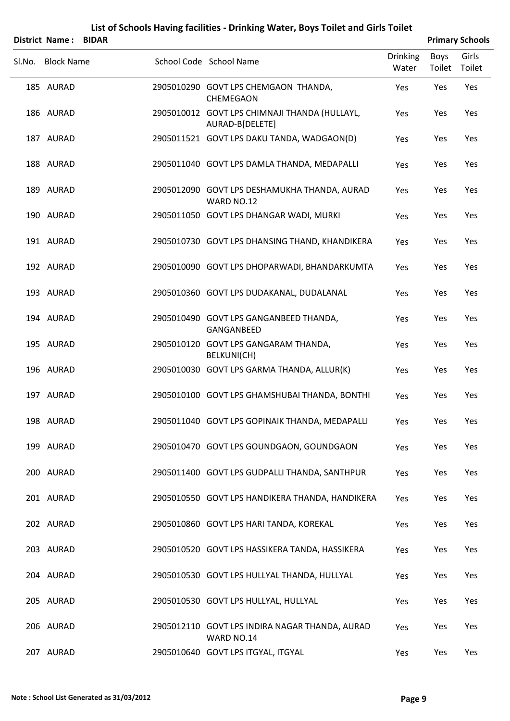| District Name: BIDAR |             |
|----------------------|-------------|
| SLNo Block Name      | School Code |

 $\overline{\phantom{a}}$ 

| Sl.No. Block Name | School Code School Name                                          | <b>Drinking</b><br>Water | <b>Boys</b><br>Toilet | Girls<br>Toilet |  |
|-------------------|------------------------------------------------------------------|--------------------------|-----------------------|-----------------|--|
| 185 AURAD         | 2905010290 GOVT LPS CHEMGAON THANDA,<br>CHEMEGAON                | Yes                      | Yes                   | Yes             |  |
| 186 AURAD         | 2905010012 GOVT LPS CHIMNAJI THANDA (HULLAYL,<br>AURAD-B[DELETE] | Yes                      | Yes                   | Yes             |  |
| 187 AURAD         | 2905011521 GOVT LPS DAKU TANDA, WADGAON(D)                       | Yes                      | Yes                   | Yes             |  |
| 188 AURAD         | 2905011040 GOVT LPS DAMLA THANDA, MEDAPALLI                      | Yes                      | Yes                   | Yes             |  |
| 189 AURAD         | 2905012090 GOVT LPS DESHAMUKHA THANDA, AURAD<br>WARD NO.12       | Yes                      | Yes                   | Yes             |  |
| 190 AURAD         | 2905011050 GOVT LPS DHANGAR WADI, MURKI                          | Yes                      | Yes                   | Yes             |  |
| 191 AURAD         | 2905010730 GOVT LPS DHANSING THAND, KHANDIKERA                   | Yes                      | Yes                   | Yes             |  |
| 192 AURAD         | 2905010090 GOVT LPS DHOPARWADI, BHANDARKUMTA                     | Yes                      | Yes                   | Yes             |  |
| 193 AURAD         | 2905010360 GOVT LPS DUDAKANAL, DUDALANAL                         | Yes                      | Yes                   | Yes             |  |
| 194 AURAD         | 2905010490 GOVT LPS GANGANBEED THANDA,<br>GANGANBEED             | Yes                      | Yes                   | Yes             |  |
| 195 AURAD         | 2905010120 GOVT LPS GANGARAM THANDA,<br>BELKUNI(CH)              | Yes                      | Yes                   | Yes             |  |
| 196 AURAD         | 2905010030 GOVT LPS GARMA THANDA, ALLUR(K)                       | Yes                      | Yes                   | Yes             |  |
| 197 AURAD         | 2905010100 GOVT LPS GHAMSHUBAI THANDA, BONTHI                    | Yes                      | Yes                   | Yes             |  |
| 198 AURAD         | 2905011040 GOVT LPS GOPINAIK THANDA, MEDAPALLI                   | Yes                      | Yes                   | Yes             |  |
| 199 AURAD         | 2905010470 GOVT LPS GOUNDGAON, GOUNDGAON                         | Yes                      | Yes                   | Yes             |  |
| 200 AURAD         | 2905011400 GOVT LPS GUDPALLI THANDA, SANTHPUR                    | Yes                      | Yes                   | Yes             |  |
| 201 AURAD         | 2905010550 GOVT LPS HANDIKERA THANDA, HANDIKERA                  | Yes                      | Yes                   | Yes             |  |
| 202 AURAD         | 2905010860 GOVT LPS HARI TANDA, KOREKAL                          | Yes                      | Yes                   | Yes             |  |
| 203 AURAD         | 2905010520 GOVT LPS HASSIKERA TANDA, HASSIKERA                   | Yes                      | Yes                   | Yes             |  |
| 204 AURAD         | 2905010530 GOVT LPS HULLYAL THANDA, HULLYAL                      | Yes                      | Yes                   | Yes             |  |
| 205 AURAD         | 2905010530 GOVT LPS HULLYAL, HULLYAL                             | Yes                      | Yes                   | Yes             |  |
| 206 AURAD         | 2905012110 GOVT LPS INDIRA NAGAR THANDA, AURAD<br>WARD NO.14     | Yes                      | Yes                   | Yes             |  |
| 207 AURAD         | 2905010640 GOVT LPS ITGYAL, ITGYAL                               | Yes                      | Yes                   | Yes             |  |

 $Primary Schools$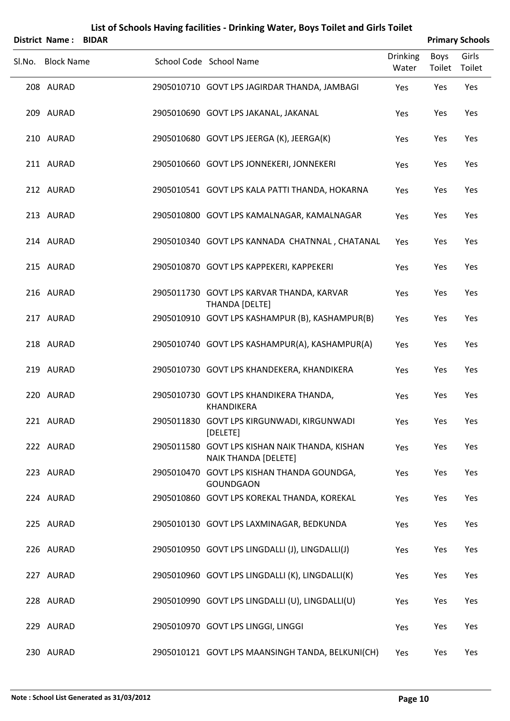|        | <b>District Name:</b> | <b>BIDAR</b> |                                                                        |                          |                       | <b>Primary Schools</b> |
|--------|-----------------------|--------------|------------------------------------------------------------------------|--------------------------|-----------------------|------------------------|
| SI.No. | <b>Block Name</b>     |              | School Code School Name                                                | <b>Drinking</b><br>Water | <b>Boys</b><br>Toilet | Girls<br>Toilet        |
|        | 208 AURAD             |              | 2905010710 GOVT LPS JAGIRDAR THANDA, JAMBAGI                           | Yes                      | Yes                   | Yes                    |
|        | 209 AURAD             |              | 2905010690 GOVT LPS JAKANAL, JAKANAL                                   | Yes                      | Yes                   | Yes                    |
|        | 210 AURAD             |              | 2905010680 GOVT LPS JEERGA (K), JEERGA(K)                              | Yes                      | Yes                   | Yes                    |
|        | 211 AURAD             |              | 2905010660 GOVT LPS JONNEKERI, JONNEKERI                               | Yes                      | Yes                   | Yes                    |
|        | 212 AURAD             |              | 2905010541 GOVT LPS KALA PATTI THANDA, HOKARNA                         | Yes                      | Yes                   | Yes                    |
|        | 213 AURAD             |              | 2905010800 GOVT LPS KAMALNAGAR, KAMALNAGAR                             | Yes                      | Yes                   | Yes                    |
|        | 214 AURAD             |              | 2905010340 GOVT LPS KANNADA CHATNNAL, CHATANAL                         | Yes                      | Yes                   | Yes                    |
|        | 215 AURAD             |              | 2905010870 GOVT LPS KAPPEKERI, KAPPEKERI                               | Yes                      | Yes                   | Yes                    |
|        | 216 AURAD             |              | 2905011730 GOVT LPS KARVAR THANDA, KARVAR<br>THANDA [DELTE]            | Yes                      | Yes                   | Yes                    |
|        | 217 AURAD             |              | 2905010910 GOVT LPS KASHAMPUR (B), KASHAMPUR(B)                        | Yes                      | Yes                   | Yes                    |
|        | 218 AURAD             |              | 2905010740 GOVT LPS KASHAMPUR(A), KASHAMPUR(A)                         | Yes                      | Yes                   | Yes                    |
|        | 219 AURAD             |              | 2905010730 GOVT LPS KHANDEKERA, KHANDIKERA                             | Yes                      | Yes                   | Yes                    |
|        | 220 AURAD             |              | 2905010730 GOVT LPS KHANDIKERA THANDA,<br><b>KHANDIKERA</b>            | Yes                      | Yes                   | Yes                    |
|        | 221 AURAD             |              | 2905011830 GOVT LPS KIRGUNWADI, KIRGUNWADI<br>[DELETE]                 | Yes                      | Yes                   | Yes                    |
|        | 222 AURAD             |              | 2905011580 GOVT LPS KISHAN NAIK THANDA, KISHAN<br>NAIK THANDA [DELETE] | Yes                      | Yes                   | Yes                    |
|        | 223 AURAD             |              | 2905010470 GOVT LPS KISHAN THANDA GOUNDGA,<br><b>GOUNDGAON</b>         | Yes                      | Yes                   | Yes                    |
|        | 224 AURAD             |              | 2905010860 GOVT LPS KOREKAL THANDA, KOREKAL                            | Yes                      | Yes                   | Yes                    |
|        | 225 AURAD             |              | 2905010130 GOVT LPS LAXMINAGAR, BEDKUNDA                               | Yes                      | Yes                   | Yes                    |
|        | 226 AURAD             |              | 2905010950 GOVT LPS LINGDALLI (J), LINGDALLI(J)                        | Yes                      | Yes                   | Yes                    |
|        | 227 AURAD             |              | 2905010960 GOVT LPS LINGDALLI (K), LINGDALLI(K)                        | Yes                      | Yes                   | Yes                    |
|        | 228 AURAD             |              | 2905010990 GOVT LPS LINGDALLI (U), LINGDALLI(U)                        | Yes                      | Yes                   | Yes                    |
|        | 229 AURAD             |              | 2905010970 GOVT LPS LINGGI, LINGGI                                     | Yes                      | Yes                   | Yes                    |
|        | 230 AURAD             |              | 2905010121 GOVT LPS MAANSINGH TANDA, BELKUNI(CH)                       | Yes                      | Yes                   | Yes                    |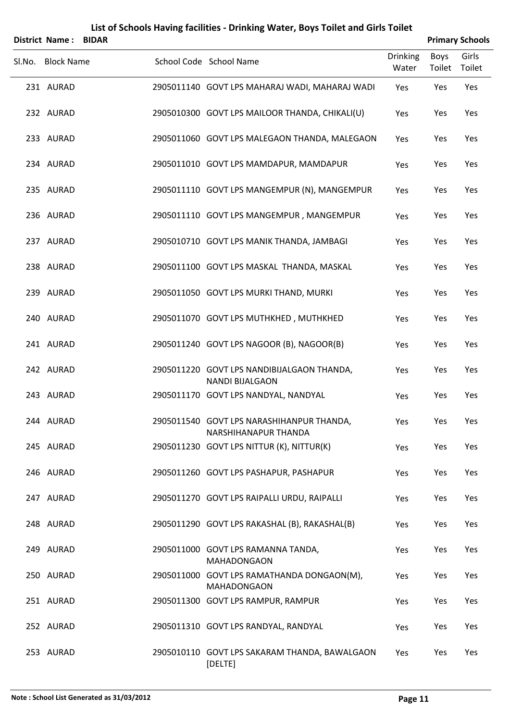| <b>District Name:</b> | <b>BIDAR</b> |                                                                      |                          |                       | <b>Primary Schools</b> |
|-----------------------|--------------|----------------------------------------------------------------------|--------------------------|-----------------------|------------------------|
| Sl.No. Block Name     |              | School Code School Name                                              | <b>Drinking</b><br>Water | Boys<br>Toilet Toilet | Girls                  |
| 231 AURAD             |              | 2905011140 GOVT LPS MAHARAJ WADI, MAHARAJ WADI                       | Yes                      | Yes                   | Yes                    |
| 232 AURAD             |              | 2905010300 GOVT LPS MAILOOR THANDA, CHIKALI(U)                       | Yes                      | Yes                   | Yes                    |
| 233 AURAD             |              | 2905011060 GOVT LPS MALEGAON THANDA, MALEGAON                        | Yes                      | Yes                   | Yes                    |
| 234 AURAD             |              | 2905011010 GOVT LPS MAMDAPUR, MAMDAPUR                               | Yes                      | Yes                   | Yes                    |
| 235 AURAD             |              | 2905011110 GOVT LPS MANGEMPUR (N), MANGEMPUR                         | Yes                      | Yes                   | Yes                    |
| 236 AURAD             |              | 2905011110 GOVT LPS MANGEMPUR, MANGEMPUR                             | Yes                      | Yes                   | Yes                    |
| 237 AURAD             |              | 2905010710 GOVT LPS MANIK THANDA, JAMBAGI                            | Yes                      | Yes                   | Yes                    |
| 238 AURAD             |              | 2905011100 GOVT LPS MASKAL THANDA, MASKAL                            | Yes                      | Yes                   | Yes                    |
| 239 AURAD             |              | 2905011050 GOVT LPS MURKI THAND, MURKI                               | Yes                      | Yes                   | Yes                    |
| 240 AURAD             |              | 2905011070 GOVT LPS MUTHKHED, MUTHKHED                               | Yes                      | Yes                   | Yes                    |
| 241 AURAD             |              | 2905011240 GOVT LPS NAGOOR (B), NAGOOR(B)                            | Yes                      | Yes                   | Yes                    |
| 242 AURAD             |              | 2905011220 GOVT LPS NANDIBIJALGAON THANDA,<br><b>NANDI BIJALGAON</b> | Yes                      | Yes                   | Yes                    |
| 243 AURAD             |              | 2905011170 GOVT LPS NANDYAL, NANDYAL                                 | Yes                      | Yes                   | Yes                    |
| 244 AURAD             |              | 2905011540 GOVT LPS NARASHIHANPUR THANDA,<br>NARSHIHANAPUR THANDA    | Yes                      | Yes                   | Yes                    |
| 245 AURAD             |              | 2905011230 GOVT LPS NITTUR (K), NITTUR(K)                            | Yes                      | Yes                   | Yes                    |
| 246 AURAD             |              | 2905011260 GOVT LPS PASHAPUR, PASHAPUR                               | Yes                      | Yes                   | Yes                    |
| 247 AURAD             |              | 2905011270 GOVT LPS RAIPALLI URDU, RAIPALLI                          | Yes                      | Yes                   | Yes                    |
| 248 AURAD             |              | 2905011290 GOVT LPS RAKASHAL (B), RAKASHAL(B)                        | Yes                      | Yes                   | Yes                    |
| 249 AURAD             |              | 2905011000 GOVT LPS RAMANNA TANDA,<br>MAHADONGAON                    | Yes                      | Yes                   | Yes                    |
| 250 AURAD             |              | 2905011000 GOVT LPS RAMATHANDA DONGAON(M),<br>MAHADONGAON            | Yes                      | Yes                   | Yes                    |
| 251 AURAD             |              | 2905011300 GOVT LPS RAMPUR, RAMPUR                                   | Yes                      | Yes                   | Yes                    |
| 252 AURAD             |              | 2905011310 GOVT LPS RANDYAL, RANDYAL                                 | Yes                      | Yes                   | Yes                    |
| 253 AURAD             |              | 2905010110 GOVT LPS SAKARAM THANDA, BAWALGAON<br>[DELTE]             | Yes                      | Yes                   | Yes                    |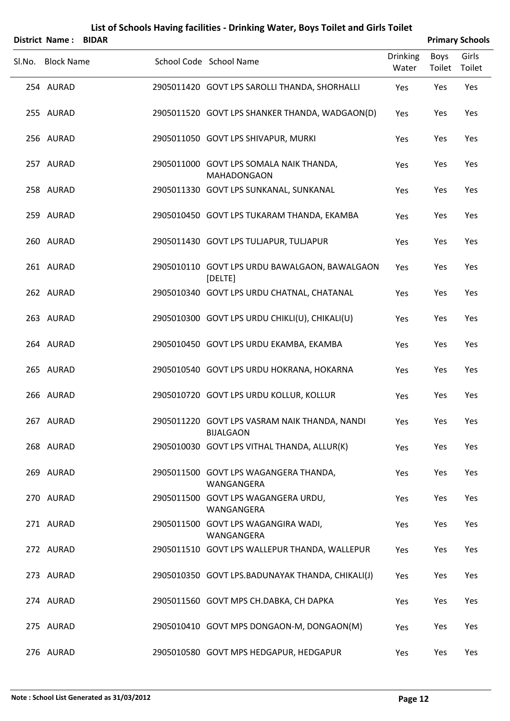| <b>District Name:</b> | <b>BIDAR</b> |                                                                   |                          |                | <b>Primary Schools</b> |
|-----------------------|--------------|-------------------------------------------------------------------|--------------------------|----------------|------------------------|
| Sl.No. Block Name     |              | School Code School Name                                           | <b>Drinking</b><br>Water | Boys<br>Toilet | Girls<br>Toilet        |
| 254 AURAD             |              | 2905011420 GOVT LPS SAROLLI THANDA, SHORHALLI                     | Yes                      | Yes            | Yes                    |
| 255 AURAD             |              | 2905011520 GOVT LPS SHANKER THANDA, WADGAON(D)                    | Yes                      | Yes            | Yes                    |
| 256 AURAD             |              | 2905011050 GOVT LPS SHIVAPUR, MURKI                               | Yes                      | Yes            | Yes                    |
| 257 AURAD             |              | 2905011000 GOVT LPS SOMALA NAIK THANDA,<br>MAHADONGAON            | Yes                      | Yes            | Yes                    |
| 258 AURAD             |              | 2905011330 GOVT LPS SUNKANAL, SUNKANAL                            | Yes                      | Yes            | Yes                    |
| 259 AURAD             |              | 2905010450 GOVT LPS TUKARAM THANDA, EKAMBA                        | Yes                      | Yes            | Yes                    |
| 260 AURAD             |              | 2905011430 GOVT LPS TULJAPUR, TULJAPUR                            | Yes                      | Yes            | Yes                    |
| 261 AURAD             |              | 2905010110 GOVT LPS URDU BAWALGAON, BAWALGAON<br>[DELTE]          | Yes                      | Yes            | Yes                    |
| 262 AURAD             |              | 2905010340 GOVT LPS URDU CHATNAL, CHATANAL                        | Yes                      | Yes            | Yes                    |
| 263 AURAD             |              | 2905010300 GOVT LPS URDU CHIKLI(U), CHIKALI(U)                    | Yes                      | Yes            | Yes                    |
| 264 AURAD             |              | 2905010450 GOVT LPS URDU EKAMBA, EKAMBA                           | Yes                      | Yes            | Yes                    |
| 265 AURAD             |              | 2905010540 GOVT LPS URDU HOKRANA, HOKARNA                         | Yes                      | Yes            | Yes                    |
| 266 AURAD             |              | 2905010720 GOVT LPS URDU KOLLUR, KOLLUR                           | Yes                      | Yes            | Yes                    |
| 267 AURAD             |              | 2905011220 GOVT LPS VASRAM NAIK THANDA, NANDI<br><b>BIJALGAON</b> | Yes                      | Yes            | Yes                    |
| 268 AURAD             |              | 2905010030 GOVT LPS VITHAL THANDA, ALLUR(K)                       | Yes                      | Yes            | Yes                    |
| 269 AURAD             |              | 2905011500 GOVT LPS WAGANGERA THANDA,<br>WANGANGERA               | Yes                      | Yes            | Yes                    |
| 270 AURAD             |              | 2905011500 GOVT LPS WAGANGERA URDU,<br>WANGANGERA                 | Yes                      | Yes            | Yes                    |
| 271 AURAD             |              | 2905011500 GOVT LPS WAGANGIRA WADI,<br>WANGANGERA                 | Yes                      | Yes            | Yes                    |
| 272 AURAD             |              | 2905011510 GOVT LPS WALLEPUR THANDA, WALLEPUR                     | Yes                      | Yes            | Yes                    |
| 273 AURAD             |              | 2905010350 GOVT LPS.BADUNAYAK THANDA, CHIKALI(J)                  | Yes                      | Yes            | Yes                    |
| 274 AURAD             |              | 2905011560 GOVT MPS CH.DABKA, CH DAPKA                            | Yes                      | Yes            | Yes                    |
| 275 AURAD             |              | 2905010410 GOVT MPS DONGAON-M, DONGAON(M)                         | Yes                      | Yes            | Yes                    |
| 276 AURAD             |              | 2905010580 GOVT MPS HEDGAPUR, HEDGAPUR                            | Yes                      | Yes            | Yes                    |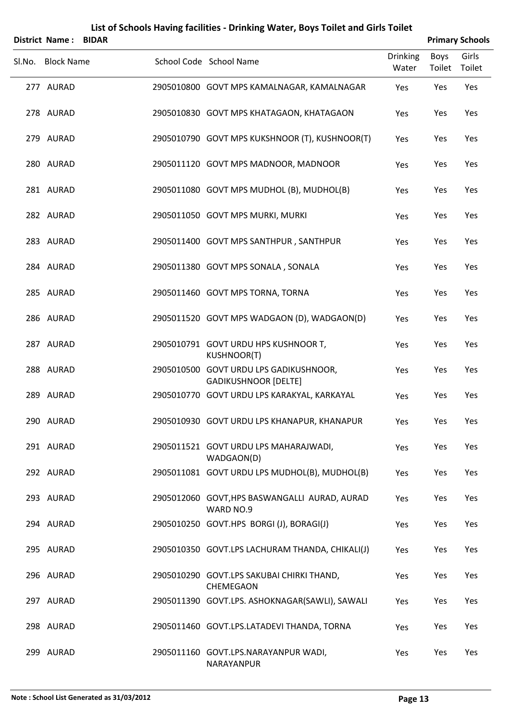| <b>District Name:</b> | <b>BIDAR</b> |                                                                       |                          |                       | <b>Primary Schools</b> |
|-----------------------|--------------|-----------------------------------------------------------------------|--------------------------|-----------------------|------------------------|
| Sl.No. Block Name     |              | School Code School Name                                               | <b>Drinking</b><br>Water | Boys<br>Toilet Toilet | Girls                  |
| 277 AURAD             |              | 2905010800 GOVT MPS KAMALNAGAR, KAMALNAGAR                            | Yes                      | Yes                   | Yes                    |
| 278 AURAD             |              | 2905010830 GOVT MPS KHATAGAON, KHATAGAON                              | Yes                      | Yes                   | Yes                    |
| 279 AURAD             |              | 2905010790 GOVT MPS KUKSHNOOR (T), KUSHNOOR(T)                        | Yes                      | Yes                   | Yes                    |
| 280 AURAD             |              | 2905011120 GOVT MPS MADNOOR, MADNOOR                                  | Yes                      | Yes                   | Yes                    |
| 281 AURAD             |              | 2905011080 GOVT MPS MUDHOL (B), MUDHOL(B)                             | Yes                      | Yes                   | Yes                    |
| 282 AURAD             |              | 2905011050 GOVT MPS MURKI, MURKI                                      | Yes                      | Yes                   | Yes                    |
| 283 AURAD             |              | 2905011400 GOVT MPS SANTHPUR, SANTHPUR                                | Yes                      | Yes                   | Yes                    |
| 284 AURAD             |              | 2905011380 GOVT MPS SONALA, SONALA                                    | Yes                      | Yes                   | Yes                    |
| 285 AURAD             |              | 2905011460 GOVT MPS TORNA, TORNA                                      | Yes                      | Yes                   | Yes                    |
| 286 AURAD             |              | 2905011520 GOVT MPS WADGAON (D), WADGAON(D)                           | Yes                      | Yes                   | Yes                    |
| 287 AURAD             |              | 2905010791 GOVT URDU HPS KUSHNOOR T,<br><b>KUSHNOOR(T)</b>            | Yes                      | Yes                   | Yes                    |
| 288 AURAD             |              | 2905010500 GOVT URDU LPS GADIKUSHNOOR,<br><b>GADIKUSHNOOR [DELTE]</b> | Yes                      | Yes                   | Yes                    |
| 289 AURAD             |              | 2905010770 GOVT URDU LPS KARAKYAL, KARKAYAL                           | Yes                      | Yes                   | Yes                    |
| 290 AURAD             |              | 2905010930 GOVT URDU LPS KHANAPUR, KHANAPUR                           | Yes                      | Yes                   | Yes                    |
| 291 AURAD             |              | 2905011521 GOVT URDU LPS MAHARAJWADI,<br>WADGAON(D)                   | Yes                      | Yes                   | Yes                    |
| 292 AURAD             |              | 2905011081 GOVT URDU LPS MUDHOL(B), MUDHOL(B)                         | Yes                      | Yes                   | Yes                    |
| 293 AURAD             |              | 2905012060 GOVT, HPS BASWANGALLI AURAD, AURAD<br>WARD NO.9            | Yes                      | Yes                   | Yes                    |
| 294 AURAD             |              | 2905010250 GOVT.HPS BORGI (J), BORAGI(J)                              | Yes                      | Yes                   | Yes                    |
| 295 AURAD             |              | 2905010350 GOVT.LPS LACHURAM THANDA, CHIKALI(J)                       | Yes                      | Yes                   | Yes                    |
| 296 AURAD             |              | 2905010290 GOVT.LPS SAKUBAI CHIRKI THAND,<br>CHEMEGAON                | Yes                      | Yes                   | Yes                    |
| 297 AURAD             |              | 2905011390 GOVT.LPS. ASHOKNAGAR(SAWLI), SAWALI                        | Yes                      | Yes                   | Yes                    |
| 298 AURAD             |              | 2905011460 GOVT.LPS.LATADEVI THANDA, TORNA                            | Yes                      | Yes                   | Yes                    |
| 299 AURAD             |              | 2905011160 GOVT.LPS.NARAYANPUR WADI,<br>NARAYANPUR                    | Yes                      | Yes                   | Yes                    |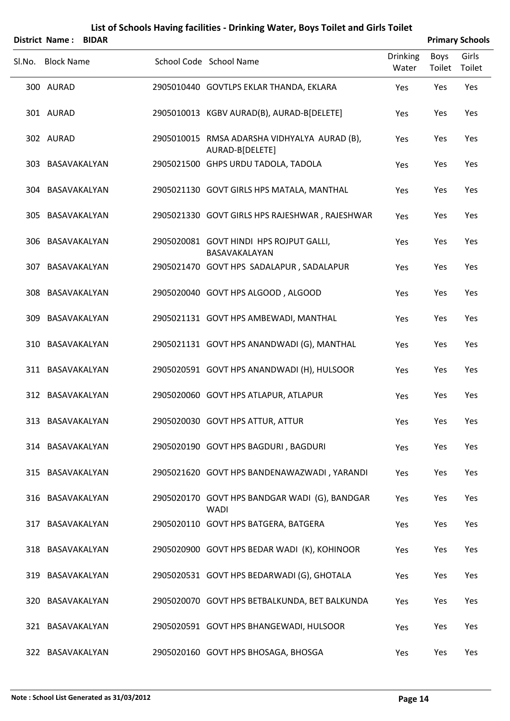|        | <b>District Name:</b> | <b>BIDAR</b> |                                                                 |                          |                | <b>Primary Schools</b> |
|--------|-----------------------|--------------|-----------------------------------------------------------------|--------------------------|----------------|------------------------|
| Sl.No. | <b>Block Name</b>     |              | School Code School Name                                         | <b>Drinking</b><br>Water | Boys<br>Toilet | Girls<br>Toilet        |
|        | 300 AURAD             |              | 2905010440 GOVTLPS EKLAR THANDA, EKLARA                         | Yes                      | Yes            | Yes                    |
|        | 301 AURAD             |              | 2905010013 KGBV AURAD(B), AURAD-B[DELETE]                       | Yes                      | Yes            | Yes                    |
|        | 302 AURAD             |              | 2905010015 RMSA ADARSHA VIDHYALYA AURAD (B),<br>AURAD-B[DELETE] | Yes                      | Yes            | Yes                    |
|        | 303 BASAVAKALYAN      |              | 2905021500 GHPS URDU TADOLA, TADOLA                             | Yes                      | Yes            | Yes                    |
|        | 304 BASAVAKALYAN      |              | 2905021130 GOVT GIRLS HPS MATALA, MANTHAL                       | Yes                      | Yes            | Yes                    |
|        | 305 BASAVAKALYAN      |              | 2905021330 GOVT GIRLS HPS RAJESHWAR, RAJESHWAR                  | Yes                      | Yes            | Yes                    |
|        | 306 BASAVAKALYAN      |              | 2905020081 GOVT HINDI HPS ROJPUT GALLI,<br>BASAVAKALAYAN        | Yes                      | Yes            | Yes                    |
|        | 307 BASAVAKALYAN      |              | 2905021470 GOVT HPS SADALAPUR, SADALAPUR                        | Yes                      | Yes            | Yes                    |
|        | 308 BASAVAKALYAN      |              | 2905020040 GOVT HPS ALGOOD, ALGOOD                              | Yes                      | Yes            | Yes                    |
|        | 309 BASAVAKALYAN      |              | 2905021131 GOVT HPS AMBEWADI, MANTHAL                           | Yes                      | Yes            | Yes                    |
|        | 310 BASAVAKALYAN      |              | 2905021131 GOVT HPS ANANDWADI (G), MANTHAL                      | Yes                      | Yes            | Yes                    |
|        | 311 BASAVAKALYAN      |              | 2905020591 GOVT HPS ANANDWADI (H), HULSOOR                      | Yes                      | Yes            | Yes                    |
|        | 312 BASAVAKALYAN      |              | 2905020060 GOVT HPS ATLAPUR, ATLAPUR                            | Yes                      | Yes            | Yes                    |
|        | 313 BASAVAKALYAN      |              | 2905020030 GOVT HPS ATTUR, ATTUR                                | Yes                      | Yes            | Yes                    |
|        | 314 BASAVAKALYAN      |              | 2905020190 GOVT HPS BAGDURI, BAGDURI                            | Yes                      | Yes            | Yes                    |
|        | 315 BASAVAKALYAN      |              | 2905021620 GOVT HPS BANDENAWAZWADI, YARANDI                     | Yes                      | Yes            | Yes                    |
|        | 316 BASAVAKALYAN      |              | 2905020170 GOVT HPS BANDGAR WADI (G), BANDGAR<br><b>WADI</b>    | Yes                      | Yes            | Yes                    |
|        | 317 BASAVAKALYAN      |              | 2905020110 GOVT HPS BATGERA, BATGERA                            | Yes                      | Yes            | Yes                    |
|        | 318 BASAVAKALYAN      |              | 2905020900 GOVT HPS BEDAR WADI (K), KOHINOOR                    | Yes                      | Yes            | Yes                    |
|        | 319 BASAVAKALYAN      |              | 2905020531 GOVT HPS BEDARWADI (G), GHOTALA                      | Yes                      | Yes            | Yes                    |
|        | 320 BASAVAKALYAN      |              | 2905020070 GOVT HPS BETBALKUNDA, BET BALKUNDA                   | Yes                      | Yes            | Yes                    |
|        | 321 BASAVAKALYAN      |              | 2905020591 GOVT HPS BHANGEWADI, HULSOOR                         | Yes                      | Yes            | Yes                    |
|        | 322 BASAVAKALYAN      |              | 2905020160 GOVT HPS BHOSAGA, BHOSGA                             | Yes                      | Yes            | Yes                    |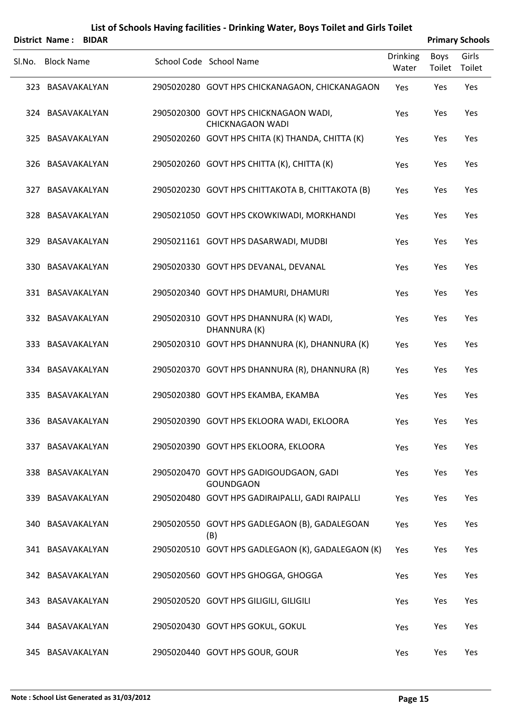|        | <b>District Name:</b> | <b>BIDAR</b> |                                                                  |                          |                       | <b>Primary Schools</b> |
|--------|-----------------------|--------------|------------------------------------------------------------------|--------------------------|-----------------------|------------------------|
| SI.No. | <b>Block Name</b>     |              | School Code School Name                                          | <b>Drinking</b><br>Water | <b>Boys</b><br>Toilet | Girls<br>Toilet        |
|        | 323 BASAVAKALYAN      |              | 2905020280 GOVT HPS CHICKANAGAON, CHICKANAGAON                   | Yes                      | Yes                   | Yes                    |
| 324    | BASAVAKALYAN          |              | 2905020300 GOVT HPS CHICKNAGAON WADI,<br><b>CHICKNAGAON WADI</b> | Yes                      | Yes                   | Yes                    |
|        | 325 BASAVAKALYAN      |              | 2905020260 GOVT HPS CHITA (K) THANDA, CHITTA (K)                 | Yes                      | Yes                   | Yes                    |
| 326    | BASAVAKALYAN          |              | 2905020260 GOVT HPS CHITTA (K), CHITTA (K)                       | Yes                      | Yes                   | Yes                    |
| 327    | BASAVAKALYAN          |              | 2905020230 GOVT HPS CHITTAKOTA B, CHITTAKOTA (B)                 | Yes                      | Yes                   | Yes                    |
| 328    | BASAVAKALYAN          |              | 2905021050 GOVT HPS CKOWKIWADI, MORKHANDI                        | Yes                      | Yes                   | Yes                    |
| 329    | BASAVAKALYAN          |              | 2905021161 GOVT HPS DASARWADI, MUDBI                             | Yes                      | Yes                   | Yes                    |
|        | 330 BASAVAKALYAN      |              | 2905020330 GOVT HPS DEVANAL, DEVANAL                             | Yes                      | Yes                   | Yes                    |
|        | 331 BASAVAKALYAN      |              | 2905020340 GOVT HPS DHAMURI, DHAMURI                             | Yes                      | Yes                   | Yes                    |
|        | 332 BASAVAKALYAN      |              | 2905020310 GOVT HPS DHANNURA (K) WADI,<br>DHANNURA (K)           | Yes                      | Yes                   | Yes                    |
| 333    | BASAVAKALYAN          |              | 2905020310 GOVT HPS DHANNURA (K), DHANNURA (K)                   | Yes                      | Yes                   | Yes                    |
| 334    | BASAVAKALYAN          |              | 2905020370 GOVT HPS DHANNURA (R), DHANNURA (R)                   | Yes                      | Yes                   | Yes                    |
| 335    | BASAVAKALYAN          |              | 2905020380 GOVT HPS EKAMBA, EKAMBA                               | Yes                      | Yes                   | Yes                    |
|        | 336 BASAVAKALYAN      |              | 2905020390 GOVT HPS EKLOORA WADI, EKLOORA                        | Yes                      | Yes                   | Yes                    |
|        | 337 BASAVAKALYAN      |              | 2905020390 GOVT HPS EKLOORA, EKLOORA                             | Yes                      | Yes                   | Yes                    |
|        | 338 BASAVAKALYAN      |              | 2905020470 GOVT HPS GADIGOUDGAON, GADI<br><b>GOUNDGAON</b>       | Yes                      | Yes                   | Yes                    |
|        | 339 BASAVAKALYAN      |              | 2905020480 GOVT HPS GADIRAIPALLI, GADI RAIPALLI                  | Yes                      | Yes                   | Yes                    |
|        | 340 BASAVAKALYAN      |              | 2905020550 GOVT HPS GADLEGAON (B), GADALEGOAN<br>(B)             | Yes                      | Yes                   | Yes                    |
|        | 341 BASAVAKALYAN      |              | 2905020510 GOVT HPS GADLEGAON (K), GADALEGAON (K)                | Yes                      | Yes                   | Yes                    |
|        | 342 BASAVAKALYAN      |              | 2905020560 GOVT HPS GHOGGA, GHOGGA                               | Yes                      | Yes                   | Yes                    |
|        | 343 BASAVAKALYAN      |              | 2905020520 GOVT HPS GILIGILI, GILIGILI                           | Yes                      | Yes                   | Yes                    |
|        | 344 BASAVAKALYAN      |              | 2905020430 GOVT HPS GOKUL, GOKUL                                 | Yes                      | Yes                   | Yes                    |
|        | 345 BASAVAKALYAN      |              | 2905020440 GOVT HPS GOUR, GOUR                                   | Yes                      | Yes                   | Yes                    |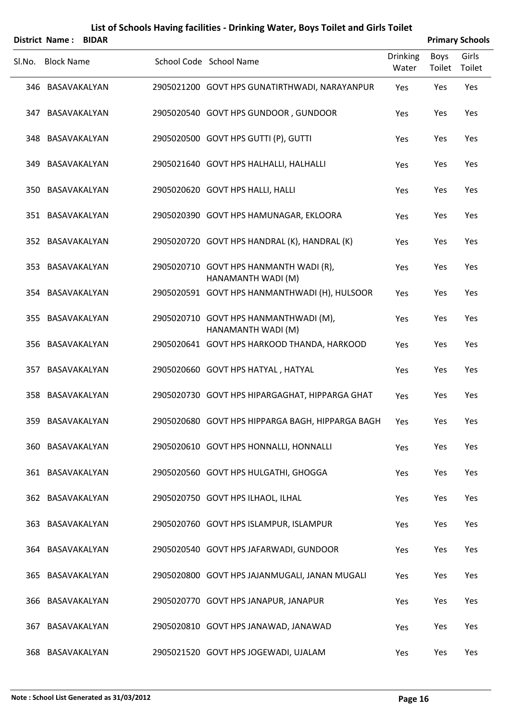| List of Schools Having facilities - Drinking Water, Boys Toilet and Girls Toilet |  |
|----------------------------------------------------------------------------------|--|
|----------------------------------------------------------------------------------|--|

|        | <b>District Name: BIDAR</b> |                                                              |                          |                | <b>Primary Schools</b> |
|--------|-----------------------------|--------------------------------------------------------------|--------------------------|----------------|------------------------|
| SI.No. | <b>Block Name</b>           | School Code School Name                                      | <b>Drinking</b><br>Water | Boys<br>Toilet | Girls<br>Toilet        |
|        | 346 BASAVAKALYAN            | 2905021200 GOVT HPS GUNATIRTHWADI, NARAYANPUR                | Yes                      | Yes            | Yes                    |
| 347    | BASAVAKALYAN                | 2905020540 GOVT HPS GUNDOOR, GUNDOOR                         | Yes                      | Yes            | Yes                    |
|        | 348 BASAVAKALYAN            | 2905020500 GOVT HPS GUTTI (P), GUTTI                         | Yes                      | Yes            | Yes                    |
| 349    | BASAVAKALYAN                | 2905021640 GOVT HPS HALHALLI, HALHALLI                       | Yes                      | Yes            | Yes                    |
|        | 350 BASAVAKALYAN            | 2905020620 GOVT HPS HALLI, HALLI                             | Yes                      | Yes            | Yes                    |
|        | 351 BASAVAKALYAN            | 2905020390 GOVT HPS HAMUNAGAR, EKLOORA                       | Yes                      | Yes            | Yes                    |
|        | 352 BASAVAKALYAN            | 2905020720 GOVT HPS HANDRAL (K), HANDRAL (K)                 | Yes                      | Yes            | Yes                    |
| 353    | BASAVAKALYAN                | 2905020710 GOVT HPS HANMANTH WADI (R),<br>HANAMANTH WADI (M) | Yes                      | Yes            | Yes                    |
|        | 354 BASAVAKALYAN            | 2905020591 GOVT HPS HANMANTHWADI (H), HULSOOR                | Yes                      | Yes            | Yes                    |
| 355    | BASAVAKALYAN                | 2905020710 GOVT HPS HANMANTHWADI (M),<br>HANAMANTH WADI (M)  | Yes                      | Yes            | Yes                    |
| 356    | BASAVAKALYAN                | 2905020641 GOVT HPS HARKOOD THANDA, HARKOOD                  | Yes                      | Yes            | Yes                    |
| 357    | BASAVAKALYAN                | 2905020660 GOVT HPS HATYAL, HATYAL                           | Yes                      | Yes            | Yes                    |
| 358    | BASAVAKALYAN                | 2905020730 GOVT HPS HIPARGAGHAT, HIPPARGA GHAT               | Yes                      | Yes            | Yes                    |
|        | 359 BASAVAKALYAN            | 2905020680 GOVT HPS HIPPARGA BAGH, HIPPARGA BAGH             | Yes                      | Yes            | Yes                    |
|        | 360 BASAVAKALYAN            | 2905020610 GOVT HPS HONNALLI, HONNALLI                       | Yes                      | Yes            | Yes                    |
|        | 361 BASAVAKALYAN            | 2905020560 GOVT HPS HULGATHI, GHOGGA                         | Yes                      | Yes            | Yes                    |
|        | 362 BASAVAKALYAN            | 2905020750 GOVT HPS ILHAOL, ILHAL                            | Yes                      | Yes            | Yes                    |
|        | 363 BASAVAKALYAN            | 2905020760 GOVT HPS ISLAMPUR, ISLAMPUR                       | Yes                      | Yes            | Yes                    |
| 364    | BASAVAKALYAN                | 2905020540 GOVT HPS JAFARWADI, GUNDOOR                       | Yes                      | Yes            | Yes                    |
|        | 365 BASAVAKALYAN            | 2905020800 GOVT HPS JAJANMUGALI, JANAN MUGALI                | Yes                      | Yes            | Yes                    |
| 366    | BASAVAKALYAN                | 2905020770 GOVT HPS JANAPUR, JANAPUR                         | Yes                      | Yes            | Yes                    |
| 367    | BASAVAKALYAN                | 2905020810 GOVT HPS JANAWAD, JANAWAD                         | Yes                      | Yes            | Yes                    |
| 368    | BASAVAKALYAN                | 2905021520 GOVT HPS JOGEWADI, UJALAM                         | Yes                      | Yes            | Yes                    |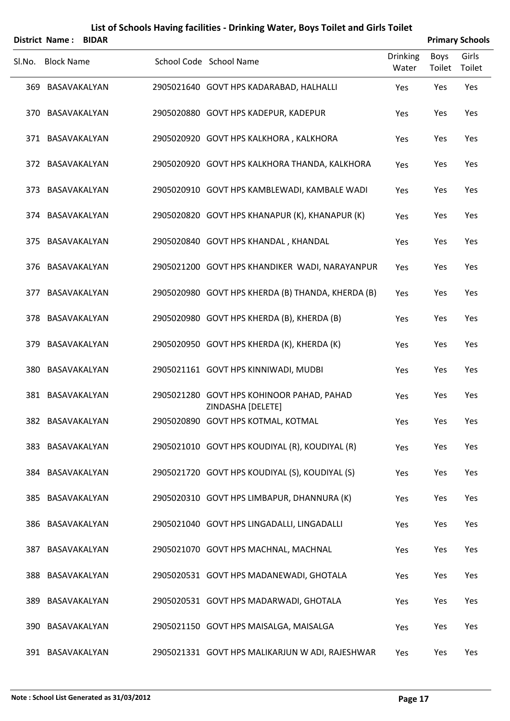|        | District Name: BIDAR |  |                                                                |                          | <b>Primary Schools</b> |                 |
|--------|----------------------|--|----------------------------------------------------------------|--------------------------|------------------------|-----------------|
| Sl.No. | <b>Block Name</b>    |  | School Code School Name                                        | <b>Drinking</b><br>Water | Boys<br>Toilet         | Girls<br>Toilet |
|        | 369 BASAVAKALYAN     |  | 2905021640 GOVT HPS KADARABAD, HALHALLI                        | Yes                      | Yes                    | Yes             |
|        | 370 BASAVAKALYAN     |  | 2905020880 GOVT HPS KADEPUR, KADEPUR                           | Yes                      | Yes                    | Yes             |
|        | 371 BASAVAKALYAN     |  | 2905020920 GOVT HPS KALKHORA, KALKHORA                         | Yes                      | Yes                    | Yes             |
|        | 372 BASAVAKALYAN     |  | 2905020920 GOVT HPS KALKHORA THANDA, KALKHORA                  | Yes                      | Yes                    | Yes             |
|        | 373 BASAVAKALYAN     |  | 2905020910 GOVT HPS KAMBLEWADI, KAMBALE WADI                   | Yes                      | Yes                    | Yes             |
|        | 374 BASAVAKALYAN     |  | 2905020820 GOVT HPS KHANAPUR (K), KHANAPUR (K)                 | Yes                      | Yes                    | Yes             |
|        | 375 BASAVAKALYAN     |  | 2905020840 GOVT HPS KHANDAL, KHANDAL                           | Yes                      | Yes                    | Yes             |
|        | 376 BASAVAKALYAN     |  | 2905021200 GOVT HPS KHANDIKER WADI, NARAYANPUR                 | Yes                      | Yes                    | Yes             |
|        | 377 BASAVAKALYAN     |  | 2905020980 GOVT HPS KHERDA (B) THANDA, KHERDA (B)              | Yes                      | Yes                    | Yes             |
|        | 378 BASAVAKALYAN     |  | 2905020980 GOVT HPS KHERDA (B), KHERDA (B)                     | Yes                      | Yes                    | Yes             |
|        | 379 BASAVAKALYAN     |  | 2905020950 GOVT HPS KHERDA (K), KHERDA (K)                     | Yes                      | Yes                    | Yes             |
|        | 380 BASAVAKALYAN     |  | 2905021161 GOVT HPS KINNIWADI, MUDBI                           | Yes                      | Yes                    | Yes             |
|        | 381 BASAVAKALYAN     |  | 2905021280 GOVT HPS KOHINOOR PAHAD, PAHAD<br>ZINDASHA [DELETE] | Yes                      | Yes                    | Yes             |
|        | 382 BASAVAKALYAN     |  | 2905020890 GOVT HPS KOTMAL, KOTMAL                             | Yes                      | Yes                    | Yes             |
|        | 383 BASAVAKALYAN     |  | 2905021010 GOVT HPS KOUDIYAL (R), KOUDIYAL (R)                 | Yes                      | Yes                    | Yes             |
|        | 384 BASAVAKALYAN     |  | 2905021720 GOVT HPS KOUDIYAL (S), KOUDIYAL (S)                 | Yes                      | Yes                    | Yes             |
|        | 385 BASAVAKALYAN     |  | 2905020310 GOVT HPS LIMBAPUR, DHANNURA (K)                     | Yes                      | Yes                    | Yes             |
|        | 386 BASAVAKALYAN     |  | 2905021040 GOVT HPS LINGADALLI, LINGADALLI                     | Yes                      | Yes                    | Yes             |
|        | 387 BASAVAKALYAN     |  | 2905021070 GOVT HPS MACHNAL, MACHNAL                           | Yes                      | Yes                    | Yes             |
|        | 388 BASAVAKALYAN     |  | 2905020531 GOVT HPS MADANEWADI, GHOTALA                        | Yes                      | Yes                    | Yes             |
|        | 389 BASAVAKALYAN     |  | 2905020531 GOVT HPS MADARWADI, GHOTALA                         | Yes                      | Yes                    | Yes             |
|        | 390 BASAVAKALYAN     |  | 2905021150 GOVT HPS MAISALGA, MAISALGA                         | Yes                      | Yes                    | Yes             |
|        |                      |  |                                                                |                          |                        |                 |

BASAVAKALYAN 2905021331 GOVT HPS MALIKARJUN W ADI, RAJESHWAR Yes Yes Yes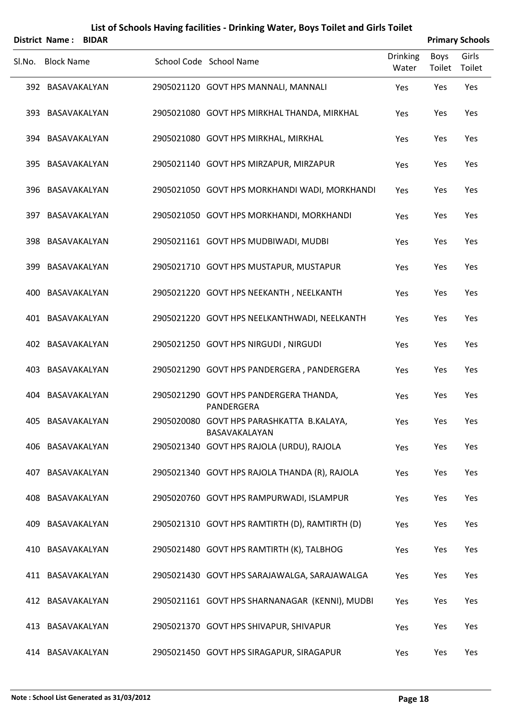| District Name: BIDAR |  |                                                            |                          |                | <b>Primary Schools</b> |
|----------------------|--|------------------------------------------------------------|--------------------------|----------------|------------------------|
| Sl.No. Block Name    |  | School Code School Name                                    | <b>Drinking</b><br>Water | Boys<br>Toilet | Girls<br>Toilet        |
| 392 BASAVAKALYAN     |  | 2905021120 GOVT HPS MANNALI, MANNALI                       | Yes                      | Yes            | Yes                    |
| 393 BASAVAKALYAN     |  | 2905021080 GOVT HPS MIRKHAL THANDA, MIRKHAL                | Yes                      | Yes            | Yes                    |
| 394 BASAVAKALYAN     |  | 2905021080 GOVT HPS MIRKHAL, MIRKHAL                       | Yes                      | Yes            | Yes                    |
| 395 BASAVAKALYAN     |  | 2905021140 GOVT HPS MIRZAPUR, MIRZAPUR                     | Yes                      | Yes            | Yes                    |
| 396 BASAVAKALYAN     |  | 2905021050 GOVT HPS MORKHANDI WADI, MORKHANDI              | Yes                      | Yes            | Yes                    |
| 397 BASAVAKALYAN     |  | 2905021050 GOVT HPS MORKHANDI, MORKHANDI                   | Yes                      | Yes            | Yes                    |
| 398 BASAVAKALYAN     |  | 2905021161 GOVT HPS MUDBIWADI, MUDBI                       | Yes                      | Yes            | Yes                    |
| 399 BASAVAKALYAN     |  | 2905021710 GOVT HPS MUSTAPUR, MUSTAPUR                     | Yes                      | Yes            | Yes                    |
| 400 BASAVAKALYAN     |  | 2905021220 GOVT HPS NEEKANTH, NEELKANTH                    | Yes                      | Yes            | Yes                    |
| 401 BASAVAKALYAN     |  | 2905021220 GOVT HPS NEELKANTHWADI, NEELKANTH               | Yes                      | Yes            | Yes                    |
| 402 BASAVAKALYAN     |  | 2905021250 GOVT HPS NIRGUDI, NIRGUDI                       | Yes                      | Yes            | Yes                    |
| 403 BASAVAKALYAN     |  | 2905021290 GOVT HPS PANDERGERA, PANDERGERA                 | Yes                      | Yes            | Yes                    |
| 404 BASAVAKALYAN     |  | 2905021290 GOVT HPS PANDERGERA THANDA,<br>PANDERGERA       | Yes                      | Yes            | Yes                    |
| 405 BASAVAKALYAN     |  | 2905020080 GOVT HPS PARASHKATTA B.KALAYA,<br>BASAVAKALAYAN | Yes                      | Yes            | Yes                    |
| 406 BASAVAKALYAN     |  | 2905021340 GOVT HPS RAJOLA (URDU), RAJOLA                  | Yes                      | Yes            | Yes                    |
| 407 BASAVAKALYAN     |  | 2905021340 GOVT HPS RAJOLA THANDA (R), RAJOLA              | Yes                      | Yes            | Yes                    |
| 408 BASAVAKALYAN     |  | 2905020760 GOVT HPS RAMPURWADI, ISLAMPUR                   | Yes                      | Yes            | Yes                    |
| 409 BASAVAKALYAN     |  | 2905021310 GOVT HPS RAMTIRTH (D), RAMTIRTH (D)             | Yes                      | Yes            | Yes                    |
| 410 BASAVAKALYAN     |  | 2905021480 GOVT HPS RAMTIRTH (K), TALBHOG                  | Yes                      | Yes            | Yes                    |
| 411 BASAVAKALYAN     |  | 2905021430 GOVT HPS SARAJAWALGA, SARAJAWALGA               | Yes                      | Yes            | Yes                    |
| 412 BASAVAKALYAN     |  | 2905021161 GOVT HPS SHARNANAGAR (KENNI), MUDBI             | Yes                      | Yes            | Yes                    |
| 413 BASAVAKALYAN     |  | 2905021370 GOVT HPS SHIVAPUR, SHIVAPUR                     | Yes                      | Yes            | Yes                    |
| 414 BASAVAKALYAN     |  | 2905021450 GOVT HPS SIRAGAPUR, SIRAGAPUR                   | Yes                      | Yes            | Yes                    |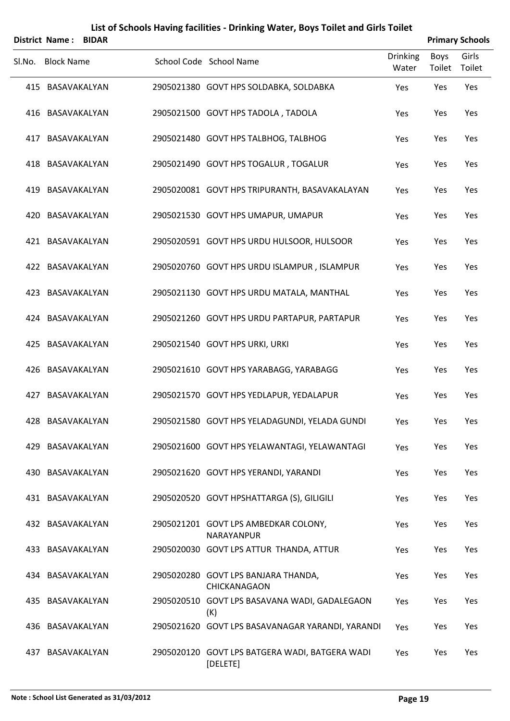|        | <b>District Name:</b> | <b>BIDAR</b> |                                                            |                   | <b>Primary Schools</b> |                 |
|--------|-----------------------|--------------|------------------------------------------------------------|-------------------|------------------------|-----------------|
| SI.No. | <b>Block Name</b>     |              | School Code School Name                                    | Drinking<br>Water | <b>Boys</b><br>Toilet  | Girls<br>Toilet |
|        | 415 BASAVAKALYAN      |              | 2905021380 GOVT HPS SOLDABKA, SOLDABKA                     | Yes               | Yes                    | Yes             |
|        | 416 BASAVAKALYAN      |              | 2905021500 GOVT HPS TADOLA, TADOLA                         | Yes               | Yes                    | Yes             |
|        | 417 BASAVAKALYAN      |              | 2905021480 GOVT HPS TALBHOG, TALBHOG                       | Yes               | Yes                    | Yes             |
|        | 418 BASAVAKALYAN      |              | 2905021490 GOVT HPS TOGALUR, TOGALUR                       | Yes               | Yes                    | Yes             |
|        | 419 BASAVAKALYAN      |              | 2905020081 GOVT HPS TRIPURANTH, BASAVAKALAYAN              | Yes               | Yes                    | Yes             |
|        | 420 BASAVAKALYAN      |              | 2905021530 GOVT HPS UMAPUR, UMAPUR                         | Yes               | Yes                    | Yes             |
|        | 421 BASAVAKALYAN      |              | 2905020591 GOVT HPS URDU HULSOOR, HULSOOR                  | Yes               | Yes                    | Yes             |
|        | 422 BASAVAKALYAN      |              | 2905020760 GOVT HPS URDU ISLAMPUR, ISLAMPUR                | Yes               | Yes                    | Yes             |
|        | 423 BASAVAKALYAN      |              | 2905021130 GOVT HPS URDU MATALA, MANTHAL                   | Yes               | Yes                    | Yes             |
|        | 424 BASAVAKALYAN      |              | 2905021260 GOVT HPS URDU PARTAPUR, PARTAPUR                | Yes               | Yes                    | Yes             |
|        | 425 BASAVAKALYAN      |              | 2905021540 GOVT HPS URKI, URKI                             | Yes               | Yes                    | Yes             |
|        | 426 BASAVAKALYAN      |              | 2905021610 GOVT HPS YARABAGG, YARABAGG                     | Yes               | Yes                    | Yes             |
| 427    | BASAVAKALYAN          |              | 2905021570 GOVT HPS YEDLAPUR, YEDALAPUR                    | Yes               | Yes                    | Yes             |
|        | 428 BASAVAKALYAN      |              | 2905021580 GOVT HPS YELADAGUNDI, YELADA GUNDI              | Yes               | Yes                    | Yes             |
|        | 429 BASAVAKALYAN      |              | 2905021600 GOVT HPS YELAWANTAGI, YELAWANTAGI               | Yes               | Yes                    | Yes             |
|        | 430 BASAVAKALYAN      |              | 2905021620 GOVT HPS YERANDI, YARANDI                       | Yes               | Yes                    | Yes             |
|        | 431 BASAVAKALYAN      |              | 2905020520 GOVT HPSHATTARGA (S), GILIGILI                  | Yes               | Yes                    | Yes             |
|        | 432 BASAVAKALYAN      |              | 2905021201 GOVT LPS AMBEDKAR COLONY,<br>NARAYANPUR         | Yes               | Yes                    | Yes             |
|        | 433 BASAVAKALYAN      |              | 2905020030 GOVT LPS ATTUR THANDA, ATTUR                    | Yes               | Yes                    | Yes             |
|        | 434 BASAVAKALYAN      |              | 2905020280 GOVT LPS BANJARA THANDA,<br>CHICKANAGAON        | Yes               | Yes                    | Yes             |
|        | 435 BASAVAKALYAN      |              | 2905020510 GOVT LPS BASAVANA WADI, GADALEGAON<br>(K)       | Yes               | Yes                    | Yes             |
| 436    | BASAVAKALYAN          |              | 2905021620 GOVT LPS BASAVANAGAR YARANDI, YARANDI           | Yes               | Yes                    | Yes             |
|        | 437 BASAVAKALYAN      |              | 2905020120 GOVT LPS BATGERA WADI, BATGERA WADI<br>[DELETE] | Yes               | Yes                    | Yes             |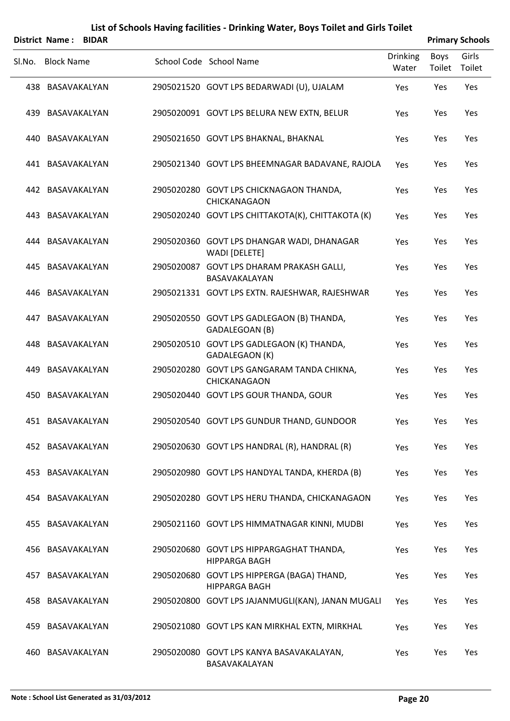|        | <b>District Name: BIDAR</b> |  |                                                                    |                          |                | <b>Primary Schools</b> |
|--------|-----------------------------|--|--------------------------------------------------------------------|--------------------------|----------------|------------------------|
| SI.No. | <b>Block Name</b>           |  | School Code School Name                                            | <b>Drinking</b><br>Water | Boys<br>Toilet | Girls<br>Toilet        |
|        | 438 BASAVAKALYAN            |  | 2905021520 GOVT LPS BEDARWADI (U), UJALAM                          | Yes                      | Yes            | Yes                    |
| 439    | BASAVAKALYAN                |  | 2905020091 GOVT LPS BELURA NEW EXTN, BELUR                         | Yes                      | Yes            | Yes                    |
|        | 440 BASAVAKALYAN            |  | 2905021650 GOVT LPS BHAKNAL, BHAKNAL                               | Yes                      | Yes            | Yes                    |
|        | 441 BASAVAKALYAN            |  | 2905021340 GOVT LPS BHEEMNAGAR BADAVANE, RAJOLA                    | Yes                      | Yes            | Yes                    |
|        | 442 BASAVAKALYAN            |  | 2905020280 GOVT LPS CHICKNAGAON THANDA,<br>CHICKANAGAON            | Yes                      | Yes            | Yes                    |
| 443.   | BASAVAKALYAN                |  | 2905020240 GOVT LPS CHITTAKOTA(K), CHITTAKOTA (K)                  | Yes                      | Yes            | Yes                    |
| 444    | BASAVAKALYAN                |  | 2905020360 GOVT LPS DHANGAR WADI, DHANAGAR<br>WADI [DELETE]        | Yes                      | Yes            | Yes                    |
| 445    | BASAVAKALYAN                |  | 2905020087 GOVT LPS DHARAM PRAKASH GALLI,<br>BASAVAKALAYAN         | Yes                      | Yes            | Yes                    |
| 446    | BASAVAKALYAN                |  | 2905021331 GOVT LPS EXTN. RAJESHWAR, RAJESHWAR                     | Yes                      | Yes            | Yes                    |
| 447    | BASAVAKALYAN                |  | 2905020550 GOVT LPS GADLEGAON (B) THANDA,<br>GADALEGOAN (B)        | Yes                      | Yes            | Yes                    |
| 448    | BASAVAKALYAN                |  | 2905020510 GOVT LPS GADLEGAON (K) THANDA,<br>GADALEGAON (K)        | Yes                      | Yes            | Yes                    |
| 449.   | BASAVAKALYAN                |  | 2905020280 GOVT LPS GANGARAM TANDA CHIKNA,<br>CHICKANAGAON         | Yes                      | Yes            | Yes                    |
| 450    | BASAVAKALYAN                |  | 2905020440 GOVT LPS GOUR THANDA, GOUR                              | Yes                      | Yes            | Yes                    |
|        | 451 BASAVAKALYAN            |  | 2905020540 GOVT LPS GUNDUR THAND, GUNDOOR                          | Yes                      | Yes            | Yes                    |
|        | 452 BASAVAKALYAN            |  | 2905020630 GOVT LPS HANDRAL (R), HANDRAL (R)                       | Yes                      | Yes            | Yes                    |
|        | 453 BASAVAKALYAN            |  | 2905020980 GOVT LPS HANDYAL TANDA, KHERDA (B)                      | Yes                      | Yes            | Yes                    |
| 454    | BASAVAKALYAN                |  | 2905020280 GOVT LPS HERU THANDA, CHICKANAGAON                      | Yes                      | Yes            | Yes                    |
|        | 455 BASAVAKALYAN            |  | 2905021160 GOVT LPS HIMMATNAGAR KINNI, MUDBI                       | Yes                      | Yes            | Yes                    |
|        | 456 BASAVAKALYAN            |  | 2905020680 GOVT LPS HIPPARGAGHAT THANDA,<br><b>HIPPARGA BAGH</b>   | Yes                      | Yes            | Yes                    |
| 457    | BASAVAKALYAN                |  | 2905020680 GOVT LPS HIPPERGA (BAGA) THAND,<br><b>HIPPARGA BAGH</b> | Yes                      | Yes            | Yes                    |
| 458    | BASAVAKALYAN                |  | 2905020800 GOVT LPS JAJANMUGLI(KAN), JANAN MUGALI                  | Yes                      | Yes            | Yes                    |
| 459    | BASAVAKALYAN                |  | 2905021080 GOVT LPS KAN MIRKHAL EXTN, MIRKHAL                      | Yes                      | Yes            | Yes                    |
| 460    | BASAVAKALYAN                |  | 2905020080 GOVT LPS KANYA BASAVAKALAYAN,<br>BASAVAKALAYAN          | Yes                      | Yes            | Yes                    |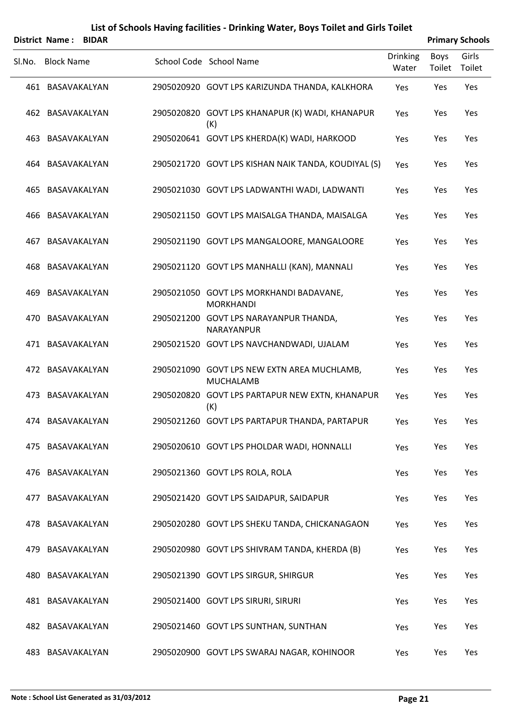|        | District Name:<br><b>BIDAR</b> |                                                                 |                          |                       | <b>Primary Schools</b> |
|--------|--------------------------------|-----------------------------------------------------------------|--------------------------|-----------------------|------------------------|
| Sl.No. | <b>Block Name</b>              | School Code School Name                                         | <b>Drinking</b><br>Water | <b>Boys</b><br>Toilet | Girls<br>Toilet        |
|        | 461 BASAVAKALYAN               | 2905020920 GOVT LPS KARIZUNDA THANDA, KALKHORA                  | Yes                      | Yes                   | Yes                    |
|        | 462 BASAVAKALYAN               | 2905020820 GOVT LPS KHANAPUR (K) WADI, KHANAPUR<br>(K)          | Yes                      | Yes                   | Yes                    |
|        | 463 BASAVAKALYAN               | 2905020641 GOVT LPS KHERDA(K) WADI, HARKOOD                     | Yes                      | Yes                   | Yes                    |
| 464    | BASAVAKALYAN                   | 2905021720 GOVT LPS KISHAN NAIK TANDA, KOUDIYAL (S)             | Yes                      | Yes                   | Yes                    |
|        | 465 BASAVAKALYAN               | 2905021030 GOVT LPS LADWANTHI WADI, LADWANTI                    | Yes                      | Yes                   | Yes                    |
| 466    | BASAVAKALYAN                   | 2905021150 GOVT LPS MAISALGA THANDA, MAISALGA                   | Yes                      | Yes                   | Yes                    |
| 467    | BASAVAKALYAN                   | 2905021190 GOVT LPS MANGALOORE, MANGALOORE                      | Yes                      | Yes                   | Yes                    |
| 468    | BASAVAKALYAN                   | 2905021120 GOVT LPS MANHALLI (KAN), MANNALI                     | Yes                      | Yes                   | Yes                    |
| 469    | BASAVAKALYAN                   | 2905021050 GOVT LPS MORKHANDI BADAVANE,<br><b>MORKHANDI</b>     | Yes                      | Yes                   | Yes                    |
| 470    | BASAVAKALYAN                   | 2905021200 GOVT LPS NARAYANPUR THANDA,<br>NARAYANPUR            | Yes                      | Yes                   | Yes                    |
|        | 471 BASAVAKALYAN               | 2905021520 GOVT LPS NAVCHANDWADI, UJALAM                        | Yes                      | Yes                   | Yes                    |
|        | 472 BASAVAKALYAN               | 2905021090 GOVT LPS NEW EXTN AREA MUCHLAMB,<br><b>MUCHALAMB</b> | Yes                      | Yes                   | Yes                    |
| 473    | BASAVAKALYAN                   | 2905020820 GOVT LPS PARTAPUR NEW EXTN, KHANAPUR<br>(K)          | Yes                      | Yes                   | Yes                    |
|        | 474 BASAVAKALYAN               | 2905021260 GOVT LPS PARTAPUR THANDA, PARTAPUR                   | Yes                      | Yes                   | Yes                    |
|        | 475 BASAVAKALYAN               | 2905020610 GOVT LPS PHOLDAR WADI, HONNALLI                      | Yes                      | Yes                   | Yes                    |
|        | 476 BASAVAKALYAN               | 2905021360 GOVT LPS ROLA, ROLA                                  | Yes                      | Yes                   | Yes                    |
| 477    | BASAVAKALYAN                   | 2905021420 GOVT LPS SAIDAPUR, SAIDAPUR                          | Yes                      | Yes                   | Yes                    |
|        | 478 BASAVAKALYAN               | 2905020280 GOVT LPS SHEKU TANDA, CHICKANAGAON                   | Yes                      | Yes                   | Yes                    |
|        | 479 BASAVAKALYAN               | 2905020980 GOVT LPS SHIVRAM TANDA, KHERDA (B)                   | Yes                      | Yes                   | Yes                    |
|        | 480 BASAVAKALYAN               | 2905021390 GOVT LPS SIRGUR, SHIRGUR                             | Yes                      | Yes                   | Yes                    |
|        | 481 BASAVAKALYAN               | 2905021400 GOVT LPS SIRURI, SIRURI                              | Yes                      | Yes                   | Yes                    |
|        | 482 BASAVAKALYAN               | 2905021460 GOVT LPS SUNTHAN, SUNTHAN                            | Yes                      | Yes                   | Yes                    |
|        | 483 BASAVAKALYAN               | 2905020900 GOVT LPS SWARAJ NAGAR, KOHINOOR                      | Yes                      | Yes                   | Yes                    |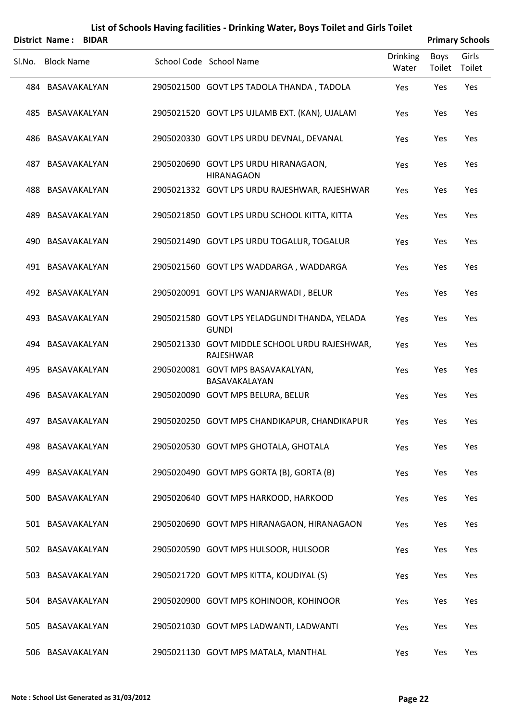|        | <b>District Name:</b><br><b>BIDAR</b> |                                                               |                          |                | <b>Primary Schools</b> |
|--------|---------------------------------------|---------------------------------------------------------------|--------------------------|----------------|------------------------|
| SI.No. | <b>Block Name</b>                     | School Code School Name                                       | <b>Drinking</b><br>Water | Boys<br>Toilet | Girls<br>Toilet        |
|        | 484 BASAVAKALYAN                      | 2905021500 GOVT LPS TADOLA THANDA, TADOLA                     | Yes                      | Yes            | Yes                    |
| 485    | BASAVAKALYAN                          | 2905021520 GOVT LPS UJLAMB EXT. (KAN), UJALAM                 | Yes                      | Yes            | Yes                    |
|        | 486 BASAVAKALYAN                      | 2905020330 GOVT LPS URDU DEVNAL, DEVANAL                      | Yes                      | Yes            | Yes                    |
| 487    | BASAVAKALYAN                          | 2905020690 GOVT LPS URDU HIRANAGAON,<br><b>HIRANAGAON</b>     | Yes                      | Yes            | Yes                    |
|        | 488 BASAVAKALYAN                      | 2905021332 GOVT LPS URDU RAJESHWAR, RAJESHWAR                 | Yes                      | Yes            | Yes                    |
| 489    | BASAVAKALYAN                          | 2905021850 GOVT LPS URDU SCHOOL KITTA, KITTA                  | Yes                      | Yes            | Yes                    |
|        | 490 BASAVAKALYAN                      | 2905021490 GOVT LPS URDU TOGALUR, TOGALUR                     | Yes                      | Yes            | Yes                    |
|        | 491 BASAVAKALYAN                      | 2905021560 GOVT LPS WADDARGA, WADDARGA                        | Yes                      | Yes            | Yes                    |
|        | 492 BASAVAKALYAN                      | 2905020091 GOVT LPS WANJARWADI, BELUR                         | Yes                      | Yes            | Yes                    |
|        | 493 BASAVAKALYAN                      | 2905021580 GOVT LPS YELADGUNDI THANDA, YELADA<br><b>GUNDI</b> | Yes                      | Yes            | Yes                    |
|        | 494 BASAVAKALYAN                      | 2905021330 GOVT MIDDLE SCHOOL URDU RAJESHWAR,<br>RAJESHWAR    | Yes                      | Yes            | Yes                    |
| 495    | BASAVAKALYAN                          | 2905020081 GOVT MPS BASAVAKALYAN,<br>BASAVAKALAYAN            | Yes                      | Yes            | Yes                    |
|        | 496 BASAVAKALYAN                      | 2905020090 GOVT MPS BELURA, BELUR                             | Yes                      | Yes            | Yes                    |
|        | 497 BASAVAKALYAN                      | 2905020250 GOVT MPS CHANDIKAPUR, CHANDIKAPUR                  | Yes                      | Yes            | Yes                    |
|        | 498 BASAVAKALYAN                      | 2905020530 GOVT MPS GHOTALA, GHOTALA                          | Yes                      | Yes            | Yes                    |
|        | 499 BASAVAKALYAN                      | 2905020490 GOVT MPS GORTA (B), GORTA (B)                      | Yes                      | Yes            | Yes                    |
|        | 500 BASAVAKALYAN                      | 2905020640 GOVT MPS HARKOOD, HARKOOD                          | Yes                      | Yes            | Yes                    |
|        | 501 BASAVAKALYAN                      | 2905020690 GOVT MPS HIRANAGAON, HIRANAGAON                    | Yes                      | Yes            | Yes                    |
|        | 502 BASAVAKALYAN                      | 2905020590 GOVT MPS HULSOOR, HULSOOR                          | Yes                      | Yes            | Yes                    |
|        | 503 BASAVAKALYAN                      | 2905021720 GOVT MPS KITTA, KOUDIYAL (S)                       | Yes                      | Yes            | Yes                    |
|        | 504 BASAVAKALYAN                      | 2905020900 GOVT MPS KOHINOOR, KOHINOOR                        | Yes                      | Yes            | Yes                    |
|        | 505 BASAVAKALYAN                      | 2905021030 GOVT MPS LADWANTI, LADWANTI                        | Yes                      | Yes            | Yes                    |
|        | 506 BASAVAKALYAN                      | 2905021130 GOVT MPS MATALA, MANTHAL                           | Yes                      | Yes            | Yes                    |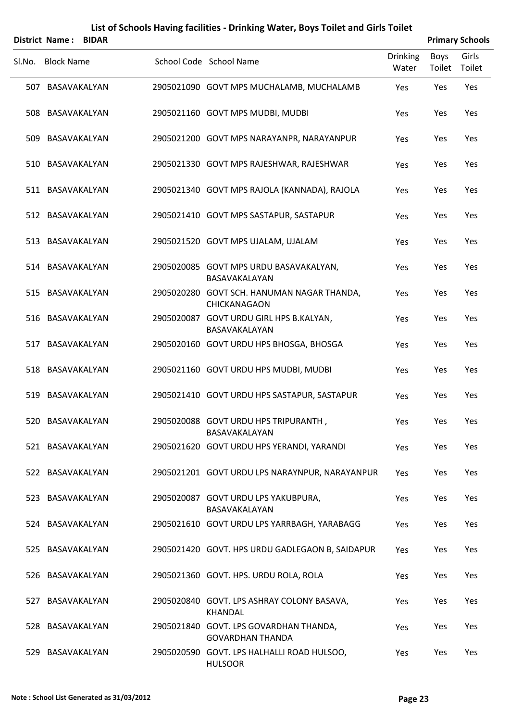|        | District Name:    | <b>BIDAR</b> |                                                                   |                          |                | <b>Primary Schools</b> |
|--------|-------------------|--------------|-------------------------------------------------------------------|--------------------------|----------------|------------------------|
| SI.No. | <b>Block Name</b> |              | School Code School Name                                           | <b>Drinking</b><br>Water | Boys<br>Toilet | Girls<br>Toilet        |
|        | 507 BASAVAKALYAN  |              | 2905021090 GOVT MPS MUCHALAMB, MUCHALAMB                          | Yes                      | Yes            | Yes                    |
| 508    | BASAVAKALYAN      |              | 2905021160 GOVT MPS MUDBI, MUDBI                                  | Yes                      | Yes            | Yes                    |
| 509    | BASAVAKALYAN      |              | 2905021200 GOVT MPS NARAYANPR, NARAYANPUR                         | Yes                      | Yes            | Yes                    |
| 510    | BASAVAKALYAN      |              | 2905021330 GOVT MPS RAJESHWAR, RAJESHWAR                          | Yes                      | Yes            | Yes                    |
|        | 511 BASAVAKALYAN  |              | 2905021340 GOVT MPS RAJOLA (KANNADA), RAJOLA                      | Yes                      | Yes            | Yes                    |
|        | 512 BASAVAKALYAN  |              | 2905021410 GOVT MPS SASTAPUR, SASTAPUR                            | Yes                      | Yes            | Yes                    |
| 513    | BASAVAKALYAN      |              | 2905021520 GOVT MPS UJALAM, UJALAM                                | Yes                      | Yes            | Yes                    |
| 514    | BASAVAKALYAN      |              | 2905020085 GOVT MPS URDU BASAVAKALYAN,<br>BASAVAKALAYAN           | Yes                      | Yes            | Yes                    |
| 515    | BASAVAKALYAN      |              | 2905020280 GOVT SCH. HANUMAN NAGAR THANDA,<br>CHICKANAGAON        | Yes                      | Yes            | Yes                    |
| 516    | BASAVAKALYAN      |              | 2905020087 GOVT URDU GIRL HPS B.KALYAN,<br>BASAVAKALAYAN          | Yes                      | Yes            | Yes                    |
| 517    | BASAVAKALYAN      |              | 2905020160 GOVT URDU HPS BHOSGA, BHOSGA                           | Yes                      | Yes            | Yes                    |
| 518    | BASAVAKALYAN      |              | 2905021160 GOVT URDU HPS MUDBI, MUDBI                             | Yes                      | Yes            | Yes                    |
| 519    | BASAVAKALYAN      |              | 2905021410 GOVT URDU HPS SASTAPUR, SASTAPUR                       | Yes                      | Yes            | Yes                    |
|        | 520 BASAVAKALYAN  |              | 2905020088 GOVT URDU HPS TRIPURANTH,<br>BASAVAKALAYAN             | Yes                      | Yes            | Yes                    |
|        | 521 BASAVAKALYAN  |              | 2905021620 GOVT URDU HPS YERANDI, YARANDI                         | Yes                      | Yes            | Yes                    |
|        | 522 BASAVAKALYAN  |              | 2905021201 GOVT URDU LPS NARAYNPUR, NARAYANPUR                    | Yes                      | Yes            | Yes                    |
|        | 523 BASAVAKALYAN  |              | 2905020087 GOVT URDU LPS YAKUBPURA,<br>BASAVAKALAYAN              | Yes                      | Yes            | Yes                    |
|        | 524 BASAVAKALYAN  |              | 2905021610 GOVT URDU LPS YARRBAGH, YARABAGG                       | Yes                      | Yes            | Yes                    |
|        | 525 BASAVAKALYAN  |              | 2905021420 GOVT. HPS URDU GADLEGAON B, SAIDAPUR                   | Yes                      | Yes            | Yes                    |
|        | 526 BASAVAKALYAN  |              | 2905021360 GOVT. HPS. URDU ROLA, ROLA                             | <b>Yes</b>               | Yes            | Yes                    |
|        | 527 BASAVAKALYAN  |              | 2905020840 GOVT. LPS ASHRAY COLONY BASAVA,<br><b>KHANDAL</b>      | Yes                      | Yes            | Yes                    |
|        | 528 BASAVAKALYAN  |              | 2905021840 GOVT. LPS GOVARDHAN THANDA,<br><b>GOVARDHAN THANDA</b> | Yes                      | Yes            | Yes                    |
| 529    | BASAVAKALYAN      |              | 2905020590 GOVT. LPS HALHALLI ROAD HULSOO,<br><b>HULSOOR</b>      | Yes                      | Yes            | Yes                    |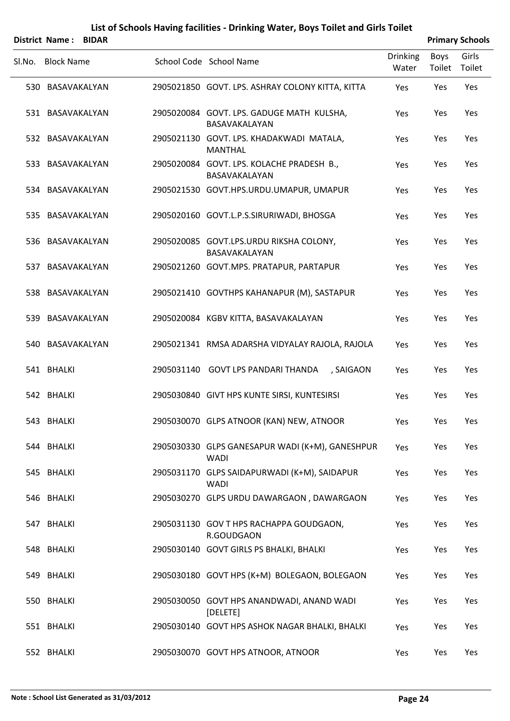|        | <b>District Name: BIDAR</b> |                                                                |                          |                | <b>Primary Schools</b> |
|--------|-----------------------------|----------------------------------------------------------------|--------------------------|----------------|------------------------|
| SI.No. | <b>Block Name</b>           | School Code School Name                                        | <b>Drinking</b><br>Water | Boys<br>Toilet | Girls<br>Toilet        |
|        | 530 BASAVAKALYAN            | 2905021850 GOVT. LPS. ASHRAY COLONY KITTA, KITTA               | Yes                      | Yes            | Yes                    |
|        | 531 BASAVAKALYAN            | 2905020084 GOVT. LPS. GADUGE MATH KULSHA,<br>BASAVAKALAYAN     | Yes                      | Yes            | Yes                    |
|        | 532 BASAVAKALYAN            | 2905021130 GOVT. LPS. KHADAKWADI MATALA,<br><b>MANTHAL</b>     | Yes                      | Yes            | Yes                    |
| 533    | BASAVAKALYAN                | 2905020084 GOVT. LPS. KOLACHE PRADESH B.,<br>BASAVAKALAYAN     | Yes                      | Yes            | Yes                    |
|        | 534 BASAVAKALYAN            | 2905021530 GOVT.HPS.URDU.UMAPUR, UMAPUR                        | Yes                      | Yes            | Yes                    |
|        | 535 BASAVAKALYAN            | 2905020160 GOVT.L.P.S.SIRURIWADI, BHOSGA                       | Yes                      | Yes            | Yes                    |
|        | 536 BASAVAKALYAN            | 2905020085 GOVT.LPS.URDU RIKSHA COLONY,<br>BASAVAKALAYAN       | Yes                      | Yes            | Yes                    |
|        | 537 BASAVAKALYAN            | 2905021260 GOVT.MPS. PRATAPUR, PARTAPUR                        | Yes                      | Yes            | Yes                    |
|        | 538 BASAVAKALYAN            | 2905021410 GOVTHPS KAHANAPUR (M), SASTAPUR                     | Yes                      | Yes            | Yes                    |
|        | 539 BASAVAKALYAN            | 2905020084 KGBV KITTA, BASAVAKALAYAN                           | Yes                      | Yes            | Yes                    |
|        | 540 BASAVAKALYAN            | 2905021341 RMSA ADARSHA VIDYALAY RAJOLA, RAJOLA                | Yes                      | Yes            | Yes                    |
|        | 541 BHALKI                  | 2905031140 GOVT LPS PANDARI THANDA<br>, SAIGAON                | Yes                      | Yes            | Yes                    |
|        | 542 BHALKI                  | 2905030840 GIVT HPS KUNTE SIRSI, KUNTESIRSI                    | Yes                      | Yes            | Yes                    |
|        | 543 BHALKI                  | 2905030070 GLPS ATNOOR (KAN) NEW, ATNOOR                       | Yes                      | Yes            | Yes                    |
|        | 544 BHALKI                  | 2905030330 GLPS GANESAPUR WADI (K+M), GANESHPUR<br><b>WADI</b> | Yes                      | Yes            | Yes                    |
|        | 545 BHALKI                  | 2905031170 GLPS SAIDAPURWADI (K+M), SAIDAPUR<br><b>WADI</b>    | Yes                      | Yes            | Yes                    |
|        | 546 BHALKI                  | 2905030270 GLPS URDU DAWARGAON, DAWARGAON                      | Yes                      | Yes            | Yes                    |
|        | 547 BHALKI                  | 2905031130 GOV T HPS RACHAPPA GOUDGAON,<br>R.GOUDGAON          | Yes                      | Yes            | Yes                    |
|        | 548 BHALKI                  | 2905030140 GOVT GIRLS PS BHALKI, BHALKI                        | Yes                      | Yes            | Yes                    |
|        | 549 BHALKI                  | 2905030180 GOVT HPS (K+M) BOLEGAON, BOLEGAON                   | Yes                      | Yes            | Yes                    |
|        | 550 BHALKI                  | 2905030050 GOVT HPS ANANDWADI, ANAND WADI<br>[DELETE]          | Yes                      | Yes            | Yes                    |
|        | 551 BHALKI                  | 2905030140 GOVT HPS ASHOK NAGAR BHALKI, BHALKI                 | Yes                      | Yes            | Yes                    |
|        | 552 BHALKI                  | 2905030070 GOVT HPS ATNOOR, ATNOOR                             | Yes                      | Yes            | Yes                    |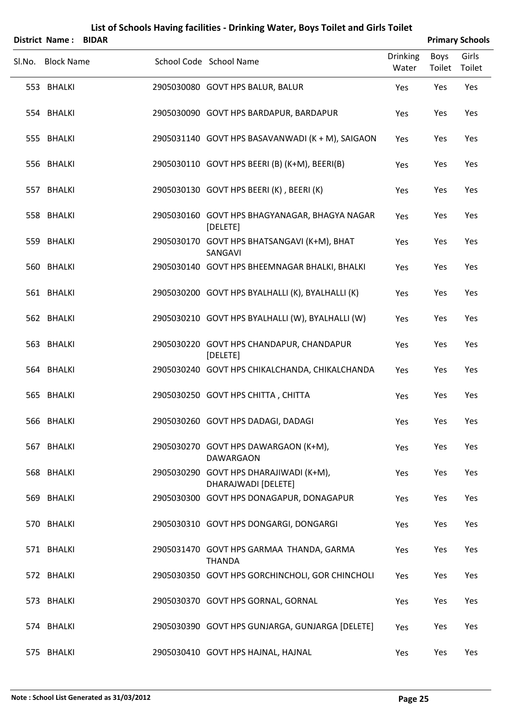|        | District Name:    | <b>BIDAR</b> |                                                               |                          | <b>Primary Schools</b> |                 |
|--------|-------------------|--------------|---------------------------------------------------------------|--------------------------|------------------------|-----------------|
| Sl.No. | <b>Block Name</b> |              | School Code School Name                                       | <b>Drinking</b><br>Water | <b>Boys</b><br>Toilet  | Girls<br>Toilet |
|        | 553 BHALKI        |              | 2905030080 GOVT HPS BALUR, BALUR                              | Yes                      | Yes                    | Yes             |
|        | 554 BHALKI        |              | 2905030090 GOVT HPS BARDAPUR, BARDAPUR                        | Yes                      | Yes                    | Yes             |
|        | 555 BHALKI        |              | 2905031140 GOVT HPS BASAVANWADI (K + M), SAIGAON              | Yes                      | Yes                    | Yes             |
|        | 556 BHALKI        |              | 2905030110 GOVT HPS BEERI (B) (K+M), BEERI(B)                 | Yes                      | Yes                    | Yes             |
|        | 557 BHALKI        |              | 2905030130 GOVT HPS BEERI (K), BEERI (K)                      | Yes                      | Yes                    | Yes             |
|        | 558 BHALKI        |              | 2905030160 GOVT HPS BHAGYANAGAR, BHAGYA NAGAR<br>[DELETE]     | Yes                      | Yes                    | Yes             |
|        | 559 BHALKI        |              | 2905030170 GOVT HPS BHATSANGAVI (K+M), BHAT<br>SANGAVI        | Yes                      | Yes                    | Yes             |
|        | 560 BHALKI        |              | 2905030140 GOVT HPS BHEEMNAGAR BHALKI, BHALKI                 | Yes                      | Yes                    | Yes             |
|        | 561 BHALKI        |              | 2905030200 GOVT HPS BYALHALLI (K), BYALHALLI (K)              | Yes                      | Yes                    | Yes             |
|        | 562 BHALKI        |              | 2905030210 GOVT HPS BYALHALLI (W), BYALHALLI (W)              | Yes                      | Yes                    | Yes             |
|        | 563 BHALKI        |              | 2905030220 GOVT HPS CHANDAPUR, CHANDAPUR<br>[DELETE]          | Yes                      | Yes                    | Yes             |
|        | 564 BHALKI        |              | 2905030240 GOVT HPS CHIKALCHANDA, CHIKALCHANDA                | Yes                      | Yes                    | Yes             |
|        | 565 BHALKI        |              | 2905030250 GOVT HPS CHITTA, CHITTA                            | Yes                      | Yes                    | Yes             |
|        | 566 BHALKI        |              | 2905030260 GOVT HPS DADAGI, DADAGI                            | Yes                      | Yes                    | Yes             |
|        | 567 BHALKI        |              | 2905030270 GOVT HPS DAWARGAON (K+M),<br><b>DAWARGAON</b>      | Yes                      | Yes                    | Yes             |
|        | 568 BHALKI        |              | 2905030290 GOVT HPS DHARAJIWADI (K+M),<br>DHARAJWADI [DELETE] | Yes                      | Yes                    | Yes             |
|        | 569 BHALKI        |              | 2905030300 GOVT HPS DONAGAPUR, DONAGAPUR                      | Yes                      | Yes                    | Yes             |
|        | 570 BHALKI        |              | 2905030310 GOVT HPS DONGARGI, DONGARGI                        | Yes                      | Yes                    | Yes             |
|        | 571 BHALKI        |              | 2905031470 GOVT HPS GARMAA THANDA, GARMA<br><b>THANDA</b>     | Yes                      | Yes                    | Yes             |
|        | 572 BHALKI        |              | 2905030350 GOVT HPS GORCHINCHOLI, GOR CHINCHOLI               | Yes                      | Yes                    | Yes             |

573 BHALKI 2905030370 GOVT HPS GORNAL, GORNAL Yes Yes Yes

574 BHALKI 2905030390 GOVT HPS GUNJARGA, GUNJARGA [DELETE] Yes Yes Yes

575 BHALKI 2905030410 GOVT HPS HAJNAL, HAJNAL THE Yes Yes Yes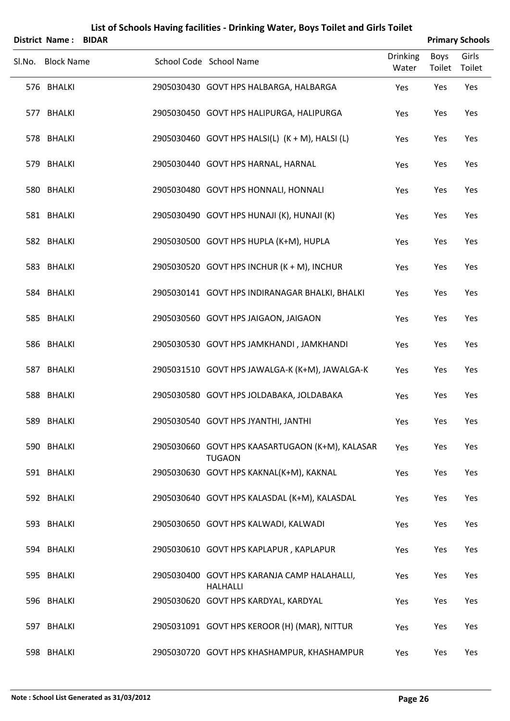|        | <b>District Name:</b> | <b>BIDAR</b> |                                                                  |                          |                | <b>Primary Schools</b> |
|--------|-----------------------|--------------|------------------------------------------------------------------|--------------------------|----------------|------------------------|
| SI.No. | <b>Block Name</b>     |              | School Code School Name                                          | <b>Drinking</b><br>Water | Boys<br>Toilet | Girls<br>Toilet        |
|        | 576 BHALKI            |              | 2905030430 GOVT HPS HALBARGA, HALBARGA                           | Yes                      | Yes            | Yes                    |
|        | 577 BHALKI            |              | 2905030450 GOVT HPS HALIPURGA, HALIPURGA                         | Yes                      | Yes            | Yes                    |
|        | 578 BHALKI            |              | 2905030460 GOVT HPS HALSI(L) (K + M), HALSI (L)                  | Yes                      | Yes            | Yes                    |
|        | 579 BHALKI            |              | 2905030440 GOVT HPS HARNAL, HARNAL                               | Yes                      | Yes            | Yes                    |
|        | 580 BHALKI            |              | 2905030480 GOVT HPS HONNALI, HONNALI                             | Yes                      | Yes            | Yes                    |
|        | 581 BHALKI            |              | 2905030490 GOVT HPS HUNAJI (K), HUNAJI (K)                       | Yes                      | Yes            | Yes                    |
|        | 582 BHALKI            |              | 2905030500 GOVT HPS HUPLA (K+M), HUPLA                           | Yes                      | Yes            | Yes                    |
|        | 583 BHALKI            |              | 2905030520 GOVT HPS INCHUR (K + M), INCHUR                       | Yes                      | Yes            | Yes                    |
|        | 584 BHALKI            |              | 2905030141 GOVT HPS INDIRANAGAR BHALKI, BHALKI                   | Yes                      | Yes            | Yes                    |
|        | 585 BHALKI            |              | 2905030560 GOVT HPS JAIGAON, JAIGAON                             | Yes                      | Yes            | Yes                    |
|        | 586 BHALKI            |              | 2905030530 GOVT HPS JAMKHANDI, JAMKHANDI                         | Yes                      | Yes            | Yes                    |
|        | 587 BHALKI            |              | 2905031510 GOVT HPS JAWALGA-K (K+M), JAWALGA-K                   | Yes                      | Yes            | Yes                    |
|        | 588 BHALKI            |              | 2905030580 GOVT HPS JOLDABAKA, JOLDABAKA                         | Yes                      | Yes            | Yes                    |
|        | 589 BHALKI            |              | 2905030540 GOVT HPS JYANTHI, JANTHI                              | Yes                      | Yes            | Yes                    |
|        | 590 BHALKI            |              | 2905030660 GOVT HPS KAASARTUGAON (K+M), KALASAR<br><b>TUGAON</b> | Yes                      | Yes            | Yes                    |
|        | 591 BHALKI            |              | 2905030630 GOVT HPS KAKNAL(K+M), KAKNAL                          | Yes                      | Yes            | Yes                    |
|        | 592 BHALKI            |              | 2905030640 GOVT HPS KALASDAL (K+M), KALASDAL                     | Yes                      | Yes            | Yes                    |
|        | 593 BHALKI            |              | 2905030650 GOVT HPS KALWADI, KALWADI                             | Yes                      | Yes            | Yes                    |
|        | 594 BHALKI            |              | 2905030610 GOVT HPS KAPLAPUR, KAPLAPUR                           | Yes                      | Yes            | Yes                    |
|        | 595 BHALKI            |              | 2905030400 GOVT HPS KARANJA CAMP HALAHALLI,<br><b>HALHALLI</b>   | Yes                      | Yes            | Yes                    |
|        | 596 BHALKI            |              | 2905030620 GOVT HPS KARDYAL, KARDYAL                             | Yes                      | Yes            | Yes                    |
|        | 597 BHALKI            |              | 2905031091 GOVT HPS KEROOR (H) (MAR), NITTUR                     | Yes                      | Yes            | Yes                    |
|        | 598 BHALKI            |              | 2905030720 GOVT HPS KHASHAMPUR, KHASHAMPUR                       | Yes                      | Yes            | Yes                    |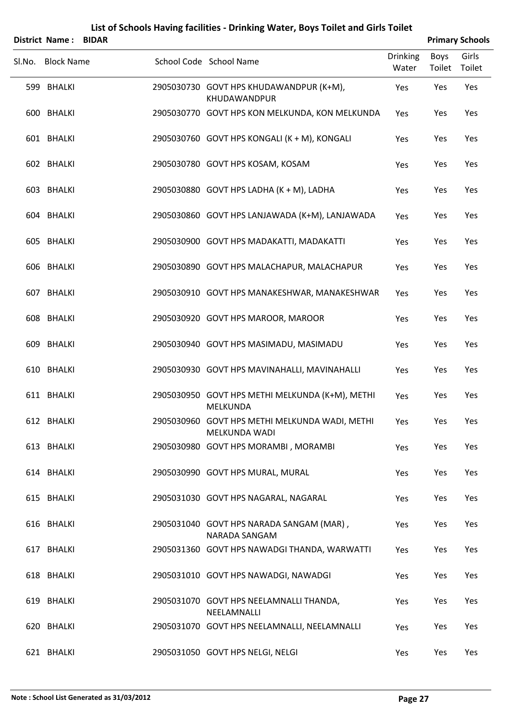| <b>District Name: BIDAR</b> |  |                                                                    |                          |                | <b>Primary Schools</b> |
|-----------------------------|--|--------------------------------------------------------------------|--------------------------|----------------|------------------------|
| Sl.No. Block Name           |  | School Code School Name                                            | <b>Drinking</b><br>Water | Boys<br>Toilet | Girls<br>Toilet        |
| 599 BHALKI                  |  | 2905030730 GOVT HPS KHUDAWANDPUR (K+M),<br>KHUDAWANDPUR            | Yes                      | Yes            | Yes                    |
| 600 BHALKI                  |  | 2905030770 GOVT HPS KON MELKUNDA, KON MELKUNDA                     | Yes                      | Yes            | Yes                    |
| 601 BHALKI                  |  | 2905030760 GOVT HPS KONGALI (K + M), KONGALI                       | Yes                      | Yes            | Yes                    |
| 602 BHALKI                  |  | 2905030780 GOVT HPS KOSAM, KOSAM                                   | Yes                      | Yes            | Yes                    |
| 603 BHALKI                  |  | 2905030880 GOVT HPS LADHA (K + M), LADHA                           | Yes                      | Yes            | Yes                    |
| 604 BHALKI                  |  | 2905030860 GOVT HPS LANJAWADA (K+M), LANJAWADA                     | Yes                      | Yes            | Yes                    |
| 605 BHALKI                  |  | 2905030900 GOVT HPS MADAKATTI, MADAKATTI                           | Yes                      | Yes            | Yes                    |
| 606 BHALKI                  |  | 2905030890 GOVT HPS MALACHAPUR, MALACHAPUR                         | Yes                      | Yes            | Yes                    |
| 607 BHALKI                  |  | 2905030910 GOVT HPS MANAKESHWAR, MANAKESHWAR                       | Yes                      | Yes            | Yes                    |
| 608 BHALKI                  |  | 2905030920 GOVT HPS MAROOR, MAROOR                                 | Yes                      | Yes            | Yes                    |
| 609 BHALKI                  |  | 2905030940 GOVT HPS MASIMADU, MASIMADU                             | Yes                      | Yes            | Yes                    |
| 610 BHALKI                  |  | 2905030930 GOVT HPS MAVINAHALLI, MAVINAHALLI                       | Yes                      | Yes            | Yes                    |
| 611 BHALKI                  |  | 2905030950 GOVT HPS METHI MELKUNDA (K+M), METHI<br><b>MELKUNDA</b> | Yes                      | Yes            | Yes                    |
| 612 BHALKI                  |  | 2905030960 GOVT HPS METHI MELKUNDA WADI, METHI<br>MELKUNDA WADI    | Yes                      | Yes            | Yes                    |
| 613 BHALKI                  |  | 2905030980 GOVT HPS MORAMBI, MORAMBI                               | Yes                      | Yes            | Yes                    |
| 614 BHALKI                  |  | 2905030990 GOVT HPS MURAL, MURAL                                   | Yes                      | Yes            | Yes                    |
| 615 BHALKI                  |  | 2905031030 GOVT HPS NAGARAL, NAGARAL                               | Yes                      | Yes            | Yes                    |
| 616 BHALKI                  |  | 2905031040 GOVT HPS NARADA SANGAM (MAR),<br>NARADA SANGAM          | Yes                      | Yes            | Yes                    |
| 617 BHALKI                  |  | 2905031360 GOVT HPS NAWADGI THANDA, WARWATTI                       | Yes                      | Yes            | Yes                    |
| 618 BHALKI                  |  | 2905031010 GOVT HPS NAWADGI, NAWADGI                               | Yes                      | Yes            | Yes                    |
| 619 BHALKI                  |  | 2905031070 GOVT HPS NEELAMNALLI THANDA,<br>NEELAMNALLI             | Yes                      | Yes            | Yes                    |
| 620 BHALKI                  |  | 2905031070 GOVT HPS NEELAMNALLI, NEELAMNALLI                       | Yes                      | Yes            | Yes                    |
| 621 BHALKI                  |  | 2905031050 GOVT HPS NELGI, NELGI                                   | Yes                      | Yes            | Yes                    |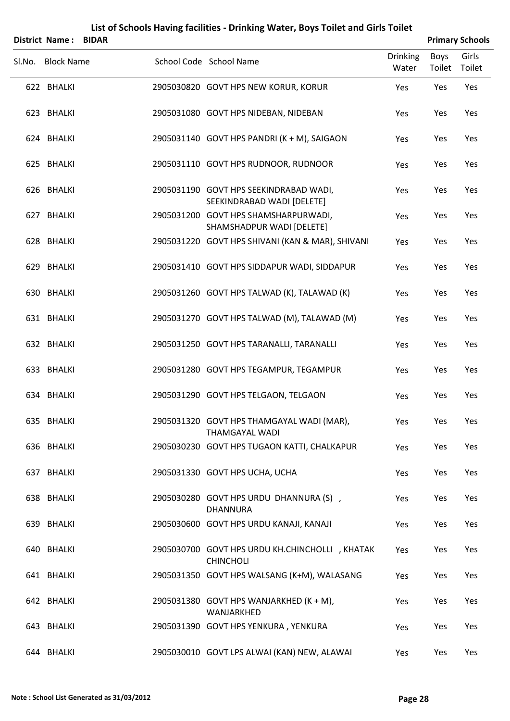|        | <b>District Name: BIDAR</b> |                                                                      |                          |                | <b>Primary Schools</b> |
|--------|-----------------------------|----------------------------------------------------------------------|--------------------------|----------------|------------------------|
| Sl.No. | <b>Block Name</b>           | School Code School Name                                              | <b>Drinking</b><br>Water | Boys<br>Toilet | Girls<br>Toilet        |
|        | 622 BHALKI                  | 2905030820 GOVT HPS NEW KORUR, KORUR                                 | Yes                      | Yes            | Yes                    |
|        | 623 BHALKI                  | 2905031080 GOVT HPS NIDEBAN, NIDEBAN                                 | Yes                      | Yes            | Yes                    |
|        | 624 BHALKI                  | 2905031140 GOVT HPS PANDRI (K + M), SAIGAON                          | Yes                      | Yes            | Yes                    |
|        | 625 BHALKI                  | 2905031110 GOVT HPS RUDNOOR, RUDNOOR                                 | Yes                      | Yes            | Yes                    |
|        | 626 BHALKI                  | 2905031190 GOVT HPS SEEKINDRABAD WADI,<br>SEEKINDRABAD WADI [DELETE] | Yes                      | Yes            | Yes                    |
|        | 627 BHALKI                  | 2905031200 GOVT HPS SHAMSHARPURWADI,<br>SHAMSHADPUR WADI [DELETE]    | Yes                      | Yes            | Yes                    |
|        | 628 BHALKI                  | 2905031220 GOVT HPS SHIVANI (KAN & MAR), SHIVANI                     | Yes                      | Yes            | Yes                    |
|        | 629 BHALKI                  | 2905031410 GOVT HPS SIDDAPUR WADI, SIDDAPUR                          | Yes                      | Yes            | Yes                    |
|        | 630 BHALKI                  | 2905031260 GOVT HPS TALWAD (K), TALAWAD (K)                          | Yes                      | Yes            | Yes                    |
|        | 631 BHALKI                  | 2905031270 GOVT HPS TALWAD (M), TALAWAD (M)                          | Yes                      | Yes            | Yes                    |
|        | 632 BHALKI                  | 2905031250 GOVT HPS TARANALLI, TARANALLI                             | Yes                      | Yes            | Yes                    |
|        | 633 BHALKI                  | 2905031280 GOVT HPS TEGAMPUR, TEGAMPUR                               | Yes                      | Yes            | Yes                    |
|        | 634 BHALKI                  | 2905031290 GOVT HPS TELGAON, TELGAON                                 | Yes                      | Yes            | Yes                    |
|        | 635 BHALKI                  | 2905031320 GOVT HPS THAMGAYAL WADI (MAR),<br>THAMGAYAL WADI          | Yes                      | Yes            | Yes                    |
|        | 636 BHALKI                  | 2905030230 GOVT HPS TUGAON KATTI, CHALKAPUR                          | Yes                      | Yes            | Yes                    |
|        | 637 BHALKI                  | 2905031330 GOVT HPS UCHA, UCHA                                       | Yes                      | Yes            | Yes                    |
|        | 638 BHALKI                  | 2905030280 GOVT HPS URDU DHANNURA (S),<br><b>DHANNURA</b>            | Yes                      | Yes            | Yes                    |
|        | 639 BHALKI                  | 2905030600 GOVT HPS URDU KANAJI, KANAJI                              | Yes                      | Yes            | Yes                    |
|        | 640 BHALKI                  | 2905030700 GOVT HPS URDU KH.CHINCHOLLI , KHATAK<br><b>CHINCHOLI</b>  | Yes                      | Yes            | Yes                    |
|        | 641 BHALKI                  | 2905031350 GOVT HPS WALSANG (K+M), WALASANG                          | Yes                      | Yes            | Yes                    |
|        | 642 BHALKI                  | 2905031380 GOVT HPS WANJARKHED (K + M),<br>WANJARKHED                | Yes                      | Yes            | Yes                    |
|        | 643 BHALKI                  | 2905031390 GOVT HPS YENKURA, YENKURA                                 | Yes                      | Yes            | Yes                    |
|        | 644 BHALKI                  | 2905030010 GOVT LPS ALWAI (KAN) NEW, ALAWAI                          | Yes                      | Yes            | Yes                    |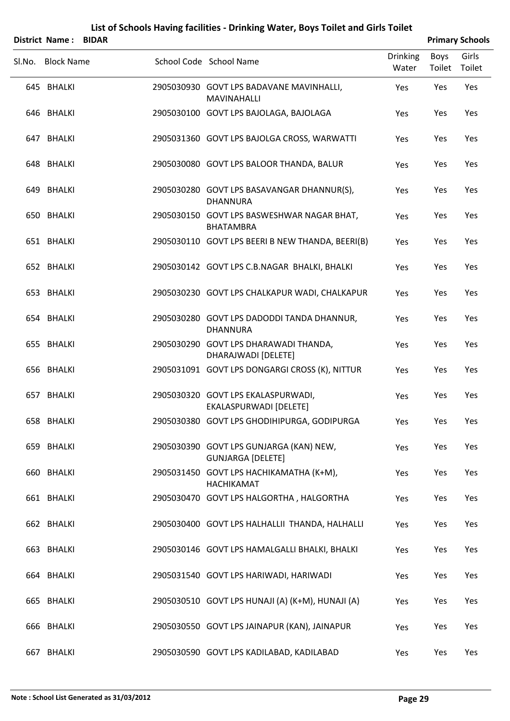|        | <b>District Name:</b> | <b>BIDAR</b> |                                                                     |                          |                | <b>Primary Schools</b> |
|--------|-----------------------|--------------|---------------------------------------------------------------------|--------------------------|----------------|------------------------|
| Sl.No. | <b>Block Name</b>     |              | School Code School Name                                             | <b>Drinking</b><br>Water | Boys<br>Toilet | Girls<br>Toilet        |
|        | 645 BHALKI            |              | 2905030930 GOVT LPS BADAVANE MAVINHALLI,<br><b>MAVINAHALLI</b>      | Yes                      | Yes            | Yes                    |
|        | 646 BHALKI            |              | 2905030100 GOVT LPS BAJOLAGA, BAJOLAGA                              | Yes                      | Yes            | Yes                    |
|        | 647 BHALKI            |              | 2905031360 GOVT LPS BAJOLGA CROSS, WARWATTI                         | Yes                      | Yes            | Yes                    |
|        | 648 BHALKI            |              | 2905030080 GOVT LPS BALOOR THANDA, BALUR                            | Yes                      | Yes            | Yes                    |
|        | 649 BHALKI            |              | 2905030280 GOVT LPS BASAVANGAR DHANNUR(S),<br><b>DHANNURA</b>       | Yes                      | Yes            | Yes                    |
|        | 650 BHALKI            |              | 2905030150 GOVT LPS BASWESHWAR NAGAR BHAT,<br><b>BHATAMBRA</b>      | Yes                      | Yes            | Yes                    |
|        | 651 BHALKI            |              | 2905030110 GOVT LPS BEERI B NEW THANDA, BEERI(B)                    | Yes                      | Yes            | Yes                    |
|        | 652 BHALKI            |              | 2905030142 GOVT LPS C.B.NAGAR BHALKI, BHALKI                        | Yes                      | Yes            | Yes                    |
|        | 653 BHALKI            |              | 2905030230 GOVT LPS CHALKAPUR WADI, CHALKAPUR                       | Yes                      | Yes            | Yes                    |
|        | 654 BHALKI            |              | 2905030280 GOVT LPS DADODDI TANDA DHANNUR,<br><b>DHANNURA</b>       | Yes                      | Yes            | Yes                    |
|        | 655 BHALKI            |              | 2905030290 GOVT LPS DHARAWADI THANDA,<br>DHARAJWADI [DELETE]        | Yes                      | Yes            | Yes                    |
|        | 656 BHALKI            |              | 2905031091 GOVT LPS DONGARGI CROSS (K), NITTUR                      | Yes                      | Yes            | Yes                    |
|        | 657 BHALKI            |              | 2905030320 GOVT LPS EKALASPURWADI,<br>EKALASPURWADI [DELETE]        | Yes                      | Yes            | Yes                    |
|        | 658 BHALKI            |              | 2905030380 GOVT LPS GHODIHIPURGA, GODIPURGA                         | Yes                      | Yes            | Yes                    |
|        | 659 BHALKI            |              | 2905030390 GOVT LPS GUNJARGA (KAN) NEW,<br><b>GUNJARGA [DELETE]</b> | Yes                      | Yes            | Yes                    |
|        | 660 BHALKI            |              | 2905031450 GOVT LPS HACHIKAMATHA (K+M),<br>HACHIKAMAT               | Yes                      | Yes            | Yes                    |
|        | 661 BHALKI            |              | 2905030470 GOVT LPS HALGORTHA, HALGORTHA                            | Yes                      | Yes            | Yes                    |
|        | 662 BHALKI            |              | 2905030400 GOVT LPS HALHALLII THANDA, HALHALLI                      | Yes                      | Yes            | Yes                    |
|        | 663 BHALKI            |              | 2905030146 GOVT LPS HAMALGALLI BHALKI, BHALKI                       | Yes                      | Yes            | Yes                    |
|        | 664 BHALKI            |              | 2905031540 GOVT LPS HARIWADI, HARIWADI                              | Yes                      | Yes            | Yes                    |
|        | 665 BHALKI            |              | 2905030510 GOVT LPS HUNAJI (A) (K+M), HUNAJI (A)                    | Yes                      | Yes            | Yes                    |
|        | 666 BHALKI            |              | 2905030550 GOVT LPS JAINAPUR (KAN), JAINAPUR                        | Yes                      | Yes            | Yes                    |
|        | 667 BHALKI            |              | 2905030590 GOVT LPS KADILABAD, KADILABAD                            | Yes                      | Yes            | Yes                    |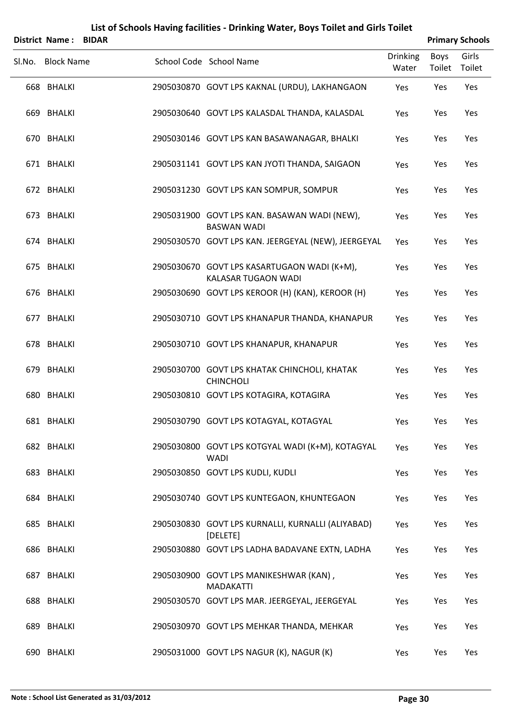|        | <b>District Name: BIDAR</b> |                                                                    |                          |                | <b>Primary Schools</b> |
|--------|-----------------------------|--------------------------------------------------------------------|--------------------------|----------------|------------------------|
| Sl.No. | <b>Block Name</b>           | School Code School Name                                            | <b>Drinking</b><br>Water | Boys<br>Toilet | Girls<br>Toilet        |
|        | 668 BHALKI                  | 2905030870 GOVT LPS KAKNAL (URDU), LAKHANGAON                      | Yes                      | Yes            | Yes                    |
|        | 669 BHALKI                  | 2905030640 GOVT LPS KALASDAL THANDA, KALASDAL                      | Yes                      | Yes            | Yes                    |
|        | 670 BHALKI                  | 2905030146 GOVT LPS KAN BASAWANAGAR, BHALKI                        | Yes                      | Yes            | Yes                    |
|        | 671 BHALKI                  | 2905031141 GOVT LPS KAN JYOTI THANDA, SAIGAON                      | Yes                      | Yes            | Yes                    |
|        | 672 BHALKI                  | 2905031230 GOVT LPS KAN SOMPUR, SOMPUR                             | Yes                      | Yes            | Yes                    |
|        | 673 BHALKI                  | 2905031900 GOVT LPS KAN. BASAWAN WADI (NEW),<br><b>BASWAN WADI</b> | Yes                      | Yes            | Yes                    |
|        | 674 BHALKI                  | 2905030570 GOVT LPS KAN. JEERGEYAL (NEW), JEERGEYAL                | Yes                      | Yes            | Yes                    |
|        | 675 BHALKI                  | 2905030670 GOVT LPS KASARTUGAON WADI (K+M),<br>KALASAR TUGAON WADI | Yes                      | Yes            | Yes                    |
|        | 676 BHALKI                  | 2905030690 GOVT LPS KEROOR (H) (KAN), KEROOR (H)                   | Yes                      | Yes            | Yes                    |
|        | 677 BHALKI                  | 2905030710 GOVT LPS KHANAPUR THANDA, KHANAPUR                      | Yes                      | Yes            | Yes                    |
|        | 678 BHALKI                  | 2905030710 GOVT LPS KHANAPUR, KHANAPUR                             | Yes                      | Yes            | Yes                    |
|        | 679 BHALKI                  | 2905030700 GOVT LPS KHATAK CHINCHOLI, KHATAK<br><b>CHINCHOLI</b>   | Yes                      | Yes            | Yes                    |
|        | 680 BHALKI                  | 2905030810 GOVT LPS KOTAGIRA, KOTAGIRA                             | Yes                      | Yes            | Yes                    |
|        | 681 BHALKI                  | 2905030790 GOVT LPS KOTAGYAL, KOTAGYAL                             | Yes                      | Yes            | Yes                    |
|        | 682 BHALKI                  | 2905030800 GOVT LPS KOTGYAL WADI (K+M), KOTAGYAL<br><b>WADI</b>    | Yes                      | Yes            | Yes                    |
|        | 683 BHALKI                  | 2905030850 GOVT LPS KUDLI, KUDLI                                   | Yes                      | Yes            | Yes                    |
|        | 684 BHALKI                  | 2905030740 GOVT LPS KUNTEGAON, KHUNTEGAON                          | Yes                      | Yes            | Yes                    |
|        | 685 BHALKI                  | 2905030830 GOVT LPS KURNALLI, KURNALLI (ALIYABAD)<br>[DELETE]      | Yes                      | Yes            | Yes                    |
|        | 686 BHALKI                  | 2905030880 GOVT LPS LADHA BADAVANE EXTN, LADHA                     | Yes                      | Yes            | Yes                    |
|        | 687 BHALKI                  | 2905030900 GOVT LPS MANIKESHWAR (KAN),<br><b>MADAKATTI</b>         | Yes                      | Yes            | Yes                    |
|        | 688 BHALKI                  | 2905030570 GOVT LPS MAR. JEERGEYAL, JEERGEYAL                      | Yes                      | Yes            | Yes                    |
|        | 689 BHALKI                  | 2905030970 GOVT LPS MEHKAR THANDA, MEHKAR                          | Yes                      | Yes            | Yes                    |
|        | 690 BHALKI                  | 2905031000 GOVT LPS NAGUR (K), NAGUR (K)                           | Yes                      | Yes            | Yes                    |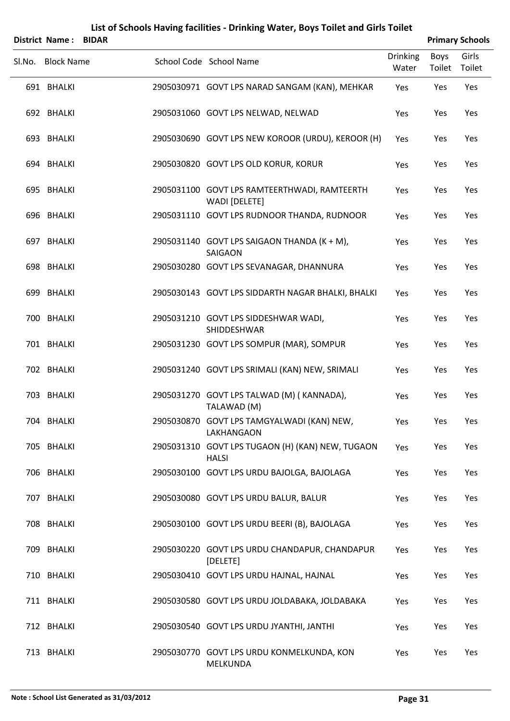|        | <b>District Name:</b> | <b>BIDAR</b> |                                                                  |                          |                | <b>Primary Schools</b> |
|--------|-----------------------|--------------|------------------------------------------------------------------|--------------------------|----------------|------------------------|
| Sl.No. | <b>Block Name</b>     |              | School Code School Name                                          | <b>Drinking</b><br>Water | Boys<br>Toilet | Girls<br>Toilet        |
|        | 691 BHALKI            |              | 2905030971 GOVT LPS NARAD SANGAM (KAN), MEHKAR                   | Yes                      | Yes            | Yes                    |
|        | 692 BHALKI            |              | 2905031060 GOVT LPS NELWAD, NELWAD                               | Yes                      | Yes            | Yes                    |
|        | 693 BHALKI            |              | 2905030690 GOVT LPS NEW KOROOR (URDU), KEROOR (H)                | Yes                      | Yes            | Yes                    |
|        | 694 BHALKI            |              | 2905030820 GOVT LPS OLD KORUR, KORUR                             | Yes                      | Yes            | Yes                    |
|        | 695 BHALKI            |              | 2905031100 GOVT LPS RAMTEERTHWADI, RAMTEERTH<br>WADI [DELETE]    | Yes                      | Yes            | Yes                    |
|        | 696 BHALKI            |              | 2905031110 GOVT LPS RUDNOOR THANDA, RUDNOOR                      | Yes                      | Yes            | Yes                    |
|        | 697 BHALKI            |              | 2905031140 GOVT LPS SAIGAON THANDA (K + M),<br><b>SAIGAON</b>    | Yes                      | Yes            | Yes                    |
|        | 698 BHALKI            |              | 2905030280 GOVT LPS SEVANAGAR, DHANNURA                          | Yes                      | Yes            | Yes                    |
|        | 699 BHALKI            |              | 2905030143 GOVT LPS SIDDARTH NAGAR BHALKI, BHALKI                | Yes                      | Yes            | Yes                    |
|        | 700 BHALKI            |              | 2905031210 GOVT LPS SIDDESHWAR WADI,<br>SHIDDESHWAR              | Yes                      | Yes            | Yes                    |
|        | 701 BHALKI            |              | 2905031230 GOVT LPS SOMPUR (MAR), SOMPUR                         | Yes                      | Yes            | Yes                    |
|        | 702 BHALKI            |              | 2905031240 GOVT LPS SRIMALI (KAN) NEW, SRIMALI                   | Yes                      | Yes            | Yes                    |
|        | 703 BHALKI            |              | 2905031270 GOVT LPS TALWAD (M) (KANNADA),<br>TALAWAD (M)         | Yes                      | Yes            | Yes                    |
|        | 704 BHALKI            |              | 2905030870 GOVT LPS TAMGYALWADI (KAN) NEW,<br>LAKHANGAON         | Yes                      | Yes            | Yes                    |
|        | 705 BHALKI            |              | 2905031310 GOVT LPS TUGAON (H) (KAN) NEW, TUGAON<br><b>HALSI</b> | Yes                      | Yes            | Yes                    |
|        | 706 BHALKI            |              | 2905030100 GOVT LPS URDU BAJOLGA, BAJOLAGA                       | Yes                      | Yes            | Yes                    |
|        | 707 BHALKI            |              | 2905030080 GOVT LPS URDU BALUR, BALUR                            | Yes                      | Yes            | Yes                    |
|        | 708 BHALKI            |              | 2905030100 GOVT LPS URDU BEERI (B), BAJOLAGA                     | Yes                      | Yes            | Yes                    |
|        | 709 BHALKI            |              | 2905030220 GOVT LPS URDU CHANDAPUR, CHANDAPUR<br>[DELETE]        | Yes                      | Yes            | Yes                    |
|        | 710 BHALKI            |              | 2905030410 GOVT LPS URDU HAJNAL, HAJNAL                          | Yes                      | Yes            | Yes                    |
|        | 711 BHALKI            |              | 2905030580 GOVT LPS URDU JOLDABAKA, JOLDABAKA                    | Yes                      | Yes            | Yes                    |
|        | 712 BHALKI            |              | 2905030540 GOVT LPS URDU JYANTHI, JANTHI                         | Yes                      | Yes            | Yes                    |
|        | 713 BHALKI            |              | 2905030770 GOVT LPS URDU KONMELKUNDA, KON<br><b>MELKUNDA</b>     | Yes                      | Yes            | Yes                    |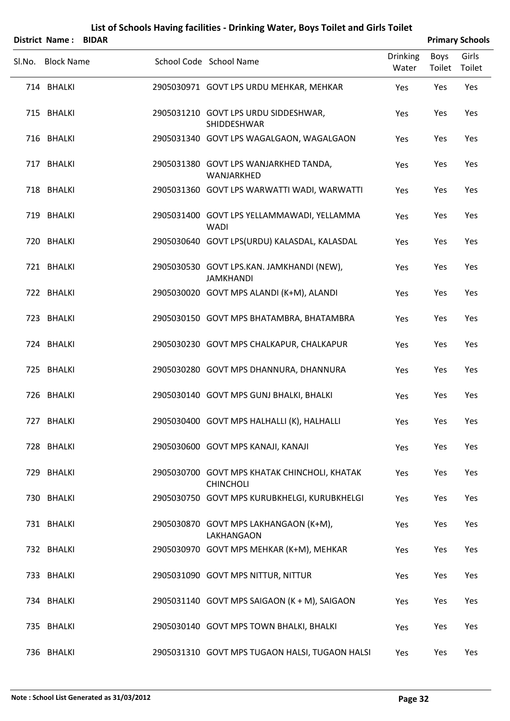|        | District Name:    | <b>BIDAR</b> |                                                                  |                          | <b>Primary Schools</b> |                 |
|--------|-------------------|--------------|------------------------------------------------------------------|--------------------------|------------------------|-----------------|
| Sl.No. | <b>Block Name</b> |              | School Code School Name                                          | <b>Drinking</b><br>Water | <b>Boys</b><br>Toilet  | Girls<br>Toilet |
|        | 714 BHALKI        |              | 2905030971 GOVT LPS URDU MEHKAR, MEHKAR                          | Yes                      | Yes                    | Yes             |
|        | 715 BHALKI        |              | 2905031210 GOVT LPS URDU SIDDESHWAR,<br>SHIDDESHWAR              | Yes                      | Yes                    | Yes             |
|        | 716 BHALKI        |              | 2905031340 GOVT LPS WAGALGAON, WAGALGAON                         | Yes                      | Yes                    | Yes             |
|        | 717 BHALKI        |              | 2905031380 GOVT LPS WANJARKHED TANDA,<br>WANJARKHED              | Yes                      | Yes                    | Yes             |
|        | 718 BHALKI        |              | 2905031360 GOVT LPS WARWATTI WADI, WARWATTI                      | Yes                      | Yes                    | Yes             |
|        | 719 BHALKI        |              | 2905031400 GOVT LPS YELLAMMAWADI, YELLAMMA<br><b>WADI</b>        | Yes                      | Yes                    | Yes             |
|        | 720 BHALKI        |              | 2905030640 GOVT LPS(URDU) KALASDAL, KALASDAL                     | Yes                      | Yes                    | Yes             |
|        | 721 BHALKI        |              | 2905030530 GOVT LPS.KAN. JAMKHANDI (NEW),<br><b>JAMKHANDI</b>    | Yes                      | Yes                    | Yes             |
|        | 722 BHALKI        |              | 2905030020 GOVT MPS ALANDI (K+M), ALANDI                         | Yes                      | Yes                    | Yes             |
|        | 723 BHALKI        |              | 2905030150 GOVT MPS BHATAMBRA, BHATAMBRA                         | Yes                      | Yes                    | Yes             |
|        | 724 BHALKI        |              | 2905030230 GOVT MPS CHALKAPUR, CHALKAPUR                         | Yes                      | Yes                    | Yes             |
|        | 725 BHALKI        |              | 2905030280 GOVT MPS DHANNURA, DHANNURA                           | Yes                      | Yes                    | Yes             |
|        | 726 BHALKI        |              | 2905030140 GOVT MPS GUNJ BHALKI, BHALKI                          | Yes                      | Yes                    | Yes             |
|        | 727 BHALKI        |              | 2905030400 GOVT MPS HALHALLI (K), HALHALLI                       | Yes                      | Yes                    | Yes             |
|        | 728 BHALKI        |              | 2905030600 GOVT MPS KANAJI, KANAJI                               | Yes                      | Yes                    | Yes             |
|        | 729 BHALKI        |              | 2905030700 GOVT MPS KHATAK CHINCHOLI, KHATAK<br><b>CHINCHOLI</b> | Yes                      | Yes                    | Yes             |
|        | 730 BHALKI        |              | 2905030750 GOVT MPS KURUBKHELGI, KURUBKHELGI                     | Yes                      | Yes                    | Yes             |
|        | 731 BHALKI        |              | 2905030870 GOVT MPS LAKHANGAON (K+M),<br>LAKHANGAON              | Yes                      | Yes                    | Yes             |
|        | 732 BHALKI        |              | 2905030970 GOVT MPS MEHKAR (K+M), MEHKAR                         | Yes                      | Yes                    | Yes             |
|        | 733 BHALKI        |              | 2905031090 GOVT MPS NITTUR, NITTUR                               | Yes                      | Yes                    | Yes             |
|        | 734 BHALKI        |              | 2905031140 GOVT MPS SAIGAON (K + M), SAIGAON                     | Yes                      | Yes                    | Yes             |
|        | 735 BHALKI        |              | 2905030140 GOVT MPS TOWN BHALKI, BHALKI                          | Yes                      | Yes                    | Yes             |

736 BHALKI 2905031310 GOVT MPS TUGAON HALSI, TUGAON HALSI Yes Yes Yes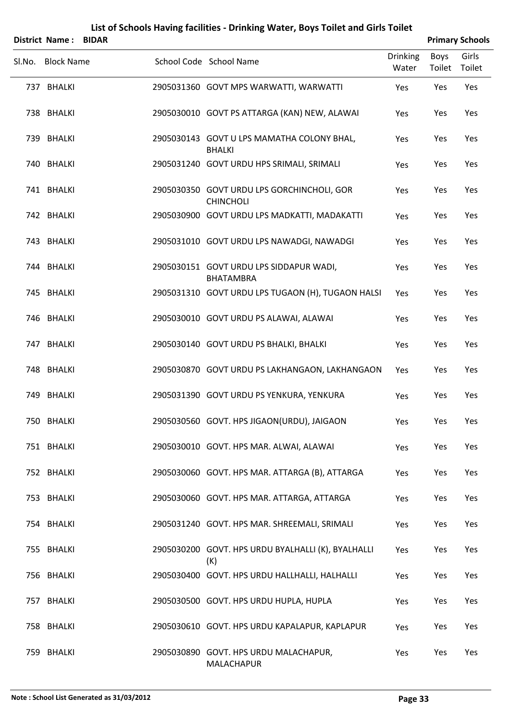|        | <b>District Name:</b><br><b>BIDAR</b> |                                                                |                          |                | <b>Primary Schools</b> |
|--------|---------------------------------------|----------------------------------------------------------------|--------------------------|----------------|------------------------|
| SI.No. | <b>Block Name</b>                     | School Code School Name                                        | <b>Drinking</b><br>Water | Boys<br>Toilet | Girls<br>Toilet        |
|        | 737 BHALKI                            | 2905031360 GOVT MPS WARWATTI, WARWATTI                         | Yes                      | Yes            | Yes                    |
|        | 738 BHALKI                            | 2905030010 GOVT PS ATTARGA (KAN) NEW, ALAWAI                   | Yes                      | Yes            | Yes                    |
|        | 739 BHALKI                            | 2905030143 GOVT U LPS MAMATHA COLONY BHAL,<br><b>BHALKI</b>    | Yes                      | Yes            | Yes                    |
|        | 740 BHALKI                            | 2905031240 GOVT URDU HPS SRIMALI, SRIMALI                      | Yes                      | Yes            | Yes                    |
|        | 741 BHALKI                            | 2905030350 GOVT URDU LPS GORCHINCHOLI, GOR<br><b>CHINCHOLI</b> | Yes                      | Yes            | Yes                    |
|        | 742 BHALKI                            | 2905030900 GOVT URDU LPS MADKATTI, MADAKATTI                   | Yes                      | Yes            | Yes                    |
|        | 743 BHALKI                            | 2905031010 GOVT URDU LPS NAWADGI, NAWADGI                      | Yes                      | Yes            | Yes                    |
|        | 744 BHALKI                            | 2905030151 GOVT URDU LPS SIDDAPUR WADI,<br><b>BHATAMBRA</b>    | Yes                      | Yes            | Yes                    |
|        | 745 BHALKI                            | 2905031310 GOVT URDU LPS TUGAON (H), TUGAON HALSI              | Yes                      | Yes            | Yes                    |
|        | 746 BHALKI                            | 2905030010 GOVT URDU PS ALAWAI, ALAWAI                         | Yes                      | Yes            | Yes                    |
|        | 747 BHALKI                            | 2905030140 GOVT URDU PS BHALKI, BHALKI                         | Yes                      | Yes            | Yes                    |
|        | 748 BHALKI                            | 2905030870 GOVT URDU PS LAKHANGAON, LAKHANGAON                 | Yes                      | Yes            | Yes                    |
|        | 749 BHALKI                            | 2905031390 GOVT URDU PS YENKURA, YENKURA                       | Yes                      | Yes            | Yes                    |
|        | 750 BHALKI                            | 2905030560 GOVT. HPS JIGAON(URDU), JAIGAON                     | Yes                      | Yes            | Yes                    |
|        | 751 BHALKI                            | 2905030010 GOVT. HPS MAR. ALWAI, ALAWAI                        | Yes                      | Yes            | Yes                    |
|        | 752 BHALKI                            | 2905030060 GOVT. HPS MAR. ATTARGA (B), ATTARGA                 | Yes                      | Yes            | Yes                    |
|        | 753 BHALKI                            | 2905030060 GOVT. HPS MAR. ATTARGA, ATTARGA                     | Yes                      | Yes            | Yes                    |
|        | 754 BHALKI                            | 2905031240 GOVT. HPS MAR. SHREEMALI, SRIMALI                   | Yes                      | Yes            | Yes                    |
|        | 755 BHALKI                            | 2905030200 GOVT. HPS URDU BYALHALLI (K), BYALHALLI<br>(K)      | Yes                      | Yes            | Yes                    |
|        | 756 BHALKI                            | 2905030400 GOVT. HPS URDU HALLHALLI, HALHALLI                  | Yes                      | Yes            | Yes                    |
|        | 757 BHALKI                            | 2905030500 GOVT. HPS URDU HUPLA, HUPLA                         | Yes                      | Yes            | Yes                    |
|        | 758 BHALKI                            | 2905030610 GOVT. HPS URDU KAPALAPUR, KAPLAPUR                  | Yes                      | Yes            | Yes                    |
|        | 759 BHALKI                            | 2905030890 GOVT. HPS URDU MALACHAPUR,<br>MALACHAPUR            | Yes                      | Yes            | Yes                    |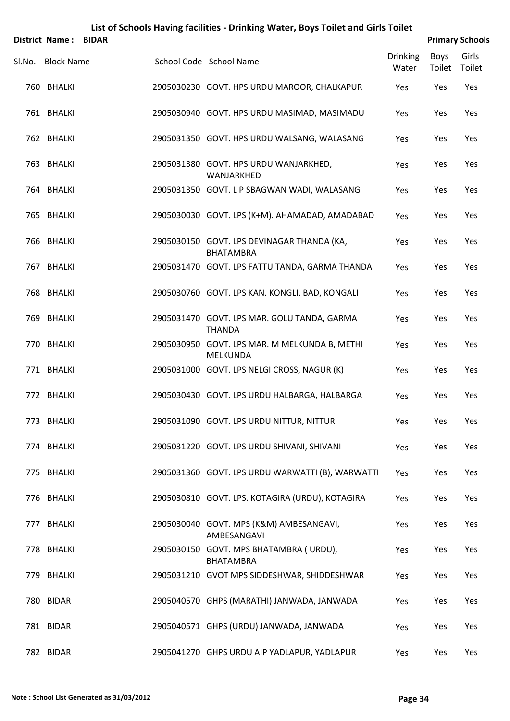|        | District Name: BIDAR |  |                                                                  |                          |                       | <b>Primary Schools</b> |
|--------|----------------------|--|------------------------------------------------------------------|--------------------------|-----------------------|------------------------|
| Sl.No. | <b>Block Name</b>    |  | School Code School Name                                          | <b>Drinking</b><br>Water | <b>Boys</b><br>Toilet | Girls<br>Toilet        |
|        | 760 BHALKI           |  | 2905030230 GOVT. HPS URDU MAROOR, CHALKAPUR                      | Yes                      | Yes                   | Yes                    |
|        | 761 BHALKI           |  | 2905030940 GOVT. HPS URDU MASIMAD, MASIMADU                      | Yes                      | Yes                   | Yes                    |
|        | 762 BHALKI           |  | 2905031350 GOVT. HPS URDU WALSANG, WALASANG                      | Yes                      | Yes                   | Yes                    |
|        | 763 BHALKI           |  | 2905031380 GOVT. HPS URDU WANJARKHED,<br>WANJARKHED              | Yes                      | Yes                   | Yes                    |
|        | 764 BHALKI           |  | 2905031350 GOVT. L P SBAGWAN WADI, WALASANG                      | Yes                      | Yes                   | Yes                    |
|        | 765 BHALKI           |  | 2905030030 GOVT. LPS (K+M). AHAMADAD, AMADABAD                   | Yes                      | Yes                   | Yes                    |
|        | 766 BHALKI           |  | 2905030150 GOVT. LPS DEVINAGAR THANDA (KA,<br><b>BHATAMBRA</b>   | Yes                      | Yes                   | Yes                    |
|        | 767 BHALKI           |  | 2905031470 GOVT. LPS FATTU TANDA, GARMA THANDA                   | Yes                      | Yes                   | Yes                    |
|        | 768 BHALKI           |  | 2905030760 GOVT. LPS KAN. KONGLI. BAD, KONGALI                   | Yes                      | Yes                   | Yes                    |
|        | 769 BHALKI           |  | 2905031470 GOVT. LPS MAR. GOLU TANDA, GARMA<br><b>THANDA</b>     | Yes                      | Yes                   | Yes                    |
|        | 770 BHALKI           |  | 2905030950 GOVT. LPS MAR. M MELKUNDA B, METHI<br><b>MELKUNDA</b> | Yes                      | Yes                   | Yes                    |
|        | 771 BHALKI           |  | 2905031000 GOVT. LPS NELGI CROSS, NAGUR (K)                      | Yes                      | Yes                   | Yes                    |
|        | 772 BHALKI           |  | 2905030430 GOVT. LPS URDU HALBARGA, HALBARGA                     | Yes                      | Yes                   | Yes                    |
|        | 773 BHALKI           |  | 2905031090 GOVT. LPS URDU NITTUR, NITTUR                         | Yes                      | Yes                   | Yes                    |
|        | 774 BHALKI           |  | 2905031220 GOVT. LPS URDU SHIVANI, SHIVANI                       | Yes                      | Yes                   | Yes                    |
|        | 775 BHALKI           |  | 2905031360 GOVT. LPS URDU WARWATTI (B), WARWATTI                 | Yes                      | Yes                   | Yes                    |
|        | 776 BHALKI           |  | 2905030810 GOVT. LPS. KOTAGIRA (URDU), KOTAGIRA                  | Yes                      | Yes                   | Yes                    |
|        | 777 BHALKI           |  | 2905030040 GOVT. MPS (K&M) AMBESANGAVI,<br>AMBESANGAVI           | Yes                      | Yes                   | Yes                    |
|        | 778 BHALKI           |  | 2905030150 GOVT. MPS BHATAMBRA (URDU),<br><b>BHATAMBRA</b>       | Yes                      | Yes                   | Yes                    |
|        | 779 BHALKI           |  | 2905031210 GVOT MPS SIDDESHWAR, SHIDDESHWAR                      | Yes                      | Yes                   | Yes                    |
|        | 780 BIDAR            |  | 2905040570 GHPS (MARATHI) JANWADA, JANWADA                       | Yes                      | Yes                   | Yes                    |
|        | 781 BIDAR            |  | 2905040571 GHPS (URDU) JANWADA, JANWADA                          | Yes                      | Yes                   | Yes                    |

782 BIDAR 2905041270 GHPS URDU AIP YADLAPUR, YADLAPUR Yes Yes Yes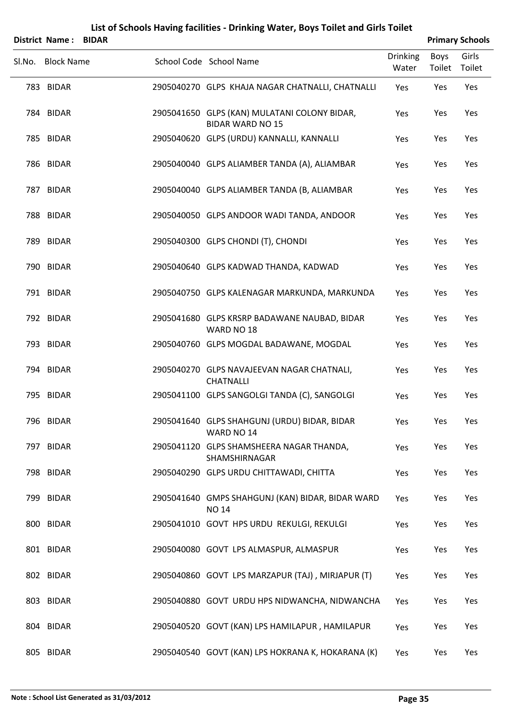|        | District Name: BIDAR |  |                                                                         |                          | <b>Primary Schools</b> |                 |
|--------|----------------------|--|-------------------------------------------------------------------------|--------------------------|------------------------|-----------------|
| Sl.No. | <b>Block Name</b>    |  | School Code School Name                                                 | <b>Drinking</b><br>Water | <b>Boys</b><br>Toilet  | Girls<br>Toilet |
|        | 783 BIDAR            |  | 2905040270 GLPS KHAJA NAGAR CHATNALLI, CHATNALLI                        | Yes                      | Yes                    | Yes             |
|        | 784 BIDAR            |  | 2905041650 GLPS (KAN) MULATANI COLONY BIDAR,<br><b>BIDAR WARD NO 15</b> | Yes                      | Yes                    | Yes             |
|        | 785 BIDAR            |  | 2905040620 GLPS (URDU) KANNALLI, KANNALLI                               | Yes                      | Yes                    | Yes             |
|        | 786 BIDAR            |  | 2905040040 GLPS ALIAMBER TANDA (A), ALIAMBAR                            | Yes                      | Yes                    | Yes             |
|        | 787 BIDAR            |  | 2905040040 GLPS ALIAMBER TANDA (B, ALIAMBAR                             | Yes                      | Yes                    | Yes             |
|        | 788 BIDAR            |  | 2905040050 GLPS ANDOOR WADI TANDA, ANDOOR                               | Yes                      | Yes                    | Yes             |
|        | 789 BIDAR            |  | 2905040300 GLPS CHONDI (T), CHONDI                                      | Yes                      | Yes                    | Yes             |
|        | 790 BIDAR            |  | 2905040640 GLPS KADWAD THANDA, KADWAD                                   | Yes                      | Yes                    | Yes             |
|        | 791 BIDAR            |  | 2905040750 GLPS KALENAGAR MARKUNDA, MARKUNDA                            | Yes                      | Yes                    | Yes             |
|        | 792 BIDAR            |  | 2905041680 GLPS KRSRP BADAWANE NAUBAD, BIDAR<br>WARD NO 18              | Yes                      | Yes                    | Yes             |
|        | 793 BIDAR            |  | 2905040760 GLPS MOGDAL BADAWANE, MOGDAL                                 | Yes                      | Yes                    | Yes             |
|        | 794 BIDAR            |  | 2905040270 GLPS NAVAJEEVAN NAGAR CHATNALI,<br><b>CHATNALLI</b>          | Yes                      | Yes                    | Yes             |
|        | 795 BIDAR            |  | 2905041100 GLPS SANGOLGI TANDA (C), SANGOLGI                            | Yes                      | Yes                    | Yes             |
|        | 796 BIDAR            |  | 2905041640 GLPS SHAHGUNJ (URDU) BIDAR, BIDAR<br>WARD NO 14              | Yes                      | Yes                    | Yes             |
|        | 797 BIDAR            |  | 2905041120 GLPS SHAMSHEERA NAGAR THANDA,<br>SHAMSHIRNAGAR               | Yes                      | Yes                    | Yes             |
|        | 798 BIDAR            |  | 2905040290 GLPS URDU CHITTAWADI, CHITTA                                 | Yes                      | Yes                    | Yes             |
|        | 799 BIDAR            |  | 2905041640 GMPS SHAHGUNJ (KAN) BIDAR, BIDAR WARD<br><b>NO 14</b>        | Yes                      | Yes                    | Yes             |
|        | 800 BIDAR            |  | 2905041010 GOVT HPS URDU REKULGI, REKULGI                               | Yes                      | Yes                    | Yes             |
|        | 801 BIDAR            |  | 2905040080 GOVT LPS ALMASPUR, ALMASPUR                                  | Yes                      | Yes                    | Yes             |
|        | 802 BIDAR            |  | 2905040860 GOVT LPS MARZAPUR (TAJ), MIRJAPUR (T)                        | Yes                      | Yes                    | Yes             |
|        | 803 BIDAR            |  | 2905040880 GOVT URDU HPS NIDWANCHA, NIDWANCHA                           | Yes                      | Yes                    | Yes             |
|        | 804 BIDAR            |  | 2905040520 GOVT (KAN) LPS HAMILAPUR, HAMILAPUR                          | Yes                      | Yes                    | Yes             |
|        | 805 BIDAR            |  | 2905040540 GOVT (KAN) LPS HOKRANA K, HOKARANA (K)                       | Yes                      | Yes                    | Yes             |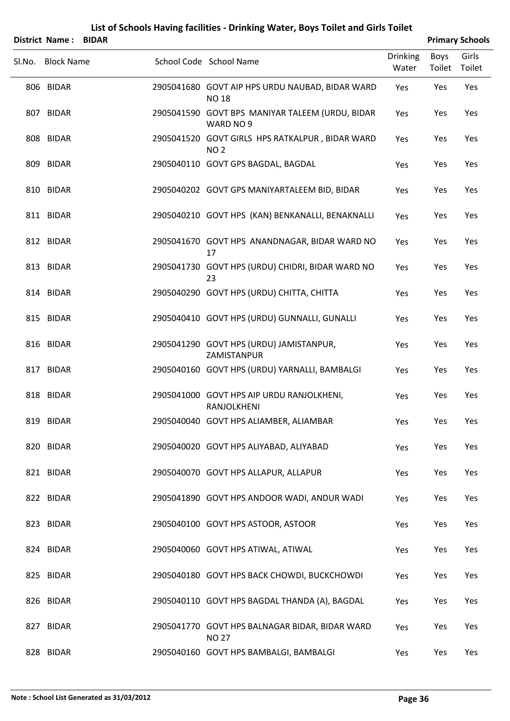|        | <b>District Name:</b><br><b>BIDAR</b> |                                                                    |                          |                | <b>Primary Schools</b> |
|--------|---------------------------------------|--------------------------------------------------------------------|--------------------------|----------------|------------------------|
| SI.No. | <b>Block Name</b>                     | School Code School Name                                            | <b>Drinking</b><br>Water | Boys<br>Toilet | Girls<br>Toilet        |
|        | 806 BIDAR                             | 2905041680 GOVT AIP HPS URDU NAUBAD, BIDAR WARD<br><b>NO 18</b>    | Yes                      | Yes            | Yes                    |
|        | 807 BIDAR                             | 2905041590 GOVT BPS MANIYAR TALEEM (URDU, BIDAR<br>WARD NO 9       | Yes                      | Yes            | Yes                    |
|        | 808 BIDAR                             | 2905041520 GOVT GIRLS HPS RATKALPUR, BIDAR WARD<br>NO <sub>2</sub> | Yes                      | Yes            | Yes                    |
|        | 809 BIDAR                             | 2905040110 GOVT GPS BAGDAL, BAGDAL                                 | Yes                      | Yes            | Yes                    |
|        | 810 BIDAR                             | 2905040202 GOVT GPS MANIYARTALEEM BID, BIDAR                       | Yes                      | Yes            | Yes                    |
|        | 811 BIDAR                             | 2905040210 GOVT HPS (KAN) BENKANALLI, BENAKNALLI                   | Yes                      | Yes            | Yes                    |
|        | 812 BIDAR                             | 2905041670 GOVT HPS ANANDNAGAR, BIDAR WARD NO<br>17                | Yes                      | Yes            | Yes                    |
|        | 813 BIDAR                             | 2905041730 GOVT HPS (URDU) CHIDRI, BIDAR WARD NO<br>23             | Yes                      | Yes            | Yes                    |
|        | 814 BIDAR                             | 2905040290 GOVT HPS (URDU) CHITTA, CHITTA                          | Yes                      | Yes            | Yes                    |
|        | 815 BIDAR                             | 2905040410 GOVT HPS (URDU) GUNNALLI, GUNALLI                       | Yes                      | Yes            | Yes                    |
|        | 816 BIDAR                             | 2905041290 GOVT HPS (URDU) JAMISTANPUR,<br>ZAMISTANPUR             | Yes                      | Yes            | Yes                    |
|        | 817 BIDAR                             | 2905040160 GOVT HPS (URDU) YARNALLI, BAMBALGI                      | Yes                      | Yes            | Yes                    |
|        | 818 BIDAR                             | 2905041000 GOVT HPS AIP URDU RANJOLKHENI,<br>RANJOLKHENI           | Yes                      | Yes            | Yes                    |
|        | 819 BIDAR                             | 2905040040 GOVT HPS ALIAMBER, ALIAMBAR                             | Yes                      | Yes            | Yes                    |
|        | 820 BIDAR                             | 2905040020 GOVT HPS ALIYABAD, ALIYABAD                             | Yes                      | Yes            | Yes                    |
|        | 821 BIDAR                             | 2905040070 GOVT HPS ALLAPUR, ALLAPUR                               | Yes                      | Yes            | Yes                    |
|        | 822 BIDAR                             | 2905041890 GOVT HPS ANDOOR WADI, ANDUR WADI                        | Yes                      | Yes            | Yes                    |
|        | 823 BIDAR                             | 2905040100 GOVT HPS ASTOOR, ASTOOR                                 | Yes                      | Yes            | Yes                    |
|        | 824 BIDAR                             | 2905040060 GOVT HPS ATIWAL, ATIWAL                                 | Yes                      | Yes            | Yes                    |
|        | 825 BIDAR                             | 2905040180 GOVT HPS BACK CHOWDI, BUCKCHOWDI                        | Yes                      | Yes            | Yes                    |
|        | 826 BIDAR                             | 2905040110 GOVT HPS BAGDAL THANDA (A), BAGDAL                      | Yes                      | Yes            | Yes                    |
|        | 827 BIDAR                             | 2905041770 GOVT HPS BALNAGAR BIDAR, BIDAR WARD<br><b>NO 27</b>     | Yes                      | Yes            | Yes                    |
|        | 828 BIDAR                             | 2905040160 GOVT HPS BAMBALGI, BAMBALGI                             | Yes                      | Yes            | Yes                    |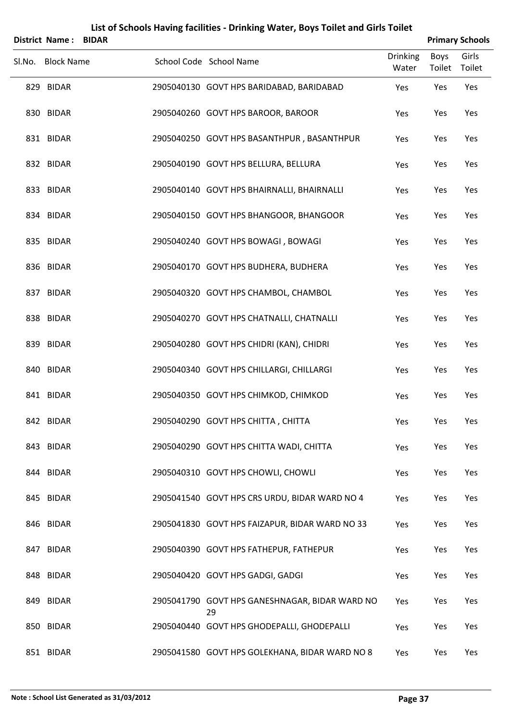| <b>District Name:</b> | <b>BIDAR</b> |                                                      |                          |                | <b>Primary Schools</b> |
|-----------------------|--------------|------------------------------------------------------|--------------------------|----------------|------------------------|
| Sl.No. Block Name     |              | School Code School Name                              | <b>Drinking</b><br>Water | Boys<br>Toilet | Girls<br>Toilet        |
| 829 BIDAR             |              | 2905040130 GOVT HPS BARIDABAD, BARIDABAD             | Yes                      | Yes            | Yes                    |
| 830 BIDAR             |              | 2905040260 GOVT HPS BAROOR, BAROOR                   | Yes                      | Yes            | Yes                    |
| 831 BIDAR             |              | 2905040250 GOVT HPS BASANTHPUR, BASANTHPUR           | Yes                      | Yes            | Yes                    |
| 832 BIDAR             |              | 2905040190 GOVT HPS BELLURA, BELLURA                 | Yes                      | Yes            | Yes                    |
| 833 BIDAR             |              | 2905040140 GOVT HPS BHAIRNALLI, BHAIRNALLI           | Yes                      | Yes            | Yes                    |
| 834 BIDAR             |              | 2905040150 GOVT HPS BHANGOOR, BHANGOOR               | Yes                      | Yes            | Yes                    |
| 835 BIDAR             |              | 2905040240 GOVT HPS BOWAGI, BOWAGI                   | Yes                      | Yes            | Yes                    |
| 836 BIDAR             |              | 2905040170 GOVT HPS BUDHERA, BUDHERA                 | Yes                      | Yes            | Yes                    |
| 837 BIDAR             |              | 2905040320 GOVT HPS CHAMBOL, CHAMBOL                 | Yes                      | Yes            | Yes                    |
| 838 BIDAR             |              | 2905040270 GOVT HPS CHATNALLI, CHATNALLI             | Yes                      | Yes            | Yes                    |
| 839 BIDAR             |              | 2905040280 GOVT HPS CHIDRI (KAN), CHIDRI             | Yes                      | Yes            | Yes                    |
| 840 BIDAR             |              | 2905040340 GOVT HPS CHILLARGI, CHILLARGI             | Yes                      | Yes            | Yes                    |
| 841 BIDAR             |              | 2905040350 GOVT HPS CHIMKOD, CHIMKOD                 | Yes                      | Yes            | Yes                    |
| 842 BIDAR             |              | 2905040290 GOVT HPS CHITTA, CHITTA                   | Yes                      | Yes            | Yes                    |
| 843 BIDAR             |              | 2905040290 GOVT HPS CHITTA WADI, CHITTA              | Yes                      | Yes            | Yes                    |
| 844 BIDAR             |              | 2905040310 GOVT HPS CHOWLI, CHOWLI                   | Yes                      | Yes            | Yes                    |
| 845 BIDAR             |              | 2905041540 GOVT HPS CRS URDU, BIDAR WARD NO 4        | Yes                      | Yes            | Yes                    |
| 846 BIDAR             |              | 2905041830 GOVT HPS FAIZAPUR, BIDAR WARD NO 33       | Yes                      | Yes            | Yes                    |
| 847 BIDAR             |              | 2905040390 GOVT HPS FATHEPUR, FATHEPUR               | Yes                      | Yes            | Yes                    |
| 848 BIDAR             |              | 2905040420 GOVT HPS GADGI, GADGI                     | Yes                      | Yes            | Yes                    |
| 849 BIDAR             |              | 2905041790 GOVT HPS GANESHNAGAR, BIDAR WARD NO<br>29 | Yes                      | Yes            | Yes                    |
| 850 BIDAR             |              | 2905040440 GOVT HPS GHODEPALLI, GHODEPALLI           | Yes                      | Yes            | Yes                    |
| 851 BIDAR             |              | 2905041580 GOVT HPS GOLEKHANA, BIDAR WARD NO 8       | Yes                      | Yes            | Yes                    |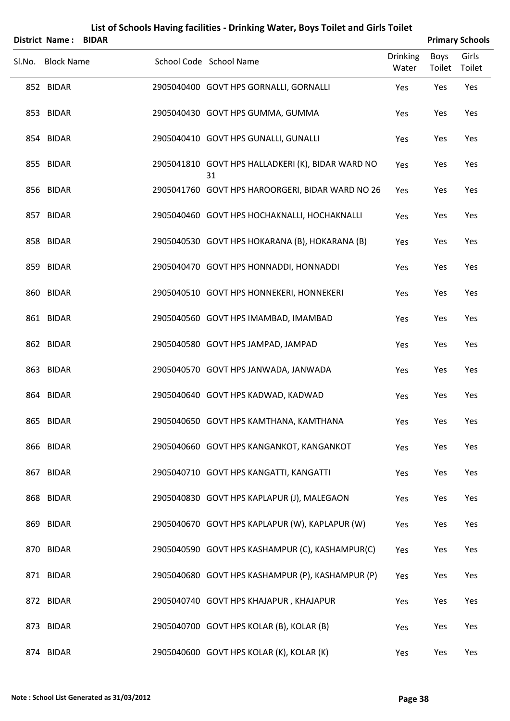|        | District Name:    | <b>BIDAR</b> |                                                         |                          |                       | <b>Primary Schools</b> |
|--------|-------------------|--------------|---------------------------------------------------------|--------------------------|-----------------------|------------------------|
| Sl.No. | <b>Block Name</b> |              | School Code School Name                                 | <b>Drinking</b><br>Water | <b>Boys</b><br>Toilet | Girls<br>Toilet        |
|        | 852 BIDAR         |              | 2905040400 GOVT HPS GORNALLI, GORNALLI                  | Yes                      | Yes                   | Yes                    |
|        | 853 BIDAR         |              | 2905040430 GOVT HPS GUMMA, GUMMA                        | Yes                      | Yes                   | Yes                    |
|        | 854 BIDAR         |              | 2905040410 GOVT HPS GUNALLI, GUNALLI                    | Yes                      | Yes                   | Yes                    |
|        | 855 BIDAR         |              | 2905041810 GOVT HPS HALLADKERI (K), BIDAR WARD NO<br>31 | Yes                      | Yes                   | Yes                    |
|        | 856 BIDAR         |              | 2905041760 GOVT HPS HAROORGERI, BIDAR WARD NO 26        | Yes                      | Yes                   | Yes                    |
|        | 857 BIDAR         |              | 2905040460 GOVT HPS HOCHAKNALLI, HOCHAKNALLI            | Yes                      | Yes                   | Yes                    |
|        | 858 BIDAR         |              | 2905040530 GOVT HPS HOKARANA (B), HOKARANA (B)          | Yes                      | Yes                   | Yes                    |
|        | 859 BIDAR         |              | 2905040470 GOVT HPS HONNADDI, HONNADDI                  | Yes                      | Yes                   | Yes                    |
|        | 860 BIDAR         |              | 2905040510 GOVT HPS HONNEKERI, HONNEKERI                | Yes                      | Yes                   | Yes                    |
|        | 861 BIDAR         |              | 2905040560 GOVT HPS IMAMBAD, IMAMBAD                    | Yes                      | Yes                   | Yes                    |
|        | 862 BIDAR         |              | 2905040580 GOVT HPS JAMPAD, JAMPAD                      | Yes                      | Yes                   | Yes                    |
|        | 863 BIDAR         |              | 2905040570 GOVT HPS JANWADA, JANWADA                    | Yes                      | Yes                   | Yes                    |
|        | 864 BIDAR         |              | 2905040640 GOVT HPS KADWAD, KADWAD                      | Yes                      | Yes                   | Yes                    |
|        | 865 BIDAR         |              | 2905040650 GOVT HPS KAMTHANA, KAMTHANA                  | Yes                      | Yes                   | Yes                    |
|        | 866 BIDAR         |              | 2905040660 GOVT HPS KANGANKOT, KANGANKOT                | Yes                      | Yes                   | Yes                    |
|        | 867 BIDAR         |              | 2905040710 GOVT HPS KANGATTI, KANGATTI                  | Yes                      | Yes                   | Yes                    |
|        | 868 BIDAR         |              | 2905040830 GOVT HPS KAPLAPUR (J), MALEGAON              | Yes                      | Yes                   | Yes                    |
|        | 869 BIDAR         |              | 2905040670 GOVT HPS KAPLAPUR (W), KAPLAPUR (W)          | Yes                      | Yes                   | Yes                    |
|        | 870 BIDAR         |              | 2905040590 GOVT HPS KASHAMPUR (C), KASHAMPUR(C)         | Yes                      | Yes                   | Yes                    |
|        | 871 BIDAR         |              | 2905040680 GOVT HPS KASHAMPUR (P), KASHAMPUR (P)        | Yes                      | Yes                   | Yes                    |
|        | 872 BIDAR         |              | 2905040740 GOVT HPS KHAJAPUR, KHAJAPUR                  | Yes                      | Yes                   | Yes                    |
|        | 873 BIDAR         |              | 2905040700 GOVT HPS KOLAR (B), KOLAR (B)                | Yes                      | Yes                   | Yes                    |
|        | 874 BIDAR         |              | 2905040600 GOVT HPS KOLAR (K), KOLAR (K)                | Yes                      | Yes                   | Yes                    |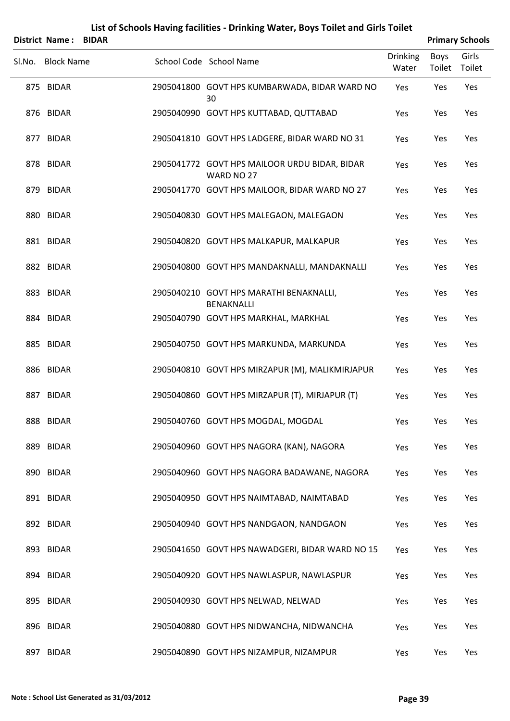|        | <b>District Name:</b><br><b>BIDAR</b> |                                                              |                          |                | <b>Primary Schools</b> |
|--------|---------------------------------------|--------------------------------------------------------------|--------------------------|----------------|------------------------|
| Sl.No. | <b>Block Name</b>                     | School Code School Name                                      | <b>Drinking</b><br>Water | Boys<br>Toilet | Girls<br>Toilet        |
|        | 875 BIDAR                             | 2905041800 GOVT HPS KUMBARWADA, BIDAR WARD NO<br>30          | Yes                      | Yes            | Yes                    |
|        | 876 BIDAR                             | 2905040990 GOVT HPS KUTTABAD, QUTTABAD                       | Yes                      | Yes            | Yes                    |
|        | 877 BIDAR                             | 2905041810 GOVT HPS LADGERE, BIDAR WARD NO 31                | Yes                      | Yes            | Yes                    |
|        | 878 BIDAR                             | 2905041772 GOVT HPS MAILOOR URDU BIDAR, BIDAR<br>WARD NO 27  | Yes                      | Yes            | Yes                    |
|        | 879 BIDAR                             | 2905041770 GOVT HPS MAILOOR, BIDAR WARD NO 27                | Yes                      | Yes            | Yes                    |
|        | 880 BIDAR                             | 2905040830 GOVT HPS MALEGAON, MALEGAON                       | Yes                      | Yes            | Yes                    |
|        | 881 BIDAR                             | 2905040820 GOVT HPS MALKAPUR, MALKAPUR                       | Yes                      | Yes            | Yes                    |
|        | 882 BIDAR                             | 2905040800 GOVT HPS MANDAKNALLI, MANDAKNALLI                 | Yes                      | Yes            | Yes                    |
|        | 883 BIDAR                             | 2905040210 GOVT HPS MARATHI BENAKNALLI,<br><b>BENAKNALLI</b> | Yes                      | Yes            | Yes                    |
|        | 884 BIDAR                             | 2905040790 GOVT HPS MARKHAL, MARKHAL                         | Yes                      | Yes            | Yes                    |
|        | 885 BIDAR                             | 2905040750 GOVT HPS MARKUNDA, MARKUNDA                       | Yes                      | Yes            | Yes                    |
|        | 886 BIDAR                             | 2905040810 GOVT HPS MIRZAPUR (M), MALIKMIRJAPUR              | Yes                      | Yes            | Yes                    |
|        | 887 BIDAR                             | 2905040860 GOVT HPS MIRZAPUR (T), MIRJAPUR (T)               | Yes                      | Yes            | Yes                    |
|        | 888 BIDAR                             | 2905040760 GOVT HPS MOGDAL, MOGDAL                           | Yes                      | Yes            | Yes                    |
|        | 889 BIDAR                             | 2905040960 GOVT HPS NAGORA (KAN), NAGORA                     | Yes                      | Yes            | Yes                    |
|        | 890 BIDAR                             | 2905040960 GOVT HPS NAGORA BADAWANE, NAGORA                  | Yes                      | Yes            | Yes                    |
|        | 891 BIDAR                             | 2905040950 GOVT HPS NAIMTABAD, NAIMTABAD                     | Yes                      | Yes            | Yes                    |
|        | 892 BIDAR                             | 2905040940 GOVT HPS NANDGAON, NANDGAON                       | Yes                      | Yes            | Yes                    |
|        | 893 BIDAR                             | 2905041650 GOVT HPS NAWADGERI, BIDAR WARD NO 15              | Yes                      | Yes            | Yes                    |
|        | 894 BIDAR                             | 2905040920 GOVT HPS NAWLASPUR, NAWLASPUR                     | Yes                      | Yes            | Yes                    |
|        | 895 BIDAR                             | 2905040930 GOVT HPS NELWAD, NELWAD                           | Yes                      | Yes            | Yes                    |
|        | 896 BIDAR                             | 2905040880 GOVT HPS NIDWANCHA, NIDWANCHA                     | Yes                      | Yes            | Yes                    |
|        | 897 BIDAR                             | 2905040890 GOVT HPS NIZAMPUR, NIZAMPUR                       | Yes                      | Yes            | Yes                    |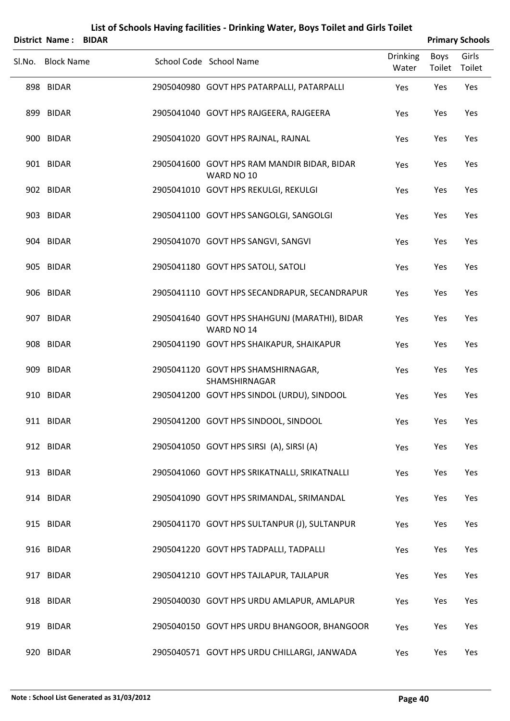|        | <b>District Name:</b> | <b>BIDAR</b> |                                                             |                          |                | <b>Primary Schools</b> |
|--------|-----------------------|--------------|-------------------------------------------------------------|--------------------------|----------------|------------------------|
| Sl.No. | <b>Block Name</b>     |              | School Code School Name                                     | <b>Drinking</b><br>Water | Boys<br>Toilet | Girls<br>Toilet        |
|        | 898 BIDAR             |              | 2905040980 GOVT HPS PATARPALLI, PATARPALLI                  | Yes                      | Yes            | Yes                    |
|        | 899 BIDAR             |              | 2905041040 GOVT HPS RAJGEERA, RAJGEERA                      | Yes                      | Yes            | Yes                    |
|        | 900 BIDAR             |              | 2905041020 GOVT HPS RAJNAL, RAJNAL                          | Yes                      | Yes            | Yes                    |
|        | 901 BIDAR             |              | 2905041600 GOVT HPS RAM MANDIR BIDAR, BIDAR<br>WARD NO 10   | Yes                      | Yes            | Yes                    |
|        | 902 BIDAR             |              | 2905041010 GOVT HPS REKULGI, REKULGI                        | Yes                      | Yes            | Yes                    |
|        | 903 BIDAR             |              | 2905041100 GOVT HPS SANGOLGI, SANGOLGI                      | Yes                      | Yes            | Yes                    |
|        | 904 BIDAR             |              | 2905041070 GOVT HPS SANGVI, SANGVI                          | Yes                      | Yes            | Yes                    |
|        | 905 BIDAR             |              | 2905041180 GOVT HPS SATOLI, SATOLI                          | Yes                      | Yes            | Yes                    |
|        | 906 BIDAR             |              | 2905041110 GOVT HPS SECANDRAPUR, SECANDRAPUR                | Yes                      | Yes            | Yes                    |
|        | 907 BIDAR             |              | 2905041640 GOVT HPS SHAHGUNJ (MARATHI), BIDAR<br>WARD NO 14 | Yes                      | Yes            | Yes                    |
|        | 908 BIDAR             |              | 2905041190 GOVT HPS SHAIKAPUR, SHAIKAPUR                    | Yes                      | Yes            | Yes                    |
|        | 909 BIDAR             |              | 2905041120 GOVT HPS SHAMSHIRNAGAR,<br><b>SHAMSHIRNAGAR</b>  | Yes                      | Yes            | Yes                    |
|        | 910 BIDAR             |              | 2905041200 GOVT HPS SINDOL (URDU), SINDOOL                  | Yes                      | Yes            | Yes                    |
|        | 911 BIDAR             |              | 2905041200 GOVT HPS SINDOOL, SINDOOL                        | Yes                      | Yes            | Yes                    |
|        | 912 BIDAR             |              | 2905041050 GOVT HPS SIRSI (A), SIRSI (A)                    | Yes                      | Yes            | Yes                    |
|        | 913 BIDAR             |              | 2905041060 GOVT HPS SRIKATNALLI, SRIKATNALLI                | Yes                      | Yes            | Yes                    |
|        | 914 BIDAR             |              | 2905041090 GOVT HPS SRIMANDAL, SRIMANDAL                    | Yes                      | Yes            | Yes                    |
|        | 915 BIDAR             |              | 2905041170 GOVT HPS SULTANPUR (J), SULTANPUR                | Yes                      | Yes            | Yes                    |
|        | 916 BIDAR             |              | 2905041220 GOVT HPS TADPALLI, TADPALLI                      | Yes                      | Yes            | Yes                    |
|        | 917 BIDAR             |              | 2905041210 GOVT HPS TAJLAPUR, TAJLAPUR                      | Yes                      | Yes            | Yes                    |
|        | 918 BIDAR             |              | 2905040030 GOVT HPS URDU AMLAPUR, AMLAPUR                   | Yes                      | Yes            | Yes                    |
|        | 919 BIDAR             |              | 2905040150 GOVT HPS URDU BHANGOOR, BHANGOOR                 | Yes                      | Yes            | Yes                    |
|        | 920 BIDAR             |              | 2905040571 GOVT HPS URDU CHILLARGI, JANWADA                 | Yes                      | Yes            | Yes                    |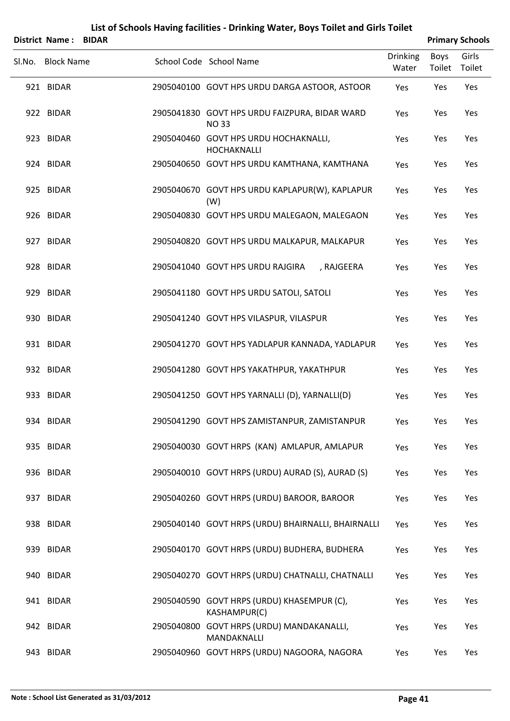| <b>District Name: BIDAR</b> |                                                              |                          |                | <b>Primary Schools</b> |
|-----------------------------|--------------------------------------------------------------|--------------------------|----------------|------------------------|
| Sl.No. Block Name           | School Code School Name                                      | <b>Drinking</b><br>Water | Boys<br>Toilet | Girls<br>Toilet        |
| 921 BIDAR                   | 2905040100 GOVT HPS URDU DARGA ASTOOR, ASTOOR                | Yes                      | Yes            | Yes                    |
| 922 BIDAR                   | 2905041830 GOVT HPS URDU FAIZPURA, BIDAR WARD<br><b>NO33</b> | Yes                      | Yes            | Yes                    |
| 923 BIDAR                   | 2905040460 GOVT HPS URDU HOCHAKNALLI,<br><b>HOCHAKNALLI</b>  | Yes                      | Yes            | Yes                    |
| 924 BIDAR                   | 2905040650 GOVT HPS URDU KAMTHANA, KAMTHANA                  | Yes                      | Yes            | Yes                    |
| 925 BIDAR                   | 2905040670 GOVT HPS URDU KAPLAPUR(W), KAPLAPUR<br>(W)        | Yes                      | Yes            | Yes                    |
| 926 BIDAR                   | 2905040830 GOVT HPS URDU MALEGAON, MALEGAON                  | Yes                      | Yes            | Yes                    |
| 927 BIDAR                   | 2905040820 GOVT HPS URDU MALKAPUR, MALKAPUR                  | Yes                      | Yes            | Yes                    |
| 928 BIDAR                   | 2905041040 GOVT HPS URDU RAJGIRA<br>, RAJGEERA               | Yes                      | Yes            | Yes                    |
| 929 BIDAR                   | 2905041180 GOVT HPS URDU SATOLI, SATOLI                      | Yes                      | Yes            | Yes                    |
| 930 BIDAR                   | 2905041240 GOVT HPS VILASPUR, VILASPUR                       | Yes                      | Yes            | Yes                    |
| 931 BIDAR                   | 2905041270 GOVT HPS YADLAPUR KANNADA, YADLAPUR               | Yes                      | Yes            | Yes                    |
| 932 BIDAR                   | 2905041280 GOVT HPS YAKATHPUR, YAKATHPUR                     | Yes                      | Yes            | Yes                    |
| 933 BIDAR                   | 2905041250 GOVT HPS YARNALLI (D), YARNALLI(D)                | Yes                      | Yes            | Yes                    |
| 934 BIDAR                   | 2905041290 GOVT HPS ZAMISTANPUR, ZAMISTANPUR                 | Yes                      | Yes            | Yes                    |
| 935 BIDAR                   | 2905040030 GOVT HRPS (KAN) AMLAPUR, AMLAPUR                  | Yes                      | Yes            | Yes                    |
| 936 BIDAR                   | 2905040010 GOVT HRPS (URDU) AURAD (S), AURAD (S)             | Yes                      | Yes            | Yes                    |
| 937 BIDAR                   | 2905040260 GOVT HRPS (URDU) BAROOR, BAROOR                   | Yes                      | Yes            | Yes                    |
| 938 BIDAR                   | 2905040140 GOVT HRPS (URDU) BHAIRNALLI, BHAIRNALLI           | Yes                      | Yes            | Yes                    |
| 939 BIDAR                   | 2905040170 GOVT HRPS (URDU) BUDHERA, BUDHERA                 | Yes                      | Yes            | Yes                    |
| 940 BIDAR                   | 2905040270 GOVT HRPS (URDU) CHATNALLI, CHATNALLI             | Yes                      | Yes            | Yes                    |
| 941 BIDAR                   | 2905040590 GOVT HRPS (URDU) KHASEMPUR (C),<br>KASHAMPUR(C)   | Yes                      | Yes            | Yes                    |
| 942 BIDAR                   | 2905040800 GOVT HRPS (URDU) MANDAKANALLI,<br>MANDAKNALLI     | Yes                      | Yes            | Yes                    |
| 943 BIDAR                   | 2905040960 GOVT HRPS (URDU) NAGOORA, NAGORA                  | Yes                      | Yes            | Yes                    |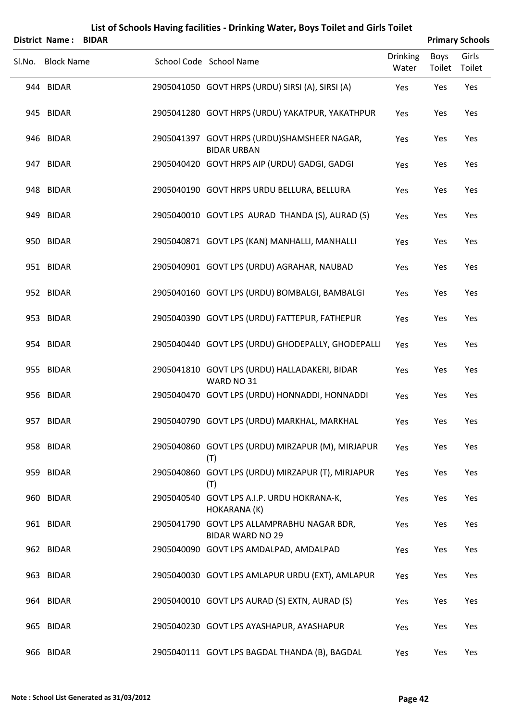| District Name:    | <b>BIDAR</b> |                                                                       |                          |                       | <b>Primary Schools</b> |
|-------------------|--------------|-----------------------------------------------------------------------|--------------------------|-----------------------|------------------------|
| Sl.No. Block Name |              | School Code School Name                                               | <b>Drinking</b><br>Water | <b>Boys</b><br>Toilet | Girls<br>Toilet        |
| 944 BIDAR         |              | 2905041050 GOVT HRPS (URDU) SIRSI (A), SIRSI (A)                      | Yes                      | Yes                   | Yes                    |
| 945 BIDAR         |              | 2905041280 GOVT HRPS (URDU) YAKATPUR, YAKATHPUR                       | Yes                      | Yes                   | Yes                    |
| 946 BIDAR         |              | 2905041397 GOVT HRPS (URDU)SHAMSHEER NAGAR,<br><b>BIDAR URBAN</b>     | Yes                      | Yes                   | Yes                    |
| 947 BIDAR         |              | 2905040420 GOVT HRPS AIP (URDU) GADGI, GADGI                          | Yes                      | Yes                   | Yes                    |
| 948 BIDAR         |              | 2905040190 GOVT HRPS URDU BELLURA, BELLURA                            | Yes                      | Yes                   | Yes                    |
| 949 BIDAR         |              | 2905040010 GOVT LPS AURAD THANDA (S), AURAD (S)                       | Yes                      | Yes                   | Yes                    |
| 950 BIDAR         |              | 2905040871 GOVT LPS (KAN) MANHALLI, MANHALLI                          | Yes                      | Yes                   | Yes                    |
| 951 BIDAR         |              | 2905040901 GOVT LPS (URDU) AGRAHAR, NAUBAD                            | Yes                      | Yes                   | Yes                    |
| 952 BIDAR         |              | 2905040160 GOVT LPS (URDU) BOMBALGI, BAMBALGI                         | Yes                      | Yes                   | Yes                    |
| 953 BIDAR         |              | 2905040390 GOVT LPS (URDU) FATTEPUR, FATHEPUR                         | Yes                      | Yes                   | Yes                    |
| 954 BIDAR         |              | 2905040440 GOVT LPS (URDU) GHODEPALLY, GHODEPALLI                     | Yes                      | Yes                   | Yes                    |
| 955 BIDAR         |              | 2905041810 GOVT LPS (URDU) HALLADAKERI, BIDAR<br>WARD NO 31           | Yes                      | Yes                   | Yes                    |
| 956 BIDAR         |              | 2905040470 GOVT LPS (URDU) HONNADDI, HONNADDI                         | Yes                      | Yes                   | Yes                    |
| 957 BIDAR         |              | 2905040790 GOVT LPS (URDU) MARKHAL, MARKHAL                           | Yes                      | Yes                   | Yes                    |
| 958 BIDAR         |              | 2905040860 GOVT LPS (URDU) MIRZAPUR (M), MIRJAPUR<br>(T)              | Yes                      | Yes                   | Yes                    |
| 959 BIDAR         |              | 2905040860 GOVT LPS (URDU) MIRZAPUR (T), MIRJAPUR<br>(T)              | Yes                      | Yes                   | Yes                    |
| 960 BIDAR         |              | 2905040540 GOVT LPS A.I.P. URDU HOKRANA-K,<br>HOKARANA (K)            | Yes                      | Yes                   | Yes                    |
| 961 BIDAR         |              | 2905041790 GOVT LPS ALLAMPRABHU NAGAR BDR,<br><b>BIDAR WARD NO 29</b> | Yes                      | Yes                   | Yes                    |
| 962 BIDAR         |              | 2905040090 GOVT LPS AMDALPAD, AMDALPAD                                | Yes                      | Yes                   | Yes                    |
| 963 BIDAR         |              | 2905040030 GOVT LPS AMLAPUR URDU (EXT), AMLAPUR                       | Yes                      | Yes                   | Yes                    |
| 964 BIDAR         |              | 2905040010 GOVT LPS AURAD (S) EXTN, AURAD (S)                         | Yes                      | Yes                   | Yes                    |
| 965 BIDAR         |              | 2905040230 GOVT LPS AYASHAPUR, AYASHAPUR                              | Yes                      | Yes                   | Yes                    |
| 966 BIDAR         |              | 2905040111 GOVT LPS BAGDAL THANDA (B), BAGDAL                         | Yes                      | Yes                   | Yes                    |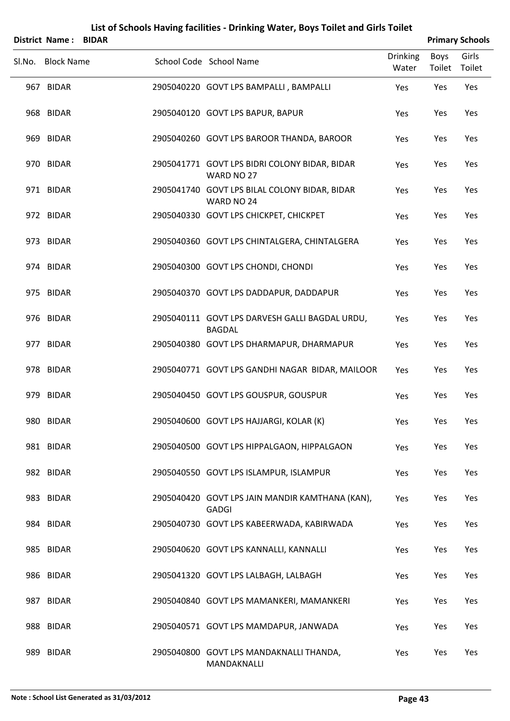| District Name: BIDAR |  |                                                                 |                          |                       | <b>Primary Schools</b> |
|----------------------|--|-----------------------------------------------------------------|--------------------------|-----------------------|------------------------|
| Sl.No. Block Name    |  | School Code School Name                                         | <b>Drinking</b><br>Water | <b>Boys</b><br>Toilet | Girls<br>Toilet        |
| 967 BIDAR            |  | 2905040220 GOVT LPS BAMPALLI, BAMPALLI                          | Yes                      | Yes                   | Yes                    |
| 968 BIDAR            |  | 2905040120 GOVT LPS BAPUR, BAPUR                                | Yes                      | Yes                   | Yes                    |
| 969 BIDAR            |  | 2905040260 GOVT LPS BAROOR THANDA, BAROOR                       | Yes                      | Yes                   | Yes                    |
| 970 BIDAR            |  | 2905041771 GOVT LPS BIDRI COLONY BIDAR, BIDAR<br>WARD NO 27     | Yes                      | Yes                   | Yes                    |
| 971 BIDAR            |  | 2905041740 GOVT LPS BILAL COLONY BIDAR, BIDAR<br>WARD NO 24     | Yes                      | Yes                   | Yes                    |
| 972 BIDAR            |  | 2905040330 GOVT LPS CHICKPET, CHICKPET                          | Yes                      | Yes                   | Yes                    |
| 973 BIDAR            |  | 2905040360 GOVT LPS CHINTALGERA, CHINTALGERA                    | Yes                      | Yes                   | Yes                    |
| 974 BIDAR            |  | 2905040300 GOVT LPS CHONDI, CHONDI                              | Yes                      | Yes                   | Yes                    |
| 975 BIDAR            |  | 2905040370 GOVT LPS DADDAPUR, DADDAPUR                          | Yes                      | Yes                   | Yes                    |
| 976 BIDAR            |  | 2905040111 GOVT LPS DARVESH GALLI BAGDAL URDU,<br><b>BAGDAL</b> | Yes                      | Yes                   | Yes                    |
| 977 BIDAR            |  | 2905040380 GOVT LPS DHARMAPUR, DHARMAPUR                        | Yes                      | Yes                   | Yes                    |
| 978 BIDAR            |  | 2905040771 GOVT LPS GANDHI NAGAR BIDAR, MAILOOR                 | Yes                      | Yes                   | Yes                    |
| 979 BIDAR            |  | 2905040450 GOVT LPS GOUSPUR, GOUSPUR                            | Yes                      | Yes                   | Yes                    |
| 980 BIDAR            |  | 2905040600 GOVT LPS HAJJARGI, KOLAR (K)                         | Yes                      | Yes                   | Yes                    |
| 981 BIDAR            |  | 2905040500 GOVT LPS HIPPALGAON, HIPPALGAON                      | Yes                      | Yes                   | Yes                    |
| 982 BIDAR            |  | 2905040550 GOVT LPS ISLAMPUR, ISLAMPUR                          | Yes                      | Yes                   | Yes                    |
| 983 BIDAR            |  | 2905040420 GOVT LPS JAIN MANDIR KAMTHANA (KAN),<br><b>GADGI</b> | Yes                      | Yes                   | Yes                    |
| 984 BIDAR            |  | 2905040730 GOVT LPS KABEERWADA, KABIRWADA                       | Yes                      | Yes                   | Yes                    |
| 985 BIDAR            |  | 2905040620 GOVT LPS KANNALLI, KANNALLI                          | Yes                      | Yes                   | Yes                    |
| 986 BIDAR            |  | 2905041320 GOVT LPS LALBAGH, LALBAGH                            | Yes                      | Yes                   | Yes                    |
| 987 BIDAR            |  | 2905040840 GOVT LPS MAMANKERI, MAMANKERI                        | Yes                      | Yes                   | Yes                    |
| 988 BIDAR            |  | 2905040571 GOVT LPS MAMDAPUR, JANWADA                           | Yes                      | Yes                   | Yes                    |
| 989 BIDAR            |  | 2905040800 GOVT LPS MANDAKNALLI THANDA,                         | Yes                      | Yes                   | Yes                    |

MANDAKNALLI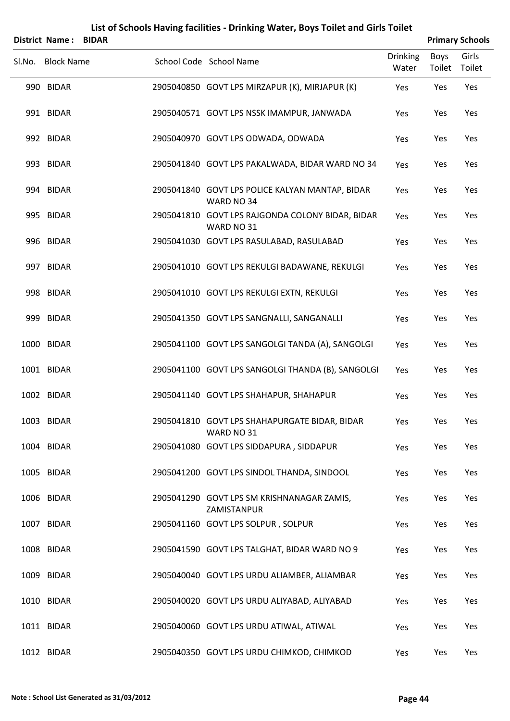|        | District Name:<br><b>BIDAR</b> |                                                                |                          |                | <b>Primary Schools</b> |
|--------|--------------------------------|----------------------------------------------------------------|--------------------------|----------------|------------------------|
| SI.No. | <b>Block Name</b>              | School Code School Name                                        | <b>Drinking</b><br>Water | Boys<br>Toilet | Girls<br>Toilet        |
|        | 990 BIDAR                      | 2905040850 GOVT LPS MIRZAPUR (K), MIRJAPUR (K)                 | Yes                      | Yes            | Yes                    |
|        | 991 BIDAR                      | 2905040571 GOVT LPS NSSK IMAMPUR, JANWADA                      | Yes                      | Yes            | Yes                    |
|        | 992 BIDAR                      | 2905040970 GOVT LPS ODWADA, ODWADA                             | Yes                      | Yes            | Yes                    |
|        | 993 BIDAR                      | 2905041840 GOVT LPS PAKALWADA, BIDAR WARD NO 34                | Yes                      | Yes            | Yes                    |
|        | 994 BIDAR                      | 2905041840 GOVT LPS POLICE KALYAN MANTAP, BIDAR<br>WARD NO 34  | Yes                      | Yes            | Yes                    |
|        | 995 BIDAR                      | 2905041810 GOVT LPS RAJGONDA COLONY BIDAR, BIDAR<br>WARD NO 31 | Yes                      | Yes            | Yes                    |
|        | 996 BIDAR                      | 2905041030 GOVT LPS RASULABAD, RASULABAD                       | Yes                      | Yes            | Yes                    |
|        | 997 BIDAR                      | 2905041010 GOVT LPS REKULGI BADAWANE, REKULGI                  | Yes                      | Yes            | Yes                    |
|        | 998 BIDAR                      | 2905041010 GOVT LPS REKULGI EXTN, REKULGI                      | Yes                      | Yes            | Yes                    |
|        | 999 BIDAR                      | 2905041350 GOVT LPS SANGNALLI, SANGANALLI                      | Yes                      | Yes            | Yes                    |
|        | 1000 BIDAR                     | 2905041100 GOVT LPS SANGOLGI TANDA (A), SANGOLGI               | Yes                      | Yes            | Yes                    |
|        | 1001 BIDAR                     | 2905041100 GOVT LPS SANGOLGI THANDA (B), SANGOLGI              | Yes                      | Yes            | Yes                    |
|        | 1002 BIDAR                     | 2905041140 GOVT LPS SHAHAPUR, SHAHAPUR                         | Yes                      | Yes            | Yes                    |
|        | 1003 BIDAR                     | 2905041810 GOVT LPS SHAHAPURGATE BIDAR, BIDAR<br>WARD NO 31    | Yes                      | Yes            | Yes                    |
|        | 1004 BIDAR                     | 2905041080 GOVT LPS SIDDAPURA, SIDDAPUR                        | Yes                      | Yes            | Yes                    |
|        | 1005 BIDAR                     | 2905041200 GOVT LPS SINDOL THANDA, SINDOOL                     | Yes                      | Yes            | Yes                    |
|        | 1006 BIDAR                     | 2905041290 GOVT LPS SM KRISHNANAGAR ZAMIS,<br>ZAMISTANPUR      | Yes                      | Yes            | Yes                    |
|        | 1007 BIDAR                     | 2905041160 GOVT LPS SOLPUR, SOLPUR                             | Yes                      | Yes            | Yes                    |
|        | 1008 BIDAR                     | 2905041590 GOVT LPS TALGHAT, BIDAR WARD NO 9                   | Yes                      | Yes            | Yes                    |
|        | 1009 BIDAR                     | 2905040040 GOVT LPS URDU ALIAMBER, ALIAMBAR                    | Yes                      | Yes            | Yes                    |
|        | 1010 BIDAR                     | 2905040020 GOVT LPS URDU ALIYABAD, ALIYABAD                    | Yes                      | Yes            | Yes                    |
|        | 1011 BIDAR                     | 2905040060 GOVT LPS URDU ATIWAL, ATIWAL                        | Yes                      | Yes            | Yes                    |
|        | 1012 BIDAR                     | 2905040350 GOVT LPS URDU CHIMKOD, CHIMKOD                      | Yes                      | Yes            | Yes                    |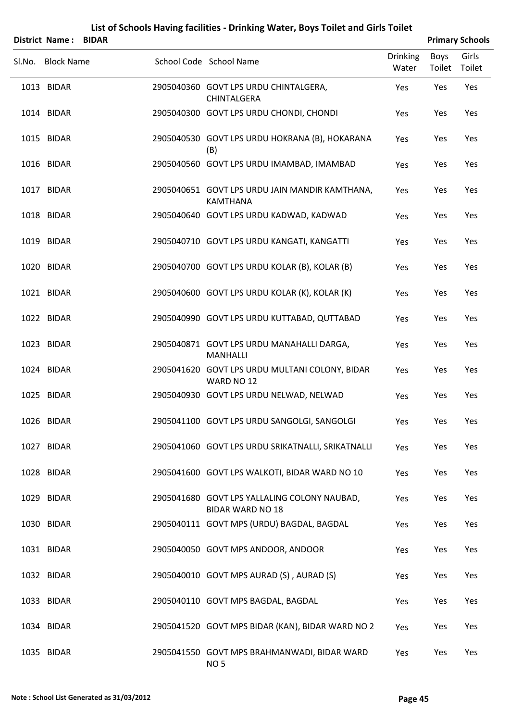|                   |                             |                         |                                                                                                                                                                                                                                                                                                                                                                                                                                                                                                                                                                                                                                                                                                                                                                                                                                                                                                                                                                                                                                                                                                                               |                | <b>Primary Schools</b> |
|-------------------|-----------------------------|-------------------------|-------------------------------------------------------------------------------------------------------------------------------------------------------------------------------------------------------------------------------------------------------------------------------------------------------------------------------------------------------------------------------------------------------------------------------------------------------------------------------------------------------------------------------------------------------------------------------------------------------------------------------------------------------------------------------------------------------------------------------------------------------------------------------------------------------------------------------------------------------------------------------------------------------------------------------------------------------------------------------------------------------------------------------------------------------------------------------------------------------------------------------|----------------|------------------------|
| Sl.No. Block Name |                             |                         | <b>Drinking</b><br>Water                                                                                                                                                                                                                                                                                                                                                                                                                                                                                                                                                                                                                                                                                                                                                                                                                                                                                                                                                                                                                                                                                                      | Boys<br>Toilet | Girls<br>Toilet        |
| 1013 BIDAR        |                             | <b>CHINTALGERA</b>      | Yes                                                                                                                                                                                                                                                                                                                                                                                                                                                                                                                                                                                                                                                                                                                                                                                                                                                                                                                                                                                                                                                                                                                           | Yes            | Yes                    |
| 1014 BIDAR        |                             |                         | Yes                                                                                                                                                                                                                                                                                                                                                                                                                                                                                                                                                                                                                                                                                                                                                                                                                                                                                                                                                                                                                                                                                                                           | Yes            | Yes                    |
| 1015 BIDAR        |                             | (B)                     | Yes                                                                                                                                                                                                                                                                                                                                                                                                                                                                                                                                                                                                                                                                                                                                                                                                                                                                                                                                                                                                                                                                                                                           | Yes            | Yes                    |
| 1016 BIDAR        |                             |                         | Yes                                                                                                                                                                                                                                                                                                                                                                                                                                                                                                                                                                                                                                                                                                                                                                                                                                                                                                                                                                                                                                                                                                                           | Yes            | Yes                    |
| 1017 BIDAR        |                             | <b>KAMTHANA</b>         | Yes                                                                                                                                                                                                                                                                                                                                                                                                                                                                                                                                                                                                                                                                                                                                                                                                                                                                                                                                                                                                                                                                                                                           | Yes            | Yes                    |
| 1018 BIDAR        |                             |                         | Yes                                                                                                                                                                                                                                                                                                                                                                                                                                                                                                                                                                                                                                                                                                                                                                                                                                                                                                                                                                                                                                                                                                                           | Yes            | Yes                    |
| 1019 BIDAR        |                             |                         | Yes                                                                                                                                                                                                                                                                                                                                                                                                                                                                                                                                                                                                                                                                                                                                                                                                                                                                                                                                                                                                                                                                                                                           | Yes            | Yes                    |
| 1020 BIDAR        |                             |                         | Yes                                                                                                                                                                                                                                                                                                                                                                                                                                                                                                                                                                                                                                                                                                                                                                                                                                                                                                                                                                                                                                                                                                                           | Yes            | Yes                    |
| 1021 BIDAR        |                             |                         | Yes                                                                                                                                                                                                                                                                                                                                                                                                                                                                                                                                                                                                                                                                                                                                                                                                                                                                                                                                                                                                                                                                                                                           | Yes            | Yes                    |
| 1022 BIDAR        |                             |                         | Yes                                                                                                                                                                                                                                                                                                                                                                                                                                                                                                                                                                                                                                                                                                                                                                                                                                                                                                                                                                                                                                                                                                                           | Yes            | Yes                    |
| 1023 BIDAR        |                             | <b>MANHALLI</b>         | Yes                                                                                                                                                                                                                                                                                                                                                                                                                                                                                                                                                                                                                                                                                                                                                                                                                                                                                                                                                                                                                                                                                                                           | Yes            | Yes                    |
| 1024 BIDAR        |                             | WARD NO 12              | Yes                                                                                                                                                                                                                                                                                                                                                                                                                                                                                                                                                                                                                                                                                                                                                                                                                                                                                                                                                                                                                                                                                                                           | Yes            | Yes                    |
| 1025 BIDAR        |                             |                         | Yes                                                                                                                                                                                                                                                                                                                                                                                                                                                                                                                                                                                                                                                                                                                                                                                                                                                                                                                                                                                                                                                                                                                           | Yes            | Yes                    |
| 1026 BIDAR        |                             |                         | Yes                                                                                                                                                                                                                                                                                                                                                                                                                                                                                                                                                                                                                                                                                                                                                                                                                                                                                                                                                                                                                                                                                                                           | Yes            | Yes                    |
| 1027 BIDAR        |                             |                         | Yes                                                                                                                                                                                                                                                                                                                                                                                                                                                                                                                                                                                                                                                                                                                                                                                                                                                                                                                                                                                                                                                                                                                           | Yes            | Yes                    |
| 1028 BIDAR        |                             |                         | Yes                                                                                                                                                                                                                                                                                                                                                                                                                                                                                                                                                                                                                                                                                                                                                                                                                                                                                                                                                                                                                                                                                                                           | Yes            | Yes                    |
| 1029 BIDAR        |                             | <b>BIDAR WARD NO 18</b> | Yes                                                                                                                                                                                                                                                                                                                                                                                                                                                                                                                                                                                                                                                                                                                                                                                                                                                                                                                                                                                                                                                                                                                           | Yes            | Yes                    |
| 1030 BIDAR        |                             |                         | Yes                                                                                                                                                                                                                                                                                                                                                                                                                                                                                                                                                                                                                                                                                                                                                                                                                                                                                                                                                                                                                                                                                                                           | Yes            | Yes                    |
| 1031 BIDAR        |                             |                         | Yes                                                                                                                                                                                                                                                                                                                                                                                                                                                                                                                                                                                                                                                                                                                                                                                                                                                                                                                                                                                                                                                                                                                           | Yes            | Yes                    |
| 1032 BIDAR        |                             |                         | Yes                                                                                                                                                                                                                                                                                                                                                                                                                                                                                                                                                                                                                                                                                                                                                                                                                                                                                                                                                                                                                                                                                                                           | Yes            | Yes                    |
| 1033 BIDAR        |                             |                         | Yes                                                                                                                                                                                                                                                                                                                                                                                                                                                                                                                                                                                                                                                                                                                                                                                                                                                                                                                                                                                                                                                                                                                           | Yes            | Yes                    |
| 1034 BIDAR        |                             |                         | Yes                                                                                                                                                                                                                                                                                                                                                                                                                                                                                                                                                                                                                                                                                                                                                                                                                                                                                                                                                                                                                                                                                                                           | Yes            | Yes                    |
| 1035 BIDAR        |                             | NO <sub>5</sub>         | Yes                                                                                                                                                                                                                                                                                                                                                                                                                                                                                                                                                                                                                                                                                                                                                                                                                                                                                                                                                                                                                                                                                                                           | Yes            | Yes                    |
|                   | <b>District Name: BIDAR</b> |                         | School Code School Name<br>2905040360 GOVT LPS URDU CHINTALGERA,<br>2905040300 GOVT LPS URDU CHONDI, CHONDI<br>2905040530 GOVT LPS URDU HOKRANA (B), HOKARANA<br>2905040560 GOVT LPS URDU IMAMBAD, IMAMBAD<br>2905040651 GOVT LPS URDU JAIN MANDIR KAMTHANA,<br>2905040640 GOVT LPS URDU KADWAD, KADWAD<br>2905040710 GOVT LPS URDU KANGATI, KANGATTI<br>2905040700 GOVT LPS URDU KOLAR (B), KOLAR (B)<br>2905040600 GOVT LPS URDU KOLAR (K), KOLAR (K)<br>2905040990 GOVT LPS URDU KUTTABAD, QUTTABAD<br>2905040871 GOVT LPS URDU MANAHALLI DARGA,<br>2905041620 GOVT LPS URDU MULTANI COLONY, BIDAR<br>2905040930 GOVT LPS URDU NELWAD, NELWAD<br>2905041100 GOVT LPS URDU SANGOLGI, SANGOLGI<br>2905041060 GOVT LPS URDU SRIKATNALLI, SRIKATNALLI<br>2905041600 GOVT LPS WALKOTI, BIDAR WARD NO 10<br>2905041680 GOVT LPS YALLALING COLONY NAUBAD,<br>2905040111 GOVT MPS (URDU) BAGDAL, BAGDAL<br>2905040050 GOVT MPS ANDOOR, ANDOOR<br>2905040010 GOVT MPS AURAD (S), AURAD (S)<br>2905040110 GOVT MPS BAGDAL, BAGDAL<br>2905041520 GOVT MPS BIDAR (KAN), BIDAR WARD NO 2<br>2905041550 GOVT MPS BRAHMANWADI, BIDAR WARD |                |                        |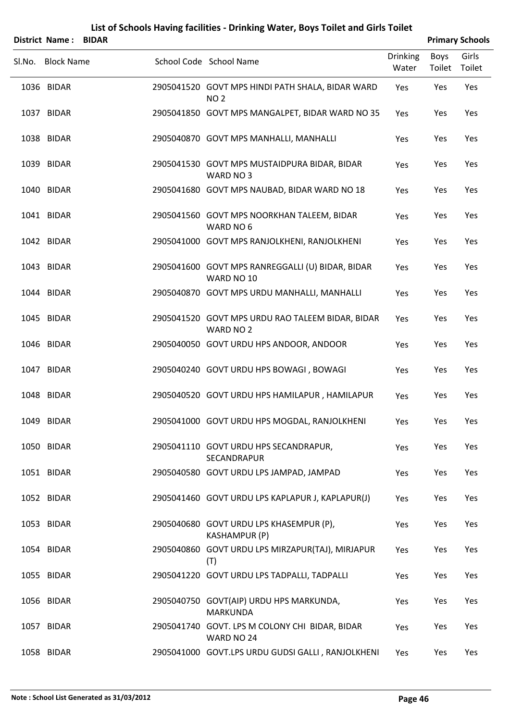|        | <b>District Name: BIDAR</b> |                                                                     |                          |                | <b>Primary Schools</b> |
|--------|-----------------------------|---------------------------------------------------------------------|--------------------------|----------------|------------------------|
| Sl.No. | <b>Block Name</b>           | School Code School Name                                             | <b>Drinking</b><br>Water | Boys<br>Toilet | Girls<br>Toilet        |
|        | 1036 BIDAR                  | 2905041520 GOVT MPS HINDI PATH SHALA, BIDAR WARD<br>NO <sub>2</sub> | Yes                      | Yes            | Yes                    |
|        | 1037 BIDAR                  | 2905041850 GOVT MPS MANGALPET, BIDAR WARD NO 35                     | Yes                      | Yes            | Yes                    |
|        | 1038 BIDAR                  | 2905040870 GOVT MPS MANHALLI, MANHALLI                              | Yes                      | Yes            | Yes                    |
|        | 1039 BIDAR                  | 2905041530 GOVT MPS MUSTAIDPURA BIDAR, BIDAR<br>WARD NO 3           | Yes                      | Yes            | Yes                    |
|        | 1040 BIDAR                  | 2905041680 GOVT MPS NAUBAD, BIDAR WARD NO 18                        | Yes                      | Yes            | Yes                    |
|        | 1041 BIDAR                  | 2905041560 GOVT MPS NOORKHAN TALEEM, BIDAR<br>WARD NO 6             | Yes                      | Yes            | Yes                    |
|        | 1042 BIDAR                  | 2905041000 GOVT MPS RANJOLKHENI, RANJOLKHENI                        | Yes                      | Yes            | Yes                    |
|        | 1043 BIDAR                  | 2905041600 GOVT MPS RANREGGALLI (U) BIDAR, BIDAR<br>WARD NO 10      | Yes                      | Yes            | Yes                    |
|        | 1044 BIDAR                  | 2905040870 GOVT MPS URDU MANHALLI, MANHALLI                         | Yes                      | Yes            | Yes                    |
|        | 1045 BIDAR                  | 2905041520 GOVT MPS URDU RAO TALEEM BIDAR, BIDAR<br>WARD NO 2       | Yes                      | Yes            | Yes                    |
|        | 1046 BIDAR                  | 2905040050 GOVT URDU HPS ANDOOR, ANDOOR                             | Yes                      | Yes            | Yes                    |
|        | 1047 BIDAR                  | 2905040240 GOVT URDU HPS BOWAGI, BOWAGI                             | Yes                      | Yes            | Yes                    |
|        | 1048 BIDAR                  | 2905040520 GOVT URDU HPS HAMILAPUR, HAMILAPUR                       | Yes                      | Yes            | Yes                    |
|        | 1049 BIDAR                  | 2905041000 GOVT URDU HPS MOGDAL, RANJOLKHENI                        | Yes                      | Yes            | Yes                    |
|        | 1050 BIDAR                  | 2905041110 GOVT URDU HPS SECANDRAPUR,<br>SECANDRAPUR                | Yes                      | Yes            | Yes                    |
|        | 1051 BIDAR                  | 2905040580 GOVT URDU LPS JAMPAD, JAMPAD                             | Yes                      | Yes            | Yes                    |
|        | 1052 BIDAR                  | 2905041460 GOVT URDU LPS KAPLAPUR J, KAPLAPUR(J)                    | Yes                      | Yes            | Yes                    |
|        | 1053 BIDAR                  | 2905040680 GOVT URDU LPS KHASEMPUR (P),<br><b>KASHAMPUR (P)</b>     | Yes                      | Yes            | Yes                    |
|        | 1054 BIDAR                  | 2905040860 GOVT URDU LPS MIRZAPUR(TAJ), MIRJAPUR<br>(T)             | Yes                      | Yes            | Yes                    |
|        | 1055 BIDAR                  | 2905041220 GOVT URDU LPS TADPALLI, TADPALLI                         | Yes                      | Yes            | Yes                    |
|        | 1056 BIDAR                  | 2905040750 GOVT(AIP) URDU HPS MARKUNDA,<br><b>MARKUNDA</b>          | Yes                      | Yes            | Yes                    |
|        | 1057 BIDAR                  | 2905041740 GOVT. LPS M COLONY CHI BIDAR, BIDAR<br>WARD NO 24        | Yes                      | Yes            | Yes                    |
|        | 1058 BIDAR                  | 2905041000 GOVT.LPS URDU GUDSI GALLI, RANJOLKHENI                   | Yes                      | Yes            | Yes                    |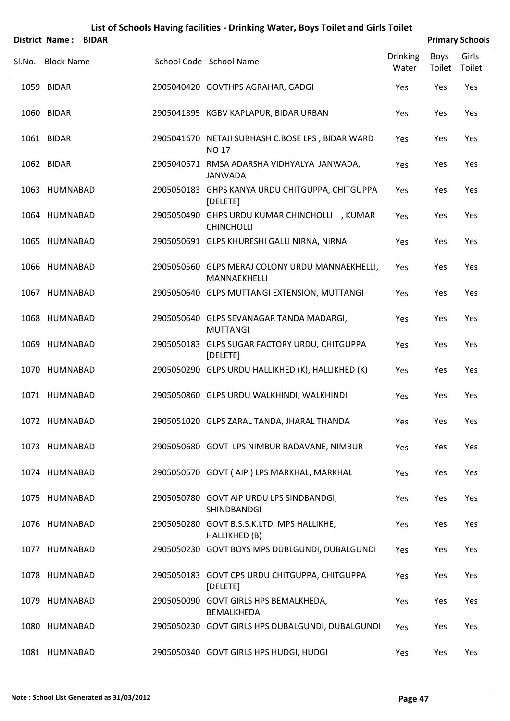|        | <b>District Name: BIDAR</b> |                                                                    |                          |                | <b>Primary Schools</b> |
|--------|-----------------------------|--------------------------------------------------------------------|--------------------------|----------------|------------------------|
| Sl.No. | <b>Block Name</b>           | School Code School Name                                            | <b>Drinking</b><br>Water | Boys<br>Toilet | Girls<br>Toilet        |
|        | 1059 BIDAR                  | 2905040420 GOVTHPS AGRAHAR, GADGI                                  | Yes                      | Yes            | Yes                    |
|        | 1060 BIDAR                  | 2905041395 KGBV KAPLAPUR, BIDAR URBAN                              | Yes                      | Yes            | Yes                    |
|        | 1061 BIDAR                  | 2905041670 NETAJI SUBHASH C.BOSE LPS, BIDAR WARD<br><b>NO17</b>    | Yes                      | Yes            | Yes                    |
|        | 1062 BIDAR                  | 2905040571 RMSA ADARSHA VIDHYALYA JANWADA,<br><b>JANWADA</b>       | Yes                      | Yes            | Yes                    |
|        | 1063 HUMNABAD               | 2905050183 GHPS KANYA URDU CHITGUPPA, CHITGUPPA<br>[DELETE]        | Yes                      | Yes            | Yes                    |
|        | 1064 HUMNABAD               | 2905050490 GHPS URDU KUMAR CHINCHOLLI , KUMAR<br><b>CHINCHOLLI</b> | Yes                      | Yes            | Yes                    |
|        | 1065 HUMNABAD               | 2905050691 GLPS KHURESHI GALLI NIRNA, NIRNA                        | Yes                      | Yes            | Yes                    |
|        | 1066 HUMNABAD               | 2905050560 GLPS MERAJ COLONY URDU MANNAEKHELLI,<br>MANNAEKHELLI    | Yes                      | Yes            | Yes                    |
|        | 1067 HUMNABAD               | 2905050640 GLPS MUTTANGI EXTENSION, MUTTANGI                       | Yes                      | Yes            | Yes                    |
|        | 1068 HUMNABAD               | 2905050640 GLPS SEVANAGAR TANDA MADARGI,<br><b>MUTTANGI</b>        | Yes                      | Yes            | Yes                    |
|        | 1069 HUMNABAD               | 2905050183 GLPS SUGAR FACTORY URDU, CHITGUPPA<br>[DELETE]          | Yes                      | Yes            | Yes                    |
|        | 1070 HUMNABAD               | 2905050290 GLPS URDU HALLIKHED (K), HALLIKHED (K)                  | Yes                      | Yes            | Yes                    |
|        | 1071 HUMNABAD               | 2905050860 GLPS URDU WALKHINDI, WALKHINDI                          | Yes                      | Yes            | Yes                    |
|        | 1072 HUMNABAD               | 2905051020 GLPS ZARAL TANDA, JHARAL THANDA                         | Yes                      | Yes            | Yes                    |
|        | 1073 HUMNABAD               | 2905050680 GOVT LPS NIMBUR BADAVANE, NIMBUR                        | Yes                      | Yes            | Yes                    |
|        | 1074 HUMNABAD               | 2905050570 GOVT (AIP) LPS MARKHAL, MARKHAL                         | Yes                      | Yes            | Yes                    |
|        | 1075 HUMNABAD               | 2905050780 GOVT AIP URDU LPS SINDBANDGI,<br>SHINDBANDGI            | Yes                      | Yes            | Yes                    |
|        | 1076 HUMNABAD               | 2905050280 GOVT B.S.S.K.LTD. MPS HALLIKHE,<br>HALLIKHED (B)        | Yes                      | Yes            | Yes                    |
|        | 1077 HUMNABAD               | 2905050230 GOVT BOYS MPS DUBLGUNDI, DUBALGUNDI                     | Yes                      | Yes            | Yes                    |
|        | 1078 HUMNABAD               | 2905050183 GOVT CPS URDU CHITGUPPA, CHITGUPPA<br>[DELETE]          | Yes                      | Yes            | Yes                    |
|        | 1079 HUMNABAD               | 2905050090 GOVT GIRLS HPS BEMALKHEDA,<br>BEMALKHEDA                | Yes                      | Yes            | Yes                    |
|        | 1080 HUMNABAD               | 2905050230 GOVT GIRLS HPS DUBALGUNDI, DUBALGUNDI                   | Yes                      | Yes            | Yes                    |
|        | 1081 HUMNABAD               | 2905050340 GOVT GIRLS HPS HUDGI, HUDGI                             | Yes                      | Yes            | Yes                    |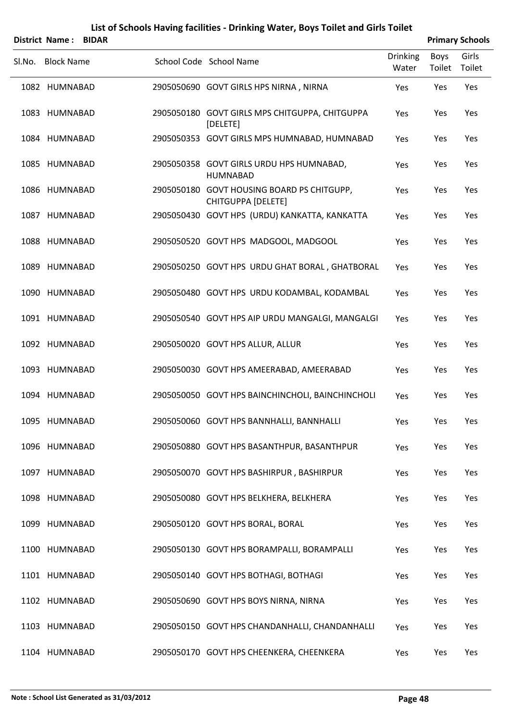|        | <b>District Name:</b> | <b>BIDAR</b> |                                                                  |                          |                | <b>Primary Schools</b> |
|--------|-----------------------|--------------|------------------------------------------------------------------|--------------------------|----------------|------------------------|
| Sl.No. | <b>Block Name</b>     |              | School Code School Name                                          | <b>Drinking</b><br>Water | Boys<br>Toilet | Girls<br>Toilet        |
|        | 1082 HUMNABAD         |              | 2905050690 GOVT GIRLS HPS NIRNA, NIRNA                           | Yes                      | Yes            | Yes                    |
|        | 1083 HUMNABAD         |              | 2905050180 GOVT GIRLS MPS CHITGUPPA, CHITGUPPA<br>[DELETE]       | Yes                      | Yes            | Yes                    |
|        | 1084 HUMNABAD         |              | 2905050353 GOVT GIRLS MPS HUMNABAD, HUMNABAD                     | Yes                      | Yes            | Yes                    |
|        | 1085 HUMNABAD         |              | 2905050358 GOVT GIRLS URDU HPS HUMNABAD,<br><b>HUMNABAD</b>      | Yes                      | Yes            | Yes                    |
|        | 1086 HUMNABAD         |              | 2905050180 GOVT HOUSING BOARD PS CHITGUPP,<br>CHITGUPPA [DELETE] | Yes                      | Yes            | Yes                    |
|        | 1087 HUMNABAD         |              | 2905050430 GOVT HPS (URDU) KANKATTA, KANKATTA                    | Yes                      | Yes            | Yes                    |
|        | 1088 HUMNABAD         |              | 2905050520 GOVT HPS MADGOOL, MADGOOL                             | Yes                      | Yes            | Yes                    |
|        | 1089 HUMNABAD         |              | 2905050250 GOVT HPS URDU GHAT BORAL, GHATBORAL                   | Yes                      | Yes            | Yes                    |
|        | 1090 HUMNABAD         |              | 2905050480 GOVT HPS URDU KODAMBAL, KODAMBAL                      | Yes                      | Yes            | Yes                    |
|        | 1091 HUMNABAD         |              | 2905050540 GOVT HPS AIP URDU MANGALGI, MANGALGI                  | Yes                      | Yes            | Yes                    |
|        | 1092 HUMNABAD         |              | 2905050020 GOVT HPS ALLUR, ALLUR                                 | Yes                      | Yes            | Yes                    |
|        | 1093 HUMNABAD         |              | 2905050030 GOVT HPS AMEERABAD, AMEERABAD                         | Yes                      | Yes            | Yes                    |
|        | 1094 HUMNABAD         |              | 2905050050 GOVT HPS BAINCHINCHOLI, BAINCHINCHOLI                 | Yes                      | Yes            | Yes                    |
|        | 1095 HUMNABAD         |              | 2905050060 GOVT HPS BANNHALLI, BANNHALLI                         | Yes                      | Yes            | Yes                    |
|        | 1096 HUMNABAD         |              | 2905050880 GOVT HPS BASANTHPUR, BASANTHPUR                       | Yes                      | Yes            | Yes                    |
|        | 1097 HUMNABAD         |              | 2905050070 GOVT HPS BASHIRPUR, BASHIRPUR                         | Yes                      | Yes            | Yes                    |
|        | 1098 HUMNABAD         |              | 2905050080 GOVT HPS BELKHERA, BELKHERA                           | Yes                      | Yes            | Yes                    |
|        | 1099 HUMNABAD         |              | 2905050120 GOVT HPS BORAL, BORAL                                 | Yes                      | Yes            | Yes                    |
|        | 1100 HUMNABAD         |              | 2905050130 GOVT HPS BORAMPALLI, BORAMPALLI                       | Yes                      | Yes            | Yes                    |
|        | 1101 HUMNABAD         |              | 2905050140 GOVT HPS BOTHAGI, BOTHAGI                             | Yes                      | Yes            | Yes                    |
|        | 1102 HUMNABAD         |              | 2905050690 GOVT HPS BOYS NIRNA, NIRNA                            | Yes                      | Yes            | Yes                    |
|        | 1103 HUMNABAD         |              | 2905050150 GOVT HPS CHANDANHALLI, CHANDANHALLI                   | Yes                      | Yes            | Yes                    |
|        | 1104 HUMNABAD         |              | 2905050170 GOVT HPS CHEENKERA, CHEENKERA                         | Yes                      | Yes            | Yes                    |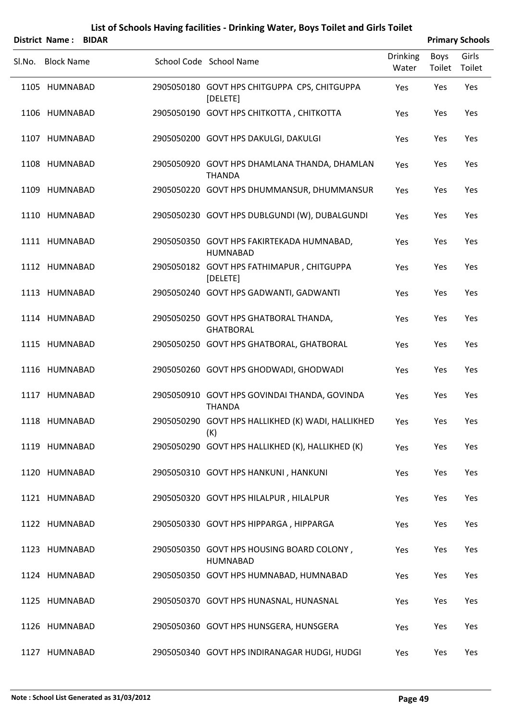| <b>District Name: BIDAR</b> |  |                                                               |                          |                | <b>Primary Schools</b> |
|-----------------------------|--|---------------------------------------------------------------|--------------------------|----------------|------------------------|
| SI.No. Block Name           |  | School Code School Name                                       | <b>Drinking</b><br>Water | Boys<br>Toilet | Girls<br>Toilet        |
| 1105 HUMNABAD               |  | 2905050180 GOVT HPS CHITGUPPA CPS, CHITGUPPA<br>[DELETE]      | Yes                      | Yes            | Yes                    |
| 1106 HUMNABAD               |  | 2905050190 GOVT HPS CHITKOTTA, CHITKOTTA                      | Yes                      | Yes            | Yes                    |
| 1107 HUMNABAD               |  | 2905050200 GOVT HPS DAKULGI, DAKULGI                          | Yes                      | Yes            | Yes                    |
| 1108 HUMNABAD               |  | 2905050920 GOVT HPS DHAMLANA THANDA, DHAMLAN<br><b>THANDA</b> | Yes                      | Yes            | Yes                    |
| 1109 HUMNABAD               |  | 2905050220 GOVT HPS DHUMMANSUR, DHUMMANSUR                    | Yes                      | Yes            | Yes                    |
| 1110 HUMNABAD               |  | 2905050230 GOVT HPS DUBLGUNDI (W), DUBALGUNDI                 | Yes                      | Yes            | Yes                    |
| 1111 HUMNABAD               |  | 2905050350 GOVT HPS FAKIRTEKADA HUMNABAD,<br><b>HUMNABAD</b>  | Yes                      | Yes            | Yes                    |
| 1112 HUMNABAD               |  | 2905050182 GOVT HPS FATHIMAPUR, CHITGUPPA<br>[DELETE]         | Yes                      | Yes            | Yes                    |
| 1113 HUMNABAD               |  | 2905050240 GOVT HPS GADWANTI, GADWANTI                        | Yes                      | Yes            | Yes                    |
| 1114 HUMNABAD               |  | 2905050250 GOVT HPS GHATBORAL THANDA,<br><b>GHATBORAL</b>     | Yes                      | Yes            | Yes                    |
| 1115 HUMNABAD               |  | 2905050250 GOVT HPS GHATBORAL, GHATBORAL                      | Yes                      | Yes            | Yes                    |
| 1116 HUMNABAD               |  | 2905050260 GOVT HPS GHODWADI, GHODWADI                        | Yes                      | Yes            | Yes                    |
| 1117 HUMNABAD               |  | 2905050910 GOVT HPS GOVINDAI THANDA, GOVINDA<br><b>THANDA</b> | Yes                      | Yes            | Yes                    |
| 1118 HUMNABAD               |  | 2905050290 GOVT HPS HALLIKHED (K) WADI, HALLIKHED<br>(K)      | Yes                      | Yes            | Yes                    |
| 1119 HUMNABAD               |  | 2905050290 GOVT HPS HALLIKHED (K), HALLIKHED (K)              | Yes                      | Yes            | Yes                    |
| 1120 HUMNABAD               |  | 2905050310 GOVT HPS HANKUNI, HANKUNI                          | Yes                      | Yes            | Yes                    |
| 1121 HUMNABAD               |  | 2905050320 GOVT HPS HILALPUR, HILALPUR                        | Yes                      | Yes            | Yes                    |
| 1122 HUMNABAD               |  | 2905050330 GOVT HPS HIPPARGA, HIPPARGA                        | Yes                      | Yes            | Yes                    |
| 1123 HUMNABAD               |  | 2905050350 GOVT HPS HOUSING BOARD COLONY,<br><b>HUMNABAD</b>  | Yes                      | Yes            | Yes                    |
| 1124 HUMNABAD               |  | 2905050350 GOVT HPS HUMNABAD, HUMNABAD                        | Yes                      | Yes            | Yes                    |
| 1125 HUMNABAD               |  | 2905050370 GOVT HPS HUNASNAL, HUNASNAL                        | Yes                      | Yes            | Yes                    |
| 1126 HUMNABAD               |  | 2905050360 GOVT HPS HUNSGERA, HUNSGERA                        | Yes                      | Yes            | Yes                    |
| 1127 HUMNABAD               |  | 2905050340 GOVT HPS INDIRANAGAR HUDGI, HUDGI                  | Yes                      | Yes            | Yes                    |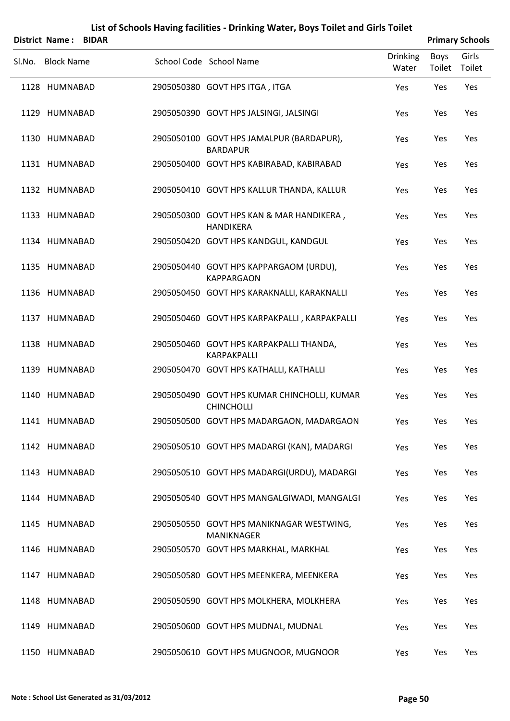|        | <b>District Name:</b><br><b>BIDAR</b> |                                                                  |                          |                | <b>Primary Schools</b> |
|--------|---------------------------------------|------------------------------------------------------------------|--------------------------|----------------|------------------------|
| SI.No. | <b>Block Name</b>                     | School Code School Name                                          | <b>Drinking</b><br>Water | Boys<br>Toilet | Girls<br>Toilet        |
|        | 1128 HUMNABAD                         | 2905050380 GOVT HPS ITGA, ITGA                                   | Yes                      | Yes            | Yes                    |
|        | 1129 HUMNABAD                         | 2905050390 GOVT HPS JALSINGI, JALSINGI                           | Yes                      | Yes            | Yes                    |
|        | 1130 HUMNABAD                         | 2905050100 GOVT HPS JAMALPUR (BARDAPUR),<br><b>BARDAPUR</b>      | Yes                      | Yes            | Yes                    |
|        | 1131 HUMNABAD                         | 2905050400 GOVT HPS KABIRABAD, KABIRABAD                         | Yes                      | Yes            | Yes                    |
|        | 1132 HUMNABAD                         | 2905050410 GOVT HPS KALLUR THANDA, KALLUR                        | Yes                      | Yes            | Yes                    |
|        | 1133 HUMNABAD                         | 2905050300 GOVT HPS KAN & MAR HANDIKERA,<br><b>HANDIKERA</b>     | Yes                      | Yes            | Yes                    |
|        | 1134 HUMNABAD                         | 2905050420 GOVT HPS KANDGUL, KANDGUL                             | Yes                      | Yes            | Yes                    |
|        | 1135 HUMNABAD                         | 2905050440 GOVT HPS KAPPARGAOM (URDU),<br><b>KAPPARGAON</b>      | Yes                      | Yes            | Yes                    |
|        | 1136 HUMNABAD                         | 2905050450 GOVT HPS KARAKNALLI, KARAKNALLI                       | Yes                      | Yes            | Yes                    |
|        | 1137 HUMNABAD                         | 2905050460 GOVT HPS KARPAKPALLI, KARPAKPALLI                     | Yes                      | Yes            | Yes                    |
|        | 1138 HUMNABAD                         | 2905050460 GOVT HPS KARPAKPALLI THANDA,<br>KARPAKPALLI           | Yes                      | Yes            | Yes                    |
|        | 1139 HUMNABAD                         | 2905050470 GOVT HPS KATHALLI, KATHALLI                           | Yes                      | Yes            | Yes                    |
|        | 1140 HUMNABAD                         | 2905050490 GOVT HPS KUMAR CHINCHOLLI, KUMAR<br><b>CHINCHOLLI</b> | Yes                      | Yes            | Yes                    |
|        | 1141 HUMNABAD                         | 2905050500 GOVT HPS MADARGAON, MADARGAON                         | Yes                      | Yes            | Yes                    |
|        | 1142 HUMNABAD                         | 2905050510 GOVT HPS MADARGI (KAN), MADARGI                       | Yes                      | Yes            | Yes                    |
|        | 1143 HUMNABAD                         | 2905050510 GOVT HPS MADARGI(URDU), MADARGI                       | Yes                      | Yes            | Yes                    |
|        | 1144 HUMNABAD                         | 2905050540 GOVT HPS MANGALGIWADI, MANGALGI                       | Yes                      | Yes            | Yes                    |
|        | 1145 HUMNABAD                         | 2905050550 GOVT HPS MANIKNAGAR WESTWING,<br>MANIKNAGER           | Yes                      | Yes            | Yes                    |
|        | 1146 HUMNABAD                         | 2905050570 GOVT HPS MARKHAL, MARKHAL                             | Yes                      | Yes            | Yes                    |
|        | 1147 HUMNABAD                         | 2905050580 GOVT HPS MEENKERA, MEENKERA                           | Yes                      | Yes            | Yes                    |
|        | 1148 HUMNABAD                         | 2905050590 GOVT HPS MOLKHERA, MOLKHERA                           | Yes                      | Yes            | Yes                    |
|        | 1149 HUMNABAD                         | 2905050600 GOVT HPS MUDNAL, MUDNAL                               | Yes                      | Yes            | Yes                    |
|        | 1150 HUMNABAD                         | 2905050610 GOVT HPS MUGNOOR, MUGNOOR                             | Yes                      | Yes            | Yes                    |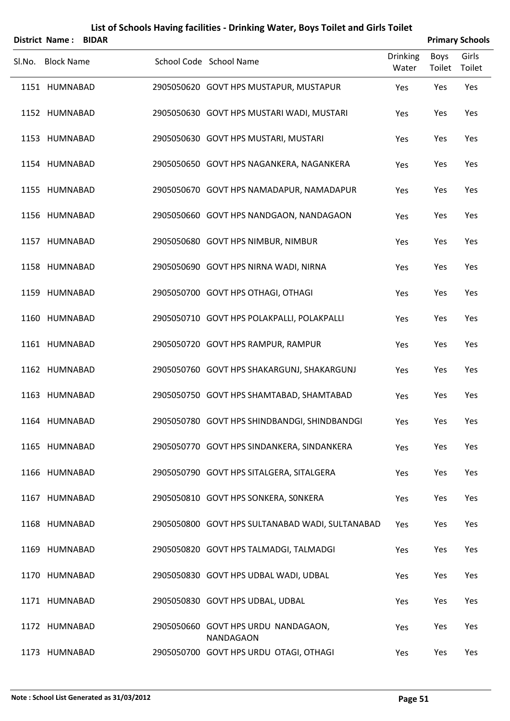|        | <b>District Name:</b> | <b>BIDAR</b> |                                                         |                   |                       | <b>Primary Schools</b> |
|--------|-----------------------|--------------|---------------------------------------------------------|-------------------|-----------------------|------------------------|
| Sl.No. | <b>Block Name</b>     |              | School Code School Name                                 | Drinking<br>Water | <b>Boys</b><br>Toilet | Girls<br>Toilet        |
|        | 1151 HUMNABAD         |              | 2905050620 GOVT HPS MUSTAPUR, MUSTAPUR                  | Yes               | Yes                   | Yes                    |
|        | 1152 HUMNABAD         |              | 2905050630 GOVT HPS MUSTARI WADI, MUSTARI               | Yes               | Yes                   | Yes                    |
|        | 1153 HUMNABAD         |              | 2905050630 GOVT HPS MUSTARI, MUSTARI                    | Yes               | Yes                   | Yes                    |
|        | 1154 HUMNABAD         |              | 2905050650 GOVT HPS NAGANKERA, NAGANKERA                | Yes               | Yes                   | Yes                    |
|        | 1155 HUMNABAD         |              | 2905050670 GOVT HPS NAMADAPUR, NAMADAPUR                | Yes               | Yes                   | Yes                    |
|        | 1156 HUMNABAD         |              | 2905050660 GOVT HPS NANDGAON, NANDAGAON                 | Yes               | Yes                   | Yes                    |
|        | 1157 HUMNABAD         |              | 2905050680 GOVT HPS NIMBUR, NIMBUR                      | Yes               | Yes                   | Yes                    |
|        | 1158 HUMNABAD         |              | 2905050690 GOVT HPS NIRNA WADI, NIRNA                   | Yes               | Yes                   | Yes                    |
|        | 1159 HUMNABAD         |              | 2905050700 GOVT HPS OTHAGI, OTHAGI                      | Yes               | Yes                   | Yes                    |
|        | 1160 HUMNABAD         |              | 2905050710 GOVT HPS POLAKPALLI, POLAKPALLI              | Yes               | Yes                   | Yes                    |
|        | 1161 HUMNABAD         |              | 2905050720 GOVT HPS RAMPUR, RAMPUR                      | Yes               | Yes                   | Yes                    |
|        | 1162 HUMNABAD         |              | 2905050760 GOVT HPS SHAKARGUNJ, SHAKARGUNJ              | Yes               | Yes                   | Yes                    |
|        | 1163 HUMNABAD         |              | 2905050750 GOVT HPS SHAMTABAD, SHAMTABAD                | Yes               | Yes                   | Yes                    |
|        | 1164 HUMNABAD         |              | 2905050780 GOVT HPS SHINDBANDGI, SHINDBANDGI            | Yes               | Yes                   | Yes                    |
|        | 1165 HUMNABAD         |              | 2905050770 GOVT HPS SINDANKERA, SINDANKERA              | Yes               | Yes                   | Yes                    |
|        | 1166 HUMNABAD         |              | 2905050790 GOVT HPS SITALGERA, SITALGERA                | Yes               | Yes                   | Yes                    |
|        | 1167 HUMNABAD         |              | 2905050810 GOVT HPS SONKERA, SONKERA                    | Yes               | Yes                   | Yes                    |
|        | 1168 HUMNABAD         |              | 2905050800 GOVT HPS SULTANABAD WADI, SULTANABAD         | Yes               | Yes                   | Yes                    |
|        | 1169 HUMNABAD         |              | 2905050820 GOVT HPS TALMADGI, TALMADGI                  | Yes               | Yes                   | Yes                    |
|        | 1170 HUMNABAD         |              | 2905050830 GOVT HPS UDBAL WADI, UDBAL                   | Yes               | Yes                   | Yes                    |
|        | 1171 HUMNABAD         |              | 2905050830 GOVT HPS UDBAL, UDBAL                        | Yes               | Yes                   | Yes                    |
|        | 1172 HUMNABAD         |              | 2905050660 GOVT HPS URDU NANDAGAON,<br><b>NANDAGAON</b> | Yes               | Yes                   | Yes                    |
|        | 1173 HUMNABAD         |              | 2905050700 GOVT HPS URDU OTAGI, OTHAGI                  | Yes               | Yes                   | Yes                    |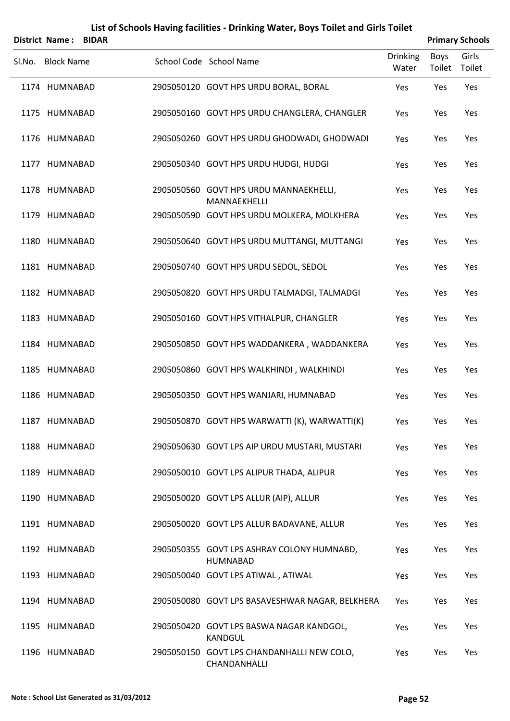|        | District Name: BIDAR |  |                                                               |                          |                | <b>Primary Schools</b> |
|--------|----------------------|--|---------------------------------------------------------------|--------------------------|----------------|------------------------|
| Sl.No. | <b>Block Name</b>    |  | School Code School Name                                       | <b>Drinking</b><br>Water | Boys<br>Toilet | Girls<br>Toilet        |
|        | 1174 HUMNABAD        |  | 2905050120 GOVT HPS URDU BORAL, BORAL                         | Yes                      | Yes            | Yes                    |
|        | 1175 HUMNABAD        |  | 2905050160 GOVT HPS URDU CHANGLERA, CHANGLER                  | Yes                      | Yes            | Yes                    |
|        | 1176 HUMNABAD        |  | 2905050260 GOVT HPS URDU GHODWADI, GHODWADI                   | Yes                      | Yes            | Yes                    |
|        | 1177 HUMNABAD        |  | 2905050340 GOVT HPS URDU HUDGI, HUDGI                         | Yes                      | Yes            | Yes                    |
|        | 1178 HUMNABAD        |  | 2905050560 GOVT HPS URDU MANNAEKHELLI,<br>MANNAEKHELLI        | Yes                      | Yes            | Yes                    |
|        | 1179 HUMNABAD        |  | 2905050590 GOVT HPS URDU MOLKERA, MOLKHERA                    | Yes                      | Yes            | Yes                    |
|        | 1180 HUMNABAD        |  | 2905050640 GOVT HPS URDU MUTTANGI, MUTTANGI                   | Yes                      | Yes            | Yes                    |
|        | 1181 HUMNABAD        |  | 2905050740 GOVT HPS URDU SEDOL, SEDOL                         | Yes                      | Yes            | Yes                    |
|        | 1182 HUMNABAD        |  | 2905050820 GOVT HPS URDU TALMADGI, TALMADGI                   | Yes                      | Yes            | Yes                    |
|        | 1183 HUMNABAD        |  | 2905050160 GOVT HPS VITHALPUR, CHANGLER                       | Yes                      | Yes            | Yes                    |
|        | 1184 HUMNABAD        |  | 2905050850 GOVT HPS WADDANKERA, WADDANKERA                    | Yes                      | Yes            | Yes                    |
|        | 1185 HUMNABAD        |  | 2905050860 GOVT HPS WALKHINDI, WALKHINDI                      | Yes                      | Yes            | Yes                    |
|        | 1186 HUMNABAD        |  | 2905050350 GOVT HPS WANJARI, HUMNABAD                         | Yes                      | Yes            | Yes                    |
|        | 1187 HUMNABAD        |  | 2905050870 GOVT HPS WARWATTI (K), WARWATTI(K)                 | Yes                      | Yes            | Yes                    |
|        | 1188 HUMNABAD        |  | 2905050630 GOVT LPS AIP URDU MUSTARI, MUSTARI                 | Yes                      | Yes            | Yes                    |
|        | 1189 HUMNABAD        |  | 2905050010 GOVT LPS ALIPUR THADA, ALIPUR                      | Yes                      | Yes            | Yes                    |
|        | 1190 HUMNABAD        |  | 2905050020 GOVT LPS ALLUR (AIP), ALLUR                        | Yes                      | Yes            | Yes                    |
|        | 1191 HUMNABAD        |  | 2905050020 GOVT LPS ALLUR BADAVANE, ALLUR                     | Yes                      | Yes            | Yes                    |
|        | 1192 HUMNABAD        |  | 2905050355 GOVT LPS ASHRAY COLONY HUMNABD,<br><b>HUMNABAD</b> | Yes                      | Yes            | Yes                    |
|        | 1193 HUMNABAD        |  | 2905050040 GOVT LPS ATIWAL, ATIWAL                            | Yes                      | Yes            | Yes                    |
|        | 1194 HUMNABAD        |  | 2905050080 GOVT LPS BASAVESHWAR NAGAR, BELKHERA               | Yes                      | Yes            | Yes                    |
|        | 1195 HUMNABAD        |  | 2905050420 GOVT LPS BASWA NAGAR KANDGOL,<br>KANDGUL           | Yes                      | Yes            | Yes                    |
|        | 1196 HUMNABAD        |  | 2905050150 GOVT LPS CHANDANHALLI NEW COLO,                    | Yes                      | Yes            | Yes                    |

CHANDANHALLI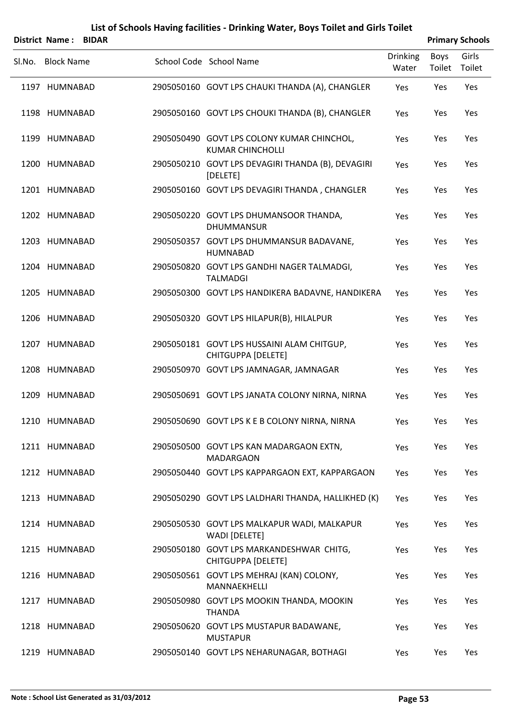|        | <b>District Name: BIDAR</b> |  |                                                                       |                          |                | <b>Primary Schools</b> |
|--------|-----------------------------|--|-----------------------------------------------------------------------|--------------------------|----------------|------------------------|
| SI.No. | <b>Block Name</b>           |  | School Code School Name                                               | <b>Drinking</b><br>Water | Boys<br>Toilet | Girls<br>Toilet        |
|        | 1197 HUMNABAD               |  | 2905050160 GOVT LPS CHAUKI THANDA (A), CHANGLER                       | Yes                      | Yes            | Yes                    |
|        | 1198 HUMNABAD               |  | 2905050160 GOVT LPS CHOUKI THANDA (B), CHANGLER                       | Yes                      | Yes            | Yes                    |
|        | 1199 HUMNABAD               |  | 2905050490 GOVT LPS COLONY KUMAR CHINCHOL,<br><b>KUMAR CHINCHOLLI</b> | Yes                      | Yes            | Yes                    |
|        | 1200 HUMNABAD               |  | 2905050210 GOVT LPS DEVAGIRI THANDA (B), DEVAGIRI<br>[DELETE]         | Yes                      | Yes            | Yes                    |
|        | 1201 HUMNABAD               |  | 2905050160 GOVT LPS DEVAGIRI THANDA, CHANGLER                         | Yes                      | Yes            | Yes                    |
|        | 1202 HUMNABAD               |  | 2905050220 GOVT LPS DHUMANSOOR THANDA,<br><b>DHUMMANSUR</b>           | Yes                      | Yes            | Yes                    |
|        | 1203 HUMNABAD               |  | 2905050357 GOVT LPS DHUMMANSUR BADAVANE,<br><b>HUMNABAD</b>           | Yes                      | Yes            | Yes                    |
|        | 1204 HUMNABAD               |  | 2905050820 GOVT LPS GANDHI NAGER TALMADGI,<br><b>TALMADGI</b>         | Yes                      | Yes            | Yes                    |
|        | 1205 HUMNABAD               |  | 2905050300 GOVT LPS HANDIKERA BADAVNE, HANDIKERA                      | Yes                      | Yes            | Yes                    |
|        | 1206 HUMNABAD               |  | 2905050320 GOVT LPS HILAPUR(B), HILALPUR                              | Yes                      | Yes            | Yes                    |
|        | 1207 HUMNABAD               |  | 2905050181 GOVT LPS HUSSAINI ALAM CHITGUP,<br>CHITGUPPA [DELETE]      | Yes                      | Yes            | Yes                    |
|        | 1208 HUMNABAD               |  | 2905050970 GOVT LPS JAMNAGAR, JAMNAGAR                                | Yes                      | Yes            | Yes                    |
|        | 1209 HUMNABAD               |  | 2905050691 GOVT LPS JANATA COLONY NIRNA, NIRNA                        | Yes                      | Yes            | Yes                    |
|        | 1210 HUMNABAD               |  | 2905050690 GOVT LPS K E B COLONY NIRNA, NIRNA                         | Yes                      | Yes            | Yes                    |
|        | 1211 HUMNABAD               |  | 2905050500 GOVT LPS KAN MADARGAON EXTN,<br><b>MADARGAON</b>           | Yes                      | Yes            | Yes                    |
|        | 1212 HUMNABAD               |  | 2905050440 GOVT LPS KAPPARGAON EXT, KAPPARGAON                        | Yes                      | Yes            | Yes                    |
|        | 1213 HUMNABAD               |  | 2905050290 GOVT LPS LALDHARI THANDA, HALLIKHED (K)                    | Yes                      | Yes            | Yes                    |
|        | 1214 HUMNABAD               |  | 2905050530 GOVT LPS MALKAPUR WADI, MALKAPUR<br>WADI [DELETE]          | Yes                      | Yes            | Yes                    |
|        | 1215 HUMNABAD               |  | 2905050180 GOVT LPS MARKANDESHWAR CHITG,<br>CHITGUPPA [DELETE]        | Yes                      | Yes            | Yes                    |
|        | 1216 HUMNABAD               |  | 2905050561 GOVT LPS MEHRAJ (KAN) COLONY,<br>MANNAEKHELLI              | Yes                      | Yes            | Yes                    |
|        | 1217 HUMNABAD               |  | 2905050980 GOVT LPS MOOKIN THANDA, MOOKIN<br><b>THANDA</b>            | Yes                      | Yes            | Yes                    |
|        | 1218 HUMNABAD               |  | 2905050620 GOVT LPS MUSTAPUR BADAWANE,<br><b>MUSTAPUR</b>             | Yes                      | Yes            | Yes                    |
|        | 1219 HUMNABAD               |  | 2905050140 GOVT LPS NEHARUNAGAR, BOTHAGI                              | Yes                      | Yes            | Yes                    |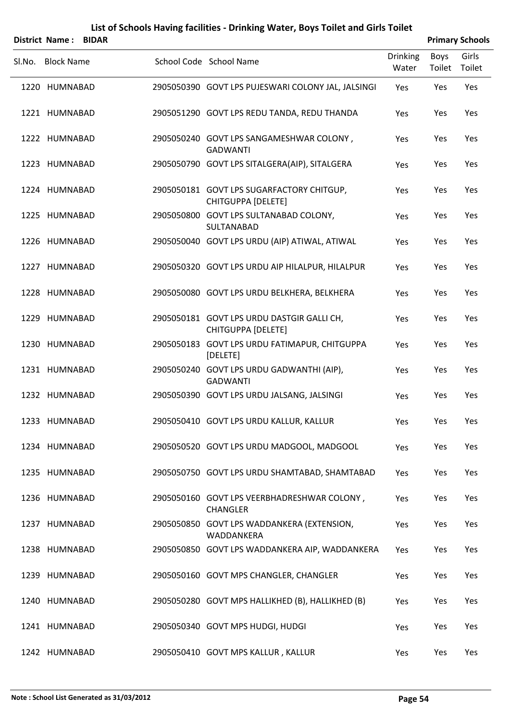|        | District Name:    | <b>BIDAR</b> |                                                                  |                          |                | <b>Primary Schools</b> |
|--------|-------------------|--------------|------------------------------------------------------------------|--------------------------|----------------|------------------------|
| Sl.No. | <b>Block Name</b> |              | School Code School Name                                          | <b>Drinking</b><br>Water | Boys<br>Toilet | Girls<br>Toilet        |
|        | 1220 HUMNABAD     |              | 2905050390 GOVT LPS PUJESWARI COLONY JAL, JALSINGI               | Yes                      | Yes            | Yes                    |
|        | 1221 HUMNABAD     |              | 2905051290 GOVT LPS REDU TANDA, REDU THANDA                      | Yes                      | Yes            | Yes                    |
|        | 1222 HUMNABAD     |              | 2905050240 GOVT LPS SANGAMESHWAR COLONY,<br><b>GADWANTI</b>      | Yes                      | Yes            | Yes                    |
|        | 1223 HUMNABAD     |              | 2905050790 GOVT LPS SITALGERA(AIP), SITALGERA                    | Yes                      | Yes            | Yes                    |
|        | 1224 HUMNABAD     |              | 2905050181 GOVT LPS SUGARFACTORY CHITGUP,<br>CHITGUPPA [DELETE]  | Yes                      | Yes            | Yes                    |
|        | 1225 HUMNABAD     |              | 2905050800 GOVT LPS SULTANABAD COLONY,<br>SULTANABAD             | Yes                      | Yes            | Yes                    |
|        | 1226 HUMNABAD     |              | 2905050040 GOVT LPS URDU (AIP) ATIWAL, ATIWAL                    | Yes                      | Yes            | Yes                    |
|        | 1227 HUMNABAD     |              | 2905050320 GOVT LPS URDU AIP HILALPUR, HILALPUR                  | Yes                      | Yes            | Yes                    |
|        | 1228 HUMNABAD     |              | 2905050080 GOVT LPS URDU BELKHERA, BELKHERA                      | Yes                      | Yes            | Yes                    |
|        | 1229 HUMNABAD     |              | 2905050181 GOVT LPS URDU DASTGIR GALLI CH,<br>CHITGUPPA [DELETE] | Yes                      | Yes            | Yes                    |
|        | 1230 HUMNABAD     |              | 2905050183 GOVT LPS URDU FATIMAPUR, CHITGUPPA<br>[DELETE]        | Yes                      | Yes            | Yes                    |
|        | 1231 HUMNABAD     |              | 2905050240 GOVT LPS URDU GADWANTHI (AIP),<br><b>GADWANTI</b>     | Yes                      | Yes            | Yes                    |
|        | 1232 HUMNABAD     |              | 2905050390 GOVT LPS URDU JALSANG, JALSINGI                       | Yes                      | Yes            | Yes                    |
|        | 1233 HUMNABAD     |              | 2905050410 GOVT LPS URDU KALLUR, KALLUR                          | Yes                      | Yes            | Yes                    |
|        | 1234 HUMNABAD     |              | 2905050520 GOVT LPS URDU MADGOOL, MADGOOL                        | Yes                      | Yes            | Yes                    |
|        | 1235 HUMNABAD     |              | 2905050750 GOVT LPS URDU SHAMTABAD, SHAMTABAD                    | Yes                      | Yes            | Yes                    |
|        | 1236 HUMNABAD     |              | 2905050160 GOVT LPS VEERBHADRESHWAR COLONY,<br><b>CHANGLER</b>   | Yes                      | Yes            | Yes                    |
|        | 1237 HUMNABAD     |              | 2905050850 GOVT LPS WADDANKERA (EXTENSION,<br>WADDANKERA         | Yes                      | Yes            | Yes                    |
|        | 1238 HUMNABAD     |              | 2905050850 GOVT LPS WADDANKERA AIP, WADDANKERA                   | Yes                      | Yes            | Yes                    |
|        | 1239 HUMNABAD     |              | 2905050160 GOVT MPS CHANGLER, CHANGLER                           | Yes                      | Yes            | Yes                    |
|        | 1240 HUMNABAD     |              | 2905050280 GOVT MPS HALLIKHED (B), HALLIKHED (B)                 | Yes                      | Yes            | Yes                    |
|        | 1241 HUMNABAD     |              | 2905050340 GOVT MPS HUDGI, HUDGI                                 | Yes                      | Yes            | Yes                    |
|        | 1242 HUMNABAD     |              | 2905050410 GOVT MPS KALLUR, KALLUR                               | Yes                      | Yes            | Yes                    |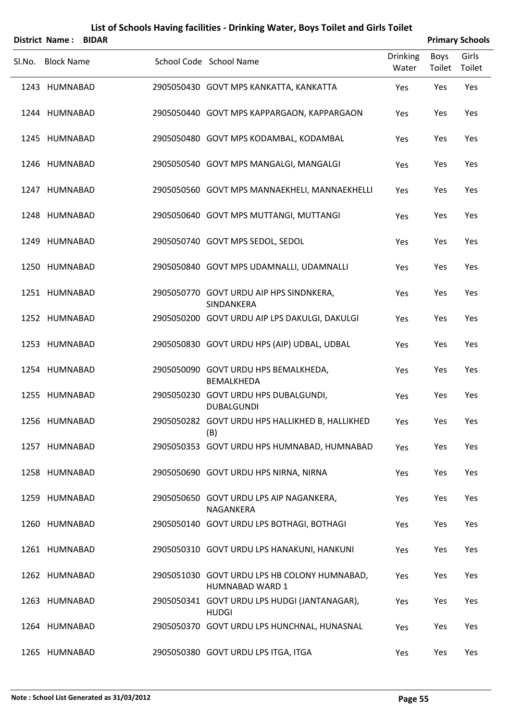|        | <b>District Name:</b> | <b>BIDAR</b> | List of Schools Having facilities - Drinking Water, Boys Toilet and Girls Toilet |                          |                       | <b>Primary Schools</b> |
|--------|-----------------------|--------------|----------------------------------------------------------------------------------|--------------------------|-----------------------|------------------------|
| Sl.No. | <b>Block Name</b>     |              | School Code School Name                                                          | <b>Drinking</b><br>Water | <b>Boys</b><br>Toilet | Girls<br>Toilet        |
|        | 1243 HUMNABAD         |              | 2905050430 GOVT MPS KANKATTA, KANKATTA                                           | Yes                      | Yes                   | Yes                    |
|        | 1244 HUMNABAD         |              | 2905050440 GOVT MPS KAPPARGAON, KAPPARGAON                                       | Yes                      | Yes                   | Yes                    |
|        | 1245 HUMNABAD         |              | 2905050480 GOVT MPS KODAMBAL, KODAMBAL                                           | Yes                      | Yes                   | Yes                    |
|        | 1246 HUMNABAD         |              | 2905050540 GOVT MPS MANGALGI, MANGALGI                                           | Yes                      | Yes                   | Yes                    |
|        | 1247 HUMNABAD         |              | 2905050560 GOVT MPS MANNAEKHELI, MANNAEKHELLI                                    | Yes                      | Yes                   | Yes                    |
|        | 1248 HUMNABAD         |              | 2905050640 GOVT MPS MUTTANGI, MUTTANGI                                           | Yes                      | Yes                   | Yes                    |
|        | 1249 HUMNABAD         |              | 2905050740 GOVT MPS SEDOL, SEDOL                                                 | Yes                      | Yes                   | Yes                    |
|        | 1250 HUMNABAD         |              | 2905050840 GOVT MPS UDAMNALLI, UDAMNALLI                                         | Yes                      | Yes                   | Yes                    |
|        | 1251 HUMNABAD         |              | 2905050770 GOVT URDU AIP HPS SINDNKERA,<br>SINDANKERA                            | Yes                      | Yes                   | Yes                    |
|        | 1252 HUMNABAD         |              | 2905050200 GOVT URDU AIP LPS DAKULGI, DAKULGI                                    | Yes                      | Yes                   | Yes                    |
|        | 1253 HUMNABAD         |              | 2905050830 GOVT URDU HPS (AIP) UDBAL, UDBAL                                      | Yes                      | Yes                   | Yes                    |
|        | 1254 HUMNABAD         |              | 2905050090 GOVT URDU HPS BEMALKHEDA,<br>BEMALKHEDA                               | Yes                      | Yes                   | Yes                    |
|        | 1255 HUMNABAD         |              | 2905050230 GOVT URDU HPS DUBALGUNDI,<br><b>DUBALGUNDI</b>                        | Yes                      | Yes                   | Yes                    |
|        | 1256 HUMNABAD         |              | 2905050282 GOVT URDU HPS HALLIKHED B, HALLIKHED<br>(B)                           | Yes                      | Yes                   | Yes                    |
|        | 1257 HUMNABAD         |              | 2905050353 GOVT URDU HPS HUMNABAD, HUMNABAD                                      | Yes                      | Yes                   | Yes                    |
|        | 1258 HUMNABAD         |              | 2905050690 GOVT URDU HPS NIRNA, NIRNA                                            | Yes                      | Yes                   | Yes                    |
|        | 1259 HUMNABAD         |              | 2905050650 GOVT URDU LPS AIP NAGANKERA,<br>NAGANKERA                             | Yes                      | Yes                   | Yes                    |
|        | 1260 HUMNABAD         |              | 2905050140 GOVT URDU LPS BOTHAGI, BOTHAGI                                        | Yes                      | Yes                   | Yes                    |
|        | 1261 HUMNABAD         |              | 2905050310 GOVT URDU LPS HANAKUNI, HANKUNI                                       | Yes                      | Yes                   | Yes                    |
|        | 1262 HUMNABAD         |              | 2905051030 GOVT URDU LPS HB COLONY HUMNABAD,<br>HUMNABAD WARD 1                  | Yes                      | Yes                   | Yes                    |
|        | 1263 HUMNABAD         |              | 2905050341 GOVT URDU LPS HUDGI (JANTANAGAR),<br><b>HUDGI</b>                     | Yes                      | Yes                   | Yes                    |
|        | 1264 HUMNABAD         |              | 2905050370 GOVT URDU LPS HUNCHNAL, HUNASNAL                                      | Yes                      | Yes                   | Yes                    |
|        | 1265 HUMNABAD         |              | 2905050380 GOVT URDU LPS ITGA, ITGA                                              | Yes                      | Yes                   | Yes                    |